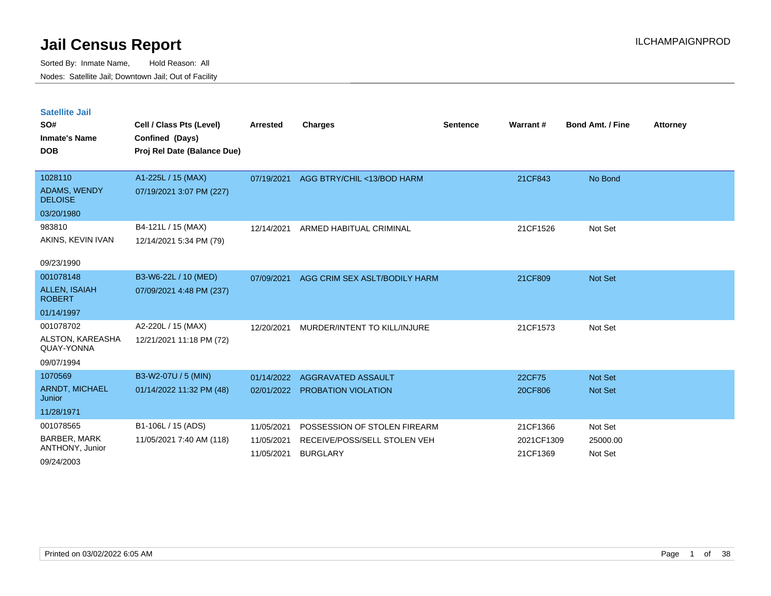**Satellite Jail**

**SO#**

| SO#                                   | Cell / Class Pts (Level)    | Arrested   | <b>Charges</b>                | <b>Sentence</b> | Warrant# | <b>Bond Amt. / Fine</b> | <b>Attorney</b> |
|---------------------------------------|-----------------------------|------------|-------------------------------|-----------------|----------|-------------------------|-----------------|
| <b>Inmate's Name</b>                  | Confined (Days)             |            |                               |                 |          |                         |                 |
| <b>DOB</b>                            | Proj Rel Date (Balance Due) |            |                               |                 |          |                         |                 |
|                                       |                             |            |                               |                 |          |                         |                 |
| 1028110                               | A1-225L / 15 (MAX)          | 07/19/2021 | AGG BTRY/CHIL <13/BOD HARM    |                 | 21CF843  | No Bond                 |                 |
| ADAMS, WENDY<br><b>DELOISE</b>        | 07/19/2021 3:07 PM (227)    |            |                               |                 |          |                         |                 |
| 03/20/1980                            |                             |            |                               |                 |          |                         |                 |
| 983810                                | B4-121L / 15 (MAX)          | 12/14/2021 | ARMED HABITUAL CRIMINAL       |                 | 21CF1526 | Not Set                 |                 |
| AKINS, KEVIN IVAN                     | 12/14/2021 5:34 PM (79)     |            |                               |                 |          |                         |                 |
|                                       |                             |            |                               |                 |          |                         |                 |
| 09/23/1990                            |                             |            |                               |                 |          |                         |                 |
| 001078148                             | B3-W6-22L / 10 (MED)        | 07/09/2021 | AGG CRIM SEX ASLT/BODILY HARM |                 | 21CF809  | Not Set                 |                 |
| <b>ALLEN, ISAIAH</b><br><b>ROBERT</b> | 07/09/2021 4:48 PM (237)    |            |                               |                 |          |                         |                 |
| 01/14/1997                            |                             |            |                               |                 |          |                         |                 |
| 001078702                             | A2-220L / 15 (MAX)          | 12/20/2021 | MURDER/INTENT TO KILL/INJURE  |                 | 21CF1573 | Not Set                 |                 |
| ALSTON, KAREASHA<br>QUAY-YONNA        | 12/21/2021 11:18 PM (72)    |            |                               |                 |          |                         |                 |
| 09/07/1994                            |                             |            |                               |                 |          |                         |                 |
| 1070569                               | B3-W2-07U / 5 (MIN)         | 01/14/2022 | AGGRAVATED ASSAULT            |                 | 22CF75   | Not Set                 |                 |

| 1070569                                | B3-W2-07U / 5 (MIN)      | 01/14/2022 | AGGRAVATED ASSAULT           | 22CF75     | <b>Not Set</b> |
|----------------------------------------|--------------------------|------------|------------------------------|------------|----------------|
| <b>ARNDT, MICHAEL</b><br><b>Junior</b> | 01/14/2022 11:32 PM (48) | 02/01/2022 | <b>PROBATION VIOLATION</b>   | 20CF806    | <b>Not Set</b> |
| 11/28/1971                             |                          |            |                              |            |                |
| 001078565                              | B1-106L / 15 (ADS)       | 11/05/2021 | POSSESSION OF STOLEN FIREARM | 21CF1366   | Not Set        |
| BARBER, MARK                           | 11/05/2021 7:40 AM (118) | 11/05/2021 | RECEIVE/POSS/SELL STOLEN VEH | 2021CF1309 | 25000.00       |
| ANTHONY, Junior                        |                          | 11/05/2021 | <b>BURGLARY</b>              | 21CF1369   | Not Set        |
| 09/24/2003                             |                          |            |                              |            |                |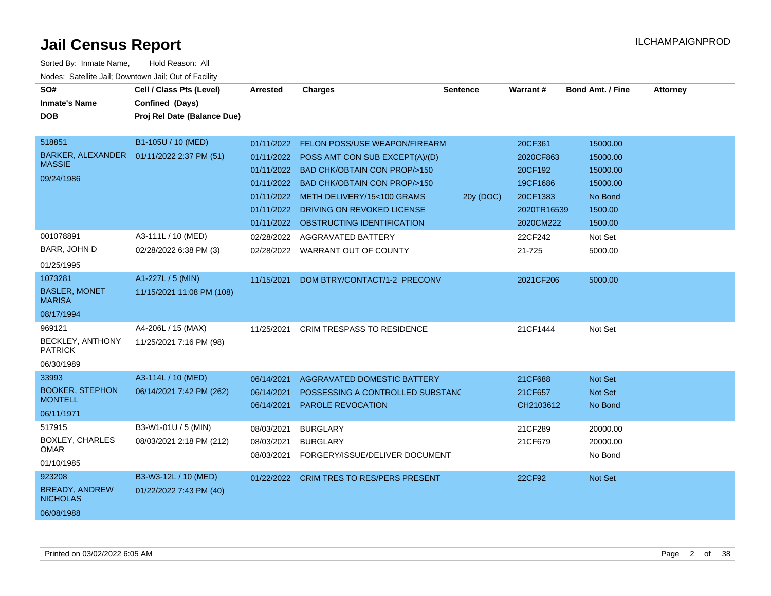| SO#<br><b>Inmate's Name</b><br><b>DOB</b>                                | Cell / Class Pts (Level)<br>Confined (Days)<br>Proj Rel Date (Balance Due) | <b>Arrested</b>                                      | <b>Charges</b>                                                                                                                                                                                                                                             | <b>Sentence</b> | Warrant#                                                                            | <b>Bond Amt. / Fine</b>                                                       | <b>Attorney</b> |
|--------------------------------------------------------------------------|----------------------------------------------------------------------------|------------------------------------------------------|------------------------------------------------------------------------------------------------------------------------------------------------------------------------------------------------------------------------------------------------------------|-----------------|-------------------------------------------------------------------------------------|-------------------------------------------------------------------------------|-----------------|
| 518851<br><b>BARKER, ALEXANDER</b><br><b>MASSIE</b><br>09/24/1986        | B1-105U / 10 (MED)<br>01/11/2022 2:37 PM (51)                              | 01/11/2022<br>01/11/2022<br>01/11/2022<br>01/11/2022 | FELON POSS/USE WEAPON/FIREARM<br>01/11/2022 POSS AMT CON SUB EXCEPT(A)/(D)<br>01/11/2022 BAD CHK/OBTAIN CON PROP/>150<br>BAD CHK/OBTAIN CON PROP/>150<br>01/11/2022 METH DELIVERY/15<100 GRAMS<br>DRIVING ON REVOKED LICENSE<br>OBSTRUCTING IDENTIFICATION | 20y (DOC)       | 20CF361<br>2020CF863<br>20CF192<br>19CF1686<br>20CF1383<br>2020TR16539<br>2020CM222 | 15000.00<br>15000.00<br>15000.00<br>15000.00<br>No Bond<br>1500.00<br>1500.00 |                 |
| 001078891<br>BARR, JOHN D<br>01/25/1995                                  | A3-111L / 10 (MED)<br>02/28/2022 6:38 PM (3)                               | 02/28/2022                                           | <b>AGGRAVATED BATTERY</b><br>02/28/2022 WARRANT OUT OF COUNTY                                                                                                                                                                                              |                 | 22CF242<br>21-725                                                                   | Not Set<br>5000.00                                                            |                 |
| 1073281<br><b>BASLER, MONET</b><br><b>MARISA</b><br>08/17/1994<br>969121 | A1-227L / 5 (MIN)<br>11/15/2021 11:08 PM (108)<br>A4-206L / 15 (MAX)       | 11/15/2021<br>11/25/2021                             | DOM BTRY/CONTACT/1-2 PRECONV<br><b>CRIM TRESPASS TO RESIDENCE</b>                                                                                                                                                                                          |                 | 2021CF206<br>21CF1444                                                               | 5000.00<br>Not Set                                                            |                 |
| BECKLEY, ANTHONY<br><b>PATRICK</b><br>06/30/1989                         | 11/25/2021 7:16 PM (98)                                                    |                                                      |                                                                                                                                                                                                                                                            |                 |                                                                                     |                                                                               |                 |
| 33993<br><b>BOOKER, STEPHON</b><br><b>MONTELL</b><br>06/11/1971          | A3-114L / 10 (MED)<br>06/14/2021 7:42 PM (262)                             | 06/14/2021<br>06/14/2021<br>06/14/2021               | AGGRAVATED DOMESTIC BATTERY<br>POSSESSING A CONTROLLED SUBSTANC<br><b>PAROLE REVOCATION</b>                                                                                                                                                                |                 | 21CF688<br>21CF657<br>CH2103612                                                     | Not Set<br>Not Set<br>No Bond                                                 |                 |
| 517915<br>BOXLEY, CHARLES<br>OMAR<br>01/10/1985                          | B3-W1-01U / 5 (MIN)<br>08/03/2021 2:18 PM (212)                            | 08/03/2021<br>08/03/2021<br>08/03/2021               | <b>BURGLARY</b><br><b>BURGLARY</b><br>FORGERY/ISSUE/DELIVER DOCUMENT                                                                                                                                                                                       |                 | 21CF289<br>21CF679                                                                  | 20000.00<br>20000.00<br>No Bond                                               |                 |
| 923208<br><b>BREADY, ANDREW</b><br><b>NICHOLAS</b><br>06/08/1988         | B3-W3-12L / 10 (MED)<br>01/22/2022 7:43 PM (40)                            | 01/22/2022                                           | <b>CRIM TRES TO RES/PERS PRESENT</b>                                                                                                                                                                                                                       |                 | 22CF92                                                                              | <b>Not Set</b>                                                                |                 |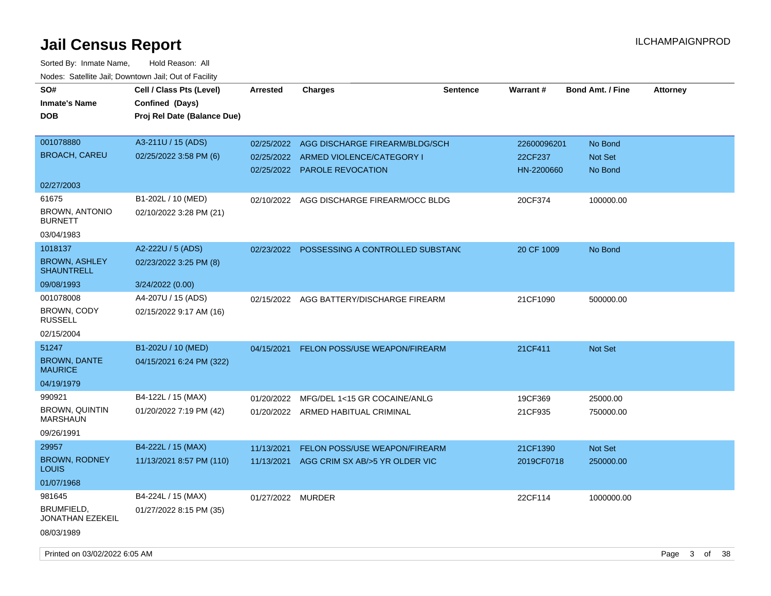| SO#<br><b>Inmate's Name</b><br><b>DOB</b> | Cell / Class Pts (Level)<br>Confined (Days)<br>Proj Rel Date (Balance Due) | <b>Arrested</b>   | <b>Charges</b>                              | <b>Sentence</b> | <b>Warrant#</b> | <b>Bond Amt. / Fine</b> | <b>Attorney</b> |
|-------------------------------------------|----------------------------------------------------------------------------|-------------------|---------------------------------------------|-----------------|-----------------|-------------------------|-----------------|
|                                           |                                                                            |                   |                                             |                 |                 |                         |                 |
| 001078880                                 | A3-211U / 15 (ADS)                                                         |                   | 02/25/2022 AGG DISCHARGE FIREARM/BLDG/SCH   |                 | 22600096201     | No Bond                 |                 |
| <b>BROACH, CAREU</b>                      | 02/25/2022 3:58 PM (6)                                                     | 02/25/2022        | ARMED VIOLENCE/CATEGORY I                   |                 | 22CF237         | Not Set                 |                 |
|                                           |                                                                            | 02/25/2022        | <b>PAROLE REVOCATION</b>                    |                 | HN-2200660      | No Bond                 |                 |
| 02/27/2003                                |                                                                            |                   |                                             |                 |                 |                         |                 |
| 61675                                     | B1-202L / 10 (MED)                                                         |                   | 02/10/2022 AGG DISCHARGE FIREARM/OCC BLDG   |                 | 20CF374         | 100000.00               |                 |
| BROWN, ANTONIO<br><b>BURNETT</b>          | 02/10/2022 3:28 PM (21)                                                    |                   |                                             |                 |                 |                         |                 |
| 03/04/1983                                |                                                                            |                   |                                             |                 |                 |                         |                 |
| 1018137                                   | A2-222U / 5 (ADS)                                                          |                   | 02/23/2022 POSSESSING A CONTROLLED SUBSTANC |                 | 20 CF 1009      | No Bond                 |                 |
| <b>BROWN, ASHLEY</b><br><b>SHAUNTRELL</b> | 02/23/2022 3:25 PM (8)                                                     |                   |                                             |                 |                 |                         |                 |
| 09/08/1993                                | 3/24/2022 (0.00)                                                           |                   |                                             |                 |                 |                         |                 |
| 001078008                                 | A4-207U / 15 (ADS)                                                         | 02/15/2022        | AGG BATTERY/DISCHARGE FIREARM               |                 | 21CF1090        | 500000.00               |                 |
| BROWN, CODY<br><b>RUSSELL</b>             | 02/15/2022 9:17 AM (16)                                                    |                   |                                             |                 |                 |                         |                 |
| 02/15/2004                                |                                                                            |                   |                                             |                 |                 |                         |                 |
| 51247                                     | B1-202U / 10 (MED)                                                         | 04/15/2021        | FELON POSS/USE WEAPON/FIREARM               |                 | 21CF411         | Not Set                 |                 |
| <b>BROWN, DANTE</b><br><b>MAURICE</b>     | 04/15/2021 6:24 PM (322)                                                   |                   |                                             |                 |                 |                         |                 |
| 04/19/1979                                |                                                                            |                   |                                             |                 |                 |                         |                 |
| 990921                                    | B4-122L / 15 (MAX)                                                         | 01/20/2022        | MFG/DEL 1<15 GR COCAINE/ANLG                |                 | 19CF369         | 25000.00                |                 |
| <b>BROWN, QUINTIN</b><br><b>MARSHAUN</b>  | 01/20/2022 7:19 PM (42)                                                    |                   | 01/20/2022 ARMED HABITUAL CRIMINAL          |                 | 21CF935         | 750000.00               |                 |
| 09/26/1991                                |                                                                            |                   |                                             |                 |                 |                         |                 |
| 29957                                     | B4-222L / 15 (MAX)                                                         | 11/13/2021        | FELON POSS/USE WEAPON/FIREARM               |                 | 21CF1390        | Not Set                 |                 |
| <b>BROWN, RODNEY</b><br><b>LOUIS</b>      | 11/13/2021 8:57 PM (110)                                                   | 11/13/2021        | AGG CRIM SX AB/>5 YR OLDER VIC              |                 | 2019CF0718      | 250000.00               |                 |
| 01/07/1968                                |                                                                            |                   |                                             |                 |                 |                         |                 |
| 981645                                    | B4-224L / 15 (MAX)                                                         | 01/27/2022 MURDER |                                             |                 | 22CF114         | 1000000.00              |                 |
| BRUMFIELD,<br>JONATHAN EZEKEIL            | 01/27/2022 8:15 PM (35)                                                    |                   |                                             |                 |                 |                         |                 |
| 08/03/1989                                |                                                                            |                   |                                             |                 |                 |                         |                 |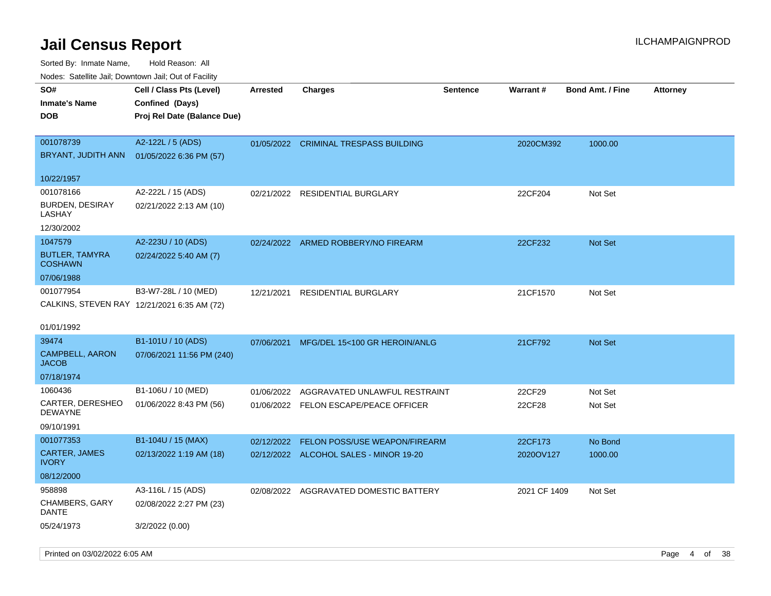| Nodes. Satellite Jali, Downtown Jali, Out of Facility |                                             |                 |                                        |                 |              |                         |                 |
|-------------------------------------------------------|---------------------------------------------|-----------------|----------------------------------------|-----------------|--------------|-------------------------|-----------------|
| SO#                                                   | Cell / Class Pts (Level)                    | <b>Arrested</b> | <b>Charges</b>                         | <b>Sentence</b> | Warrant#     | <b>Bond Amt. / Fine</b> | <b>Attorney</b> |
| Inmate's Name                                         | Confined (Days)                             |                 |                                        |                 |              |                         |                 |
| DOB                                                   | Proj Rel Date (Balance Due)                 |                 |                                        |                 |              |                         |                 |
| 001078739                                             | A2-122L / 5 (ADS)                           |                 | 01/05/2022 CRIMINAL TRESPASS BUILDING  |                 | 2020CM392    | 1000.00                 |                 |
| BRYANT, JUDITH ANN                                    | 01/05/2022 6:36 PM (57)                     |                 |                                        |                 |              |                         |                 |
|                                                       |                                             |                 |                                        |                 |              |                         |                 |
| 10/22/1957                                            |                                             |                 |                                        |                 |              |                         |                 |
| 001078166                                             | A2-222L / 15 (ADS)                          | 02/21/2022      | <b>RESIDENTIAL BURGLARY</b>            |                 | 22CF204      | Not Set                 |                 |
| <b>BURDEN, DESIRAY</b><br>LASHAY                      | 02/21/2022 2:13 AM (10)                     |                 |                                        |                 |              |                         |                 |
| 12/30/2002                                            |                                             |                 |                                        |                 |              |                         |                 |
| 1047579                                               | A2-223U / 10 (ADS)                          | 02/24/2022      | ARMED ROBBERY/NO FIREARM               |                 | 22CF232      | <b>Not Set</b>          |                 |
| <b>BUTLER, TAMYRA</b>                                 | 02/24/2022 5:40 AM (7)                      |                 |                                        |                 |              |                         |                 |
| <b>COSHAWN</b>                                        |                                             |                 |                                        |                 |              |                         |                 |
| 07/06/1988                                            |                                             |                 |                                        |                 |              |                         |                 |
| 001077954                                             | B3-W7-28L / 10 (MED)                        | 12/21/2021      | <b>RESIDENTIAL BURGLARY</b>            |                 | 21CF1570     | Not Set                 |                 |
|                                                       | CALKINS, STEVEN RAY 12/21/2021 6:35 AM (72) |                 |                                        |                 |              |                         |                 |
|                                                       |                                             |                 |                                        |                 |              |                         |                 |
| 01/01/1992                                            |                                             |                 |                                        |                 |              |                         |                 |
| 39474                                                 | B1-101U / 10 (ADS)                          | 07/06/2021      | MFG/DEL 15<100 GR HEROIN/ANLG          |                 | 21CF792      | <b>Not Set</b>          |                 |
| <b>CAMPBELL, AARON</b><br>JACOB                       | 07/06/2021 11:56 PM (240)                   |                 |                                        |                 |              |                         |                 |
| 07/18/1974                                            |                                             |                 |                                        |                 |              |                         |                 |
| 1060436                                               | B1-106U / 10 (MED)                          | 01/06/2022      | AGGRAVATED UNLAWFUL RESTRAINT          |                 | 22CF29       | Not Set                 |                 |
| CARTER, DERESHEO                                      | 01/06/2022 8:43 PM (56)                     |                 | 01/06/2022 FELON ESCAPE/PEACE OFFICER  |                 | 22CF28       | Not Set                 |                 |
| DEWAYNE                                               |                                             |                 |                                        |                 |              |                         |                 |
| 09/10/1991                                            |                                             |                 |                                        |                 |              |                         |                 |
| 001077353                                             | B1-104U / 15 (MAX)                          | 02/12/2022      | FELON POSS/USE WEAPON/FIREARM          |                 | 22CF173      | No Bond                 |                 |
| <b>CARTER, JAMES</b><br>IVORY                         | 02/13/2022 1:19 AM (18)                     |                 | 02/12/2022 ALCOHOL SALES - MINOR 19-20 |                 | 2020OV127    | 1000.00                 |                 |
| 08/12/2000                                            |                                             |                 |                                        |                 |              |                         |                 |
| 958898                                                | A3-116L / 15 (ADS)                          | 02/08/2022      | AGGRAVATED DOMESTIC BATTERY            |                 | 2021 CF 1409 | Not Set                 |                 |
| <b>CHAMBERS, GARY</b><br>DANTE                        | 02/08/2022 2:27 PM (23)                     |                 |                                        |                 |              |                         |                 |
| 05/24/1973                                            | 3/2/2022 (0.00)                             |                 |                                        |                 |              |                         |                 |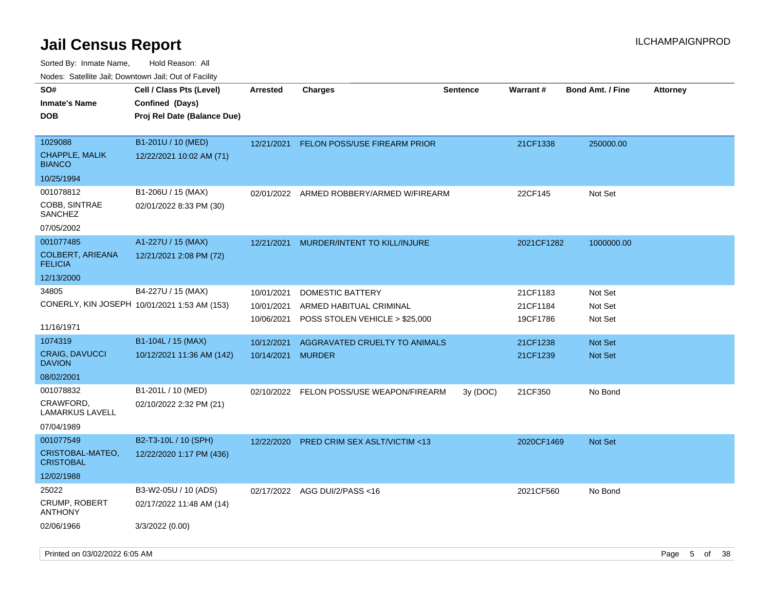| rouco. Calcinic Jan, Downtown Jan, Out of Facility |                                              |                 |                                          |                 |            |                         |                 |
|----------------------------------------------------|----------------------------------------------|-----------------|------------------------------------------|-----------------|------------|-------------------------|-----------------|
| SO#<br>Inmate's Name                               | Cell / Class Pts (Level)<br>Confined (Days)  | <b>Arrested</b> | <b>Charges</b>                           | <b>Sentence</b> | Warrant#   | <b>Bond Amt. / Fine</b> | <b>Attorney</b> |
| <b>DOB</b>                                         | Proj Rel Date (Balance Due)                  |                 |                                          |                 |            |                         |                 |
| 1029088                                            | B1-201U / 10 (MED)                           | 12/21/2021      | <b>FELON POSS/USE FIREARM PRIOR</b>      |                 | 21CF1338   | 250000.00               |                 |
| <b>CHAPPLE, MALIK</b><br><b>BIANCO</b>             | 12/22/2021 10:02 AM (71)                     |                 |                                          |                 |            |                         |                 |
| 10/25/1994                                         |                                              |                 |                                          |                 |            |                         |                 |
| 001078812                                          | B1-206U / 15 (MAX)                           |                 | 02/01/2022 ARMED ROBBERY/ARMED W/FIREARM |                 | 22CF145    | Not Set                 |                 |
| COBB, SINTRAE<br>SANCHEZ                           | 02/01/2022 8:33 PM (30)                      |                 |                                          |                 |            |                         |                 |
| 07/05/2002                                         |                                              |                 |                                          |                 |            |                         |                 |
| 001077485                                          | A1-227U / 15 (MAX)                           | 12/21/2021      | MURDER/INTENT TO KILL/INJURE             |                 | 2021CF1282 | 1000000.00              |                 |
| <b>COLBERT, ARIEANA</b><br><b>FELICIA</b>          | 12/21/2021 2:08 PM (72)                      |                 |                                          |                 |            |                         |                 |
| 12/13/2000                                         |                                              |                 |                                          |                 |            |                         |                 |
| 34805                                              | B4-227U / 15 (MAX)                           | 10/01/2021      | DOMESTIC BATTERY                         |                 | 21CF1183   | Not Set                 |                 |
|                                                    | CONERLY, KIN JOSEPH 10/01/2021 1:53 AM (153) | 10/01/2021      | ARMED HABITUAL CRIMINAL                  |                 | 21CF1184   | Not Set                 |                 |
| 11/16/1971                                         |                                              | 10/06/2021      | POSS STOLEN VEHICLE > \$25,000           |                 | 19CF1786   | Not Set                 |                 |
| 1074319                                            | B1-104L / 15 (MAX)                           | 10/12/2021      | AGGRAVATED CRUELTY TO ANIMALS            |                 | 21CF1238   | <b>Not Set</b>          |                 |
| <b>CRAIG, DAVUCCI</b><br><b>DAVION</b>             | 10/12/2021 11:36 AM (142)                    | 10/14/2021      | <b>MURDER</b>                            |                 | 21CF1239   | <b>Not Set</b>          |                 |
| 08/02/2001                                         |                                              |                 |                                          |                 |            |                         |                 |
| 001078832                                          | B1-201L / 10 (MED)                           |                 | 02/10/2022 FELON POSS/USE WEAPON/FIREARM | 3y(DOC)         | 21CF350    | No Bond                 |                 |
| CRAWFORD,<br>LAMARKUS LAVELL                       | 02/10/2022 2:32 PM (21)                      |                 |                                          |                 |            |                         |                 |
| 07/04/1989                                         |                                              |                 |                                          |                 |            |                         |                 |
| 001077549                                          | B2-T3-10L / 10 (SPH)                         | 12/22/2020      | PRED CRIM SEX ASLT/VICTIM <13            |                 | 2020CF1469 | <b>Not Set</b>          |                 |
| CRISTOBAL-MATEO,<br>CRISTOBAL                      | 12/22/2020 1:17 PM (436)                     |                 |                                          |                 |            |                         |                 |
| 12/02/1988                                         |                                              |                 |                                          |                 |            |                         |                 |
| 25022                                              | B3-W2-05U / 10 (ADS)                         |                 | 02/17/2022 AGG DUI/2/PASS<16             |                 | 2021CF560  | No Bond                 |                 |
| CRUMP, ROBERT<br>ANTHONY                           | 02/17/2022 11:48 AM (14)                     |                 |                                          |                 |            |                         |                 |
| 02/06/1966                                         | 3/3/2022 (0.00)                              |                 |                                          |                 |            |                         |                 |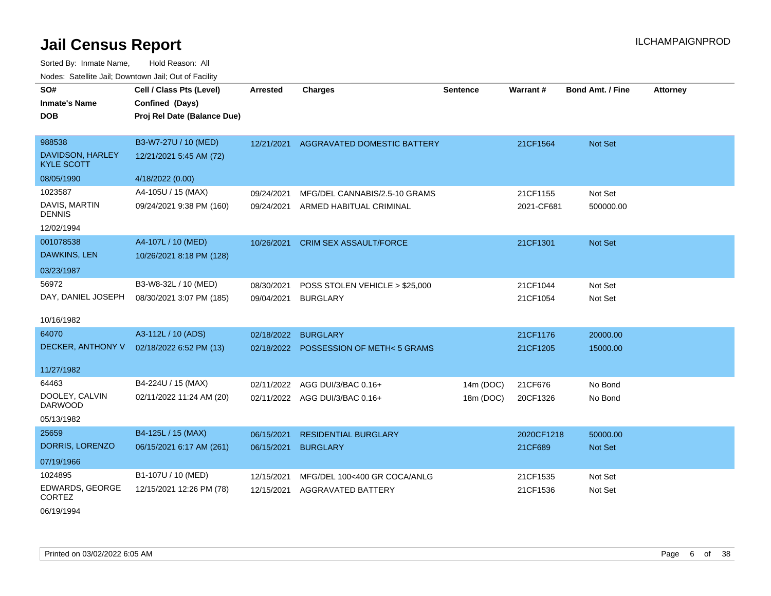Sorted By: Inmate Name, Hold Reason: All Nodes: Satellite Jail; Downtown Jail; Out of Facility

| SO#<br><b>Inmate's Name</b><br><b>DOB</b> | Cell / Class Pts (Level)<br>Confined (Days)<br>Proj Rel Date (Balance Due) | <b>Arrested</b> | <b>Charges</b>                        | Sentence  | Warrant#   | <b>Bond Amt. / Fine</b> | <b>Attorney</b> |
|-------------------------------------------|----------------------------------------------------------------------------|-----------------|---------------------------------------|-----------|------------|-------------------------|-----------------|
|                                           |                                                                            |                 |                                       |           |            |                         |                 |
| 988538                                    | B3-W7-27U / 10 (MED)                                                       | 12/21/2021      | <b>AGGRAVATED DOMESTIC BATTERY</b>    |           | 21CF1564   | Not Set                 |                 |
| DAVIDSON, HARLEY<br><b>KYLE SCOTT</b>     | 12/21/2021 5:45 AM (72)                                                    |                 |                                       |           |            |                         |                 |
| 08/05/1990                                | 4/18/2022 (0.00)                                                           |                 |                                       |           |            |                         |                 |
| 1023587                                   | A4-105U / 15 (MAX)                                                         | 09/24/2021      | MFG/DEL CANNABIS/2.5-10 GRAMS         |           | 21CF1155   | Not Set                 |                 |
| DAVIS, MARTIN<br><b>DENNIS</b>            | 09/24/2021 9:38 PM (160)                                                   | 09/24/2021      | ARMED HABITUAL CRIMINAL               |           | 2021-CF681 | 500000.00               |                 |
| 12/02/1994                                |                                                                            |                 |                                       |           |            |                         |                 |
| 001078538                                 | A4-107L / 10 (MED)                                                         | 10/26/2021      | CRIM SEX ASSAULT/FORCE                |           | 21CF1301   | Not Set                 |                 |
| DAWKINS, LEN                              | 10/26/2021 8:18 PM (128)                                                   |                 |                                       |           |            |                         |                 |
| 03/23/1987                                |                                                                            |                 |                                       |           |            |                         |                 |
| 56972                                     | B3-W8-32L / 10 (MED)                                                       | 08/30/2021      | POSS STOLEN VEHICLE > \$25,000        |           | 21CF1044   | Not Set                 |                 |
| DAY, DANIEL JOSEPH                        | 08/30/2021 3:07 PM (185)                                                   | 09/04/2021      | <b>BURGLARY</b>                       |           | 21CF1054   | Not Set                 |                 |
| 10/16/1982                                |                                                                            |                 |                                       |           |            |                         |                 |
| 64070                                     | A3-112L / 10 (ADS)                                                         | 02/18/2022      | <b>BURGLARY</b>                       |           | 21CF1176   | 20000.00                |                 |
| DECKER, ANTHONY V                         | 02/18/2022 6:52 PM (13)                                                    |                 | 02/18/2022 POSSESSION OF METH<5 GRAMS |           | 21CF1205   | 15000.00                |                 |
| 11/27/1982                                |                                                                            |                 |                                       |           |            |                         |                 |
| 64463                                     | B4-224U / 15 (MAX)                                                         |                 |                                       |           |            |                         |                 |
| DOOLEY, CALVIN                            | 02/11/2022 11:24 AM (20)                                                   | 02/11/2022      | AGG DUI/3/BAC 0.16+                   | 14m (DOC) | 21CF676    | No Bond                 |                 |
| <b>DARWOOD</b>                            |                                                                            |                 | 02/11/2022 AGG DUI/3/BAC 0.16+        | 18m (DOC) | 20CF1326   | No Bond                 |                 |
| 05/13/1982                                |                                                                            |                 |                                       |           |            |                         |                 |
| 25659                                     | B4-125L / 15 (MAX)                                                         | 06/15/2021      | <b>RESIDENTIAL BURGLARY</b>           |           | 2020CF1218 | 50000.00                |                 |
| DORRIS, LORENZO                           | 06/15/2021 6:17 AM (261)                                                   | 06/15/2021      | <b>BURGLARY</b>                       |           | 21CF689    | <b>Not Set</b>          |                 |
| 07/19/1966                                |                                                                            |                 |                                       |           |            |                         |                 |
| 1024895                                   | B1-107U / 10 (MED)                                                         | 12/15/2021      | MFG/DEL 100<400 GR COCA/ANLG          |           | 21CF1535   | Not Set                 |                 |
| EDWARDS, GEORGE<br><b>CORTEZ</b>          | 12/15/2021 12:26 PM (78)                                                   | 12/15/2021      | <b>AGGRAVATED BATTERY</b>             |           | 21CF1536   | Not Set                 |                 |

06/19/1994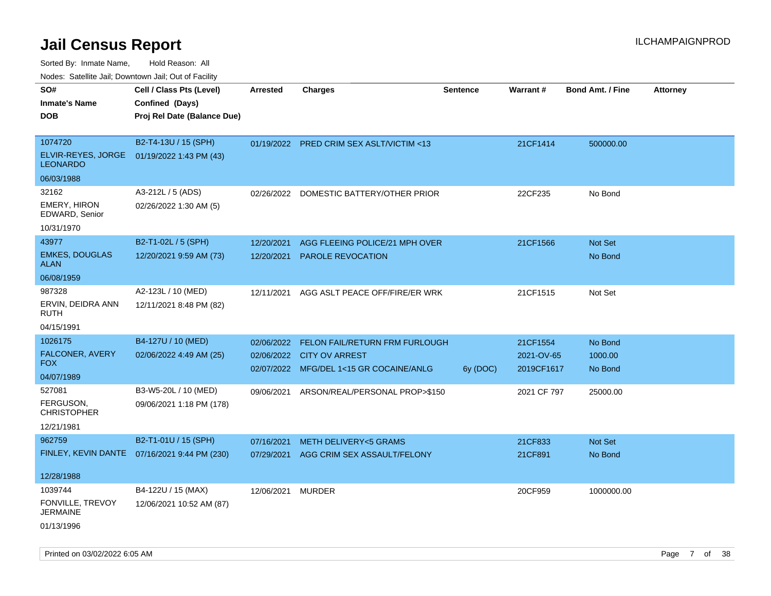Sorted By: Inmate Name, Hold Reason: All

Nodes: Satellite Jail; Downtown Jail; Out of Facility

| SO#<br><b>Inmate's Name</b>           | Cell / Class Pts (Level)<br>Confined (Days)   | <b>Arrested</b>   | <b>Charges</b>                           | <b>Sentence</b> | <b>Warrant#</b> | <b>Bond Amt. / Fine</b> | <b>Attorney</b> |
|---------------------------------------|-----------------------------------------------|-------------------|------------------------------------------|-----------------|-----------------|-------------------------|-----------------|
| <b>DOB</b>                            | Proj Rel Date (Balance Due)                   |                   |                                          |                 |                 |                         |                 |
|                                       |                                               |                   |                                          |                 |                 |                         |                 |
| 1074720                               | B2-T4-13U / 15 (SPH)                          |                   | 01/19/2022 PRED CRIM SEX ASLT/VICTIM <13 |                 | 21CF1414        | 500000.00               |                 |
| ELVIR-REYES, JORGE<br><b>LEONARDO</b> | 01/19/2022 1:43 PM (43)                       |                   |                                          |                 |                 |                         |                 |
| 06/03/1988                            |                                               |                   |                                          |                 |                 |                         |                 |
| 32162                                 | A3-212L / 5 (ADS)                             | 02/26/2022        | DOMESTIC BATTERY/OTHER PRIOR             |                 | 22CF235         | No Bond                 |                 |
| EMERY, HIRON<br>EDWARD, Senior        | 02/26/2022 1:30 AM (5)                        |                   |                                          |                 |                 |                         |                 |
| 10/31/1970                            |                                               |                   |                                          |                 |                 |                         |                 |
| 43977                                 | B2-T1-02L / 5 (SPH)                           | 12/20/2021        | AGG FLEEING POLICE/21 MPH OVER           |                 | 21CF1566        | Not Set                 |                 |
| <b>EMKES, DOUGLAS</b><br><b>ALAN</b>  | 12/20/2021 9:59 AM (73)                       | 12/20/2021        | <b>PAROLE REVOCATION</b>                 |                 |                 | No Bond                 |                 |
| 06/08/1959                            |                                               |                   |                                          |                 |                 |                         |                 |
| 987328                                | A2-123L / 10 (MED)                            | 12/11/2021        | AGG ASLT PEACE OFF/FIRE/ER WRK           |                 | 21CF1515        | Not Set                 |                 |
| ERVIN, DEIDRA ANN<br>RUTH             | 12/11/2021 8:48 PM (82)                       |                   |                                          |                 |                 |                         |                 |
| 04/15/1991                            |                                               |                   |                                          |                 |                 |                         |                 |
| 1026175                               | B4-127U / 10 (MED)                            | 02/06/2022        | FELON FAIL/RETURN FRM FURLOUGH           |                 | 21CF1554        | No Bond                 |                 |
| FALCONER, AVERY<br><b>FOX</b>         | 02/06/2022 4:49 AM (25)                       |                   | 02/06/2022 CITY OV ARREST                |                 | 2021-OV-65      | 1000.00                 |                 |
| 04/07/1989                            |                                               |                   | 02/07/2022 MFG/DEL 1<15 GR COCAINE/ANLG  | 6y (DOC)        | 2019CF1617      | No Bond                 |                 |
| 527081                                | B3-W5-20L / 10 (MED)                          |                   |                                          |                 |                 |                         |                 |
| FERGUSON.                             | 09/06/2021 1:18 PM (178)                      | 09/06/2021        | ARSON/REAL/PERSONAL PROP>\$150           |                 | 2021 CF 797     | 25000.00                |                 |
| <b>CHRISTOPHER</b>                    |                                               |                   |                                          |                 |                 |                         |                 |
| 12/21/1981                            |                                               |                   |                                          |                 |                 |                         |                 |
| 962759                                | B2-T1-01U / 15 (SPH)                          | 07/16/2021        | METH DELIVERY<5 GRAMS                    |                 | 21CF833         | Not Set                 |                 |
|                                       | FINLEY, KEVIN DANTE  07/16/2021 9:44 PM (230) |                   | 07/29/2021 AGG CRIM SEX ASSAULT/FELONY   |                 | 21CF891         | No Bond                 |                 |
| 12/28/1988                            |                                               |                   |                                          |                 |                 |                         |                 |
| 1039744                               | B4-122U / 15 (MAX)                            | 12/06/2021 MURDER |                                          |                 | 20CF959         | 1000000.00              |                 |
| FONVILLE, TREVOY<br><b>JERMAINE</b>   | 12/06/2021 10:52 AM (87)                      |                   |                                          |                 |                 |                         |                 |
| 01/13/1996                            |                                               |                   |                                          |                 |                 |                         |                 |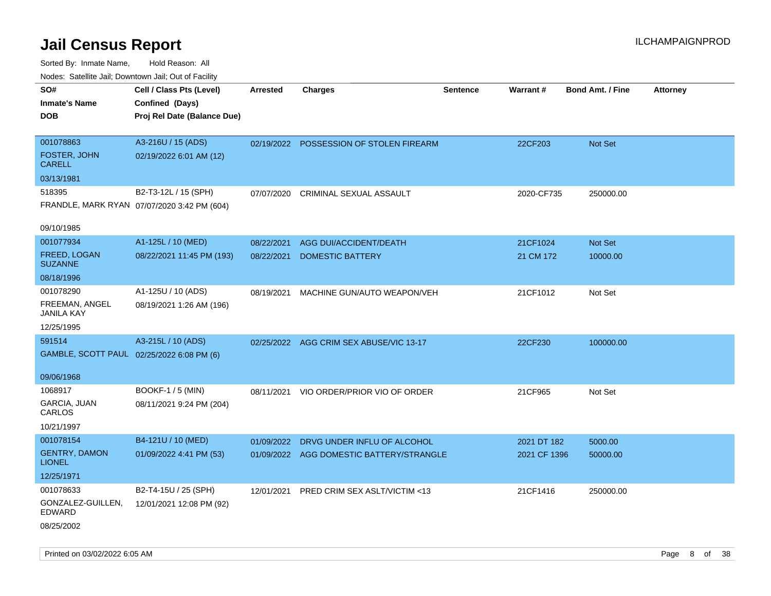| Noues. Salemie Jan, Downlown Jan, Out of Facility |                                             |            |                                          |                 |                 |                         |                 |
|---------------------------------------------------|---------------------------------------------|------------|------------------------------------------|-----------------|-----------------|-------------------------|-----------------|
| SO#                                               | Cell / Class Pts (Level)                    | Arrested   | <b>Charges</b>                           | <b>Sentence</b> | <b>Warrant#</b> | <b>Bond Amt. / Fine</b> | <b>Attorney</b> |
| <b>Inmate's Name</b>                              | Confined (Days)                             |            |                                          |                 |                 |                         |                 |
| <b>DOB</b>                                        | Proj Rel Date (Balance Due)                 |            |                                          |                 |                 |                         |                 |
|                                                   |                                             |            |                                          |                 |                 |                         |                 |
| 001078863                                         | A3-216U / 15 (ADS)                          |            | 02/19/2022 POSSESSION OF STOLEN FIREARM  |                 | 22CF203         | Not Set                 |                 |
| FOSTER, JOHN<br><b>CARELL</b>                     | 02/19/2022 6:01 AM (12)                     |            |                                          |                 |                 |                         |                 |
| 03/13/1981                                        |                                             |            |                                          |                 |                 |                         |                 |
| 518395                                            | B2-T3-12L / 15 (SPH)                        | 07/07/2020 | CRIMINAL SEXUAL ASSAULT                  |                 | 2020-CF735      | 250000.00               |                 |
|                                                   | FRANDLE, MARK RYAN 07/07/2020 3:42 PM (604) |            |                                          |                 |                 |                         |                 |
| 09/10/1985                                        |                                             |            |                                          |                 |                 |                         |                 |
| 001077934                                         | A1-125L / 10 (MED)                          | 08/22/2021 | <b>AGG DUI/ACCIDENT/DEATH</b>            |                 | 21CF1024        | Not Set                 |                 |
| FREED, LOGAN<br><b>SUZANNE</b>                    | 08/22/2021 11:45 PM (193)                   | 08/22/2021 | <b>DOMESTIC BATTERY</b>                  |                 | 21 CM 172       | 10000.00                |                 |
| 08/18/1996                                        |                                             |            |                                          |                 |                 |                         |                 |
| 001078290                                         | A1-125U / 10 (ADS)                          | 08/19/2021 | MACHINE GUN/AUTO WEAPON/VEH              |                 | 21CF1012        | Not Set                 |                 |
| FREEMAN, ANGEL<br>JANILA KAY                      | 08/19/2021 1:26 AM (196)                    |            |                                          |                 |                 |                         |                 |
| 12/25/1995                                        |                                             |            |                                          |                 |                 |                         |                 |
| 591514                                            | A3-215L / 10 (ADS)                          |            | 02/25/2022 AGG CRIM SEX ABUSE/VIC 13-17  |                 | 22CF230         | 100000.00               |                 |
| GAMBLE, SCOTT PAUL 02/25/2022 6:08 PM (6)         |                                             |            |                                          |                 |                 |                         |                 |
|                                                   |                                             |            |                                          |                 |                 |                         |                 |
| 09/06/1968                                        |                                             |            |                                          |                 |                 |                         |                 |
| 1068917                                           | <b>BOOKF-1 / 5 (MIN)</b>                    | 08/11/2021 | VIO ORDER/PRIOR VIO OF ORDER             |                 | 21CF965         | Not Set                 |                 |
| <b>GARCIA, JUAN</b><br>CARLOS                     | 08/11/2021 9:24 PM (204)                    |            |                                          |                 |                 |                         |                 |
| 10/21/1997                                        |                                             |            |                                          |                 |                 |                         |                 |
| 001078154                                         | B4-121U / 10 (MED)                          | 01/09/2022 | DRVG UNDER INFLU OF ALCOHOL              |                 | 2021 DT 182     | 5000.00                 |                 |
| <b>GENTRY, DAMON</b><br><b>LIONEL</b>             | 01/09/2022 4:41 PM (53)                     |            | 01/09/2022 AGG DOMESTIC BATTERY/STRANGLE |                 | 2021 CF 1396    | 50000.00                |                 |
| 12/25/1971                                        |                                             |            |                                          |                 |                 |                         |                 |
| 001078633                                         | B2-T4-15U / 25 (SPH)                        | 12/01/2021 | PRED CRIM SEX ASLT/VICTIM <13            |                 | 21CF1416        | 250000.00               |                 |
| GONZALEZ-GUILLEN,<br><b>EDWARD</b>                | 12/01/2021 12:08 PM (92)                    |            |                                          |                 |                 |                         |                 |
| 08/25/2002                                        |                                             |            |                                          |                 |                 |                         |                 |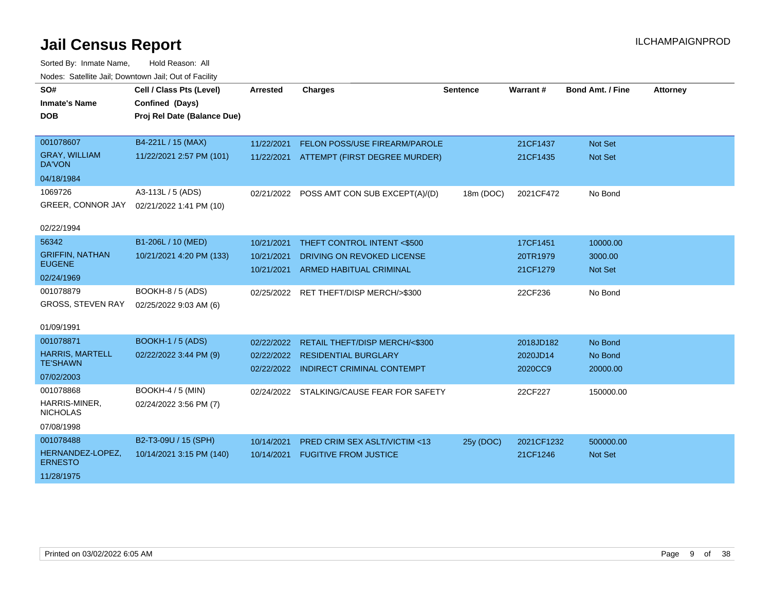| SO#                                       | Cell / Class Pts (Level)    | Arrested   | <b>Charges</b>                            | <b>Sentence</b> | Warrant#   | <b>Bond Amt. / Fine</b> | <b>Attorney</b> |
|-------------------------------------------|-----------------------------|------------|-------------------------------------------|-----------------|------------|-------------------------|-----------------|
| <b>Inmate's Name</b>                      | Confined (Days)             |            |                                           |                 |            |                         |                 |
| <b>DOB</b>                                | Proj Rel Date (Balance Due) |            |                                           |                 |            |                         |                 |
|                                           |                             |            |                                           |                 |            |                         |                 |
| 001078607                                 | B4-221L / 15 (MAX)          | 11/22/2021 | <b>FELON POSS/USE FIREARM/PAROLE</b>      |                 | 21CF1437   | Not Set                 |                 |
| <b>GRAY. WILLIAM</b><br>DA'VON            | 11/22/2021 2:57 PM (101)    |            | 11/22/2021 ATTEMPT (FIRST DEGREE MURDER)  |                 | 21CF1435   | <b>Not Set</b>          |                 |
| 04/18/1984                                |                             |            |                                           |                 |            |                         |                 |
| 1069726                                   | A3-113L / 5 (ADS)           |            | 02/21/2022 POSS AMT CON SUB EXCEPT(A)/(D) | 18m (DOC)       | 2021CF472  | No Bond                 |                 |
| GREER, CONNOR JAY                         | 02/21/2022 1:41 PM (10)     |            |                                           |                 |            |                         |                 |
| 02/22/1994                                |                             |            |                                           |                 |            |                         |                 |
| 56342                                     | B1-206L / 10 (MED)          | 10/21/2021 | THEFT CONTROL INTENT <\$500               |                 | 17CF1451   | 10000.00                |                 |
| <b>GRIFFIN, NATHAN</b>                    | 10/21/2021 4:20 PM (133)    | 10/21/2021 | DRIVING ON REVOKED LICENSE                |                 | 20TR1979   | 3000.00                 |                 |
| <b>EUGENE</b>                             |                             | 10/21/2021 | <b>ARMED HABITUAL CRIMINAL</b>            |                 | 21CF1279   | <b>Not Set</b>          |                 |
| 02/24/1969                                |                             |            |                                           |                 |            |                         |                 |
| 001078879                                 | BOOKH-8 / 5 (ADS)           |            | 02/25/2022 RET THEFT/DISP MERCH/>\$300    |                 | 22CF236    | No Bond                 |                 |
| <b>GROSS, STEVEN RAY</b>                  | 02/25/2022 9:03 AM (6)      |            |                                           |                 |            |                         |                 |
| 01/09/1991                                |                             |            |                                           |                 |            |                         |                 |
|                                           |                             |            |                                           |                 |            |                         |                 |
| 001078871                                 | <b>BOOKH-1 / 5 (ADS)</b>    | 02/22/2022 | RETAIL THEFT/DISP MERCH/<\$300            |                 | 2018JD182  | No Bond                 |                 |
| <b>HARRIS, MARTELL</b><br><b>TE'SHAWN</b> | 02/22/2022 3:44 PM (9)      |            | 02/22/2022 RESIDENTIAL BURGLARY           |                 | 2020JD14   | No Bond                 |                 |
|                                           |                             |            | 02/22/2022 INDIRECT CRIMINAL CONTEMPT     |                 | 2020CC9    | 20000.00                |                 |
| 07/02/2003                                |                             |            |                                           |                 |            |                         |                 |
| 001078868                                 | <b>BOOKH-4 / 5 (MIN)</b>    |            | 02/24/2022 STALKING/CAUSE FEAR FOR SAFETY |                 | 22CF227    | 150000.00               |                 |
| HARRIS-MINER,<br><b>NICHOLAS</b>          | 02/24/2022 3:56 PM (7)      |            |                                           |                 |            |                         |                 |
| 07/08/1998                                |                             |            |                                           |                 |            |                         |                 |
| 001078488                                 | B2-T3-09U / 15 (SPH)        | 10/14/2021 | <b>PRED CRIM SEX ASLT/VICTIM &lt;13</b>   | 25y (DOC)       | 2021CF1232 | 500000.00               |                 |
| HERNANDEZ-LOPEZ,<br><b>ERNESTO</b>        | 10/14/2021 3:15 PM (140)    | 10/14/2021 | <b>FUGITIVE FROM JUSTICE</b>              |                 | 21CF1246   | <b>Not Set</b>          |                 |
| 11/28/1975                                |                             |            |                                           |                 |            |                         |                 |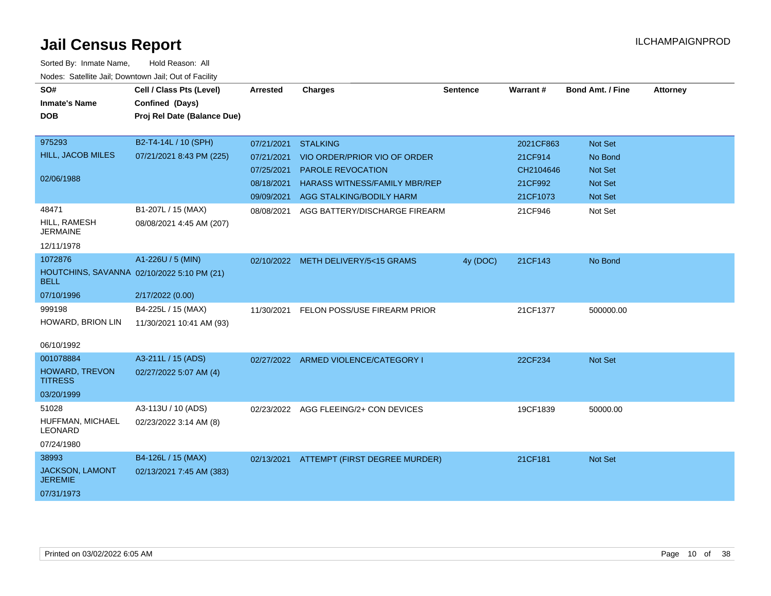| SO#                                                       | Cell / Class Pts (Level)    | <b>Arrested</b> | <b>Charges</b>                           | <b>Sentence</b> | Warrant#  | <b>Bond Amt. / Fine</b> | <b>Attorney</b> |
|-----------------------------------------------------------|-----------------------------|-----------------|------------------------------------------|-----------------|-----------|-------------------------|-----------------|
| <b>Inmate's Name</b>                                      | Confined (Days)             |                 |                                          |                 |           |                         |                 |
| <b>DOB</b>                                                | Proj Rel Date (Balance Due) |                 |                                          |                 |           |                         |                 |
|                                                           |                             |                 |                                          |                 |           |                         |                 |
| 975293                                                    | B2-T4-14L / 10 (SPH)        | 07/21/2021      | <b>STALKING</b>                          |                 | 2021CF863 | <b>Not Set</b>          |                 |
| HILL, JACOB MILES                                         | 07/21/2021 8:43 PM (225)    | 07/21/2021      | VIO ORDER/PRIOR VIO OF ORDER             |                 | 21CF914   | No Bond                 |                 |
|                                                           |                             | 07/25/2021      | PAROLE REVOCATION                        |                 | CH2104646 | Not Set                 |                 |
| 02/06/1988                                                |                             | 08/18/2021      | <b>HARASS WITNESS/FAMILY MBR/REP</b>     |                 | 21CF992   | <b>Not Set</b>          |                 |
|                                                           |                             | 09/09/2021      | AGG STALKING/BODILY HARM                 |                 | 21CF1073  | <b>Not Set</b>          |                 |
| 48471                                                     | B1-207L / 15 (MAX)          | 08/08/2021      | AGG BATTERY/DISCHARGE FIREARM            |                 | 21CF946   | Not Set                 |                 |
| HILL, RAMESH<br><b>JERMAINE</b>                           | 08/08/2021 4:45 AM (207)    |                 |                                          |                 |           |                         |                 |
| 12/11/1978                                                |                             |                 |                                          |                 |           |                         |                 |
| 1072876                                                   | A1-226U / 5 (MIN)           |                 | 02/10/2022 METH DELIVERY/5<15 GRAMS      | 4y (DOC)        | 21CF143   | No Bond                 |                 |
| HOUTCHINS, SAVANNA 02/10/2022 5:10 PM (21)<br><b>BELL</b> |                             |                 |                                          |                 |           |                         |                 |
| 07/10/1996                                                | 2/17/2022 (0.00)            |                 |                                          |                 |           |                         |                 |
| 999198                                                    | B4-225L / 15 (MAX)          | 11/30/2021      | FELON POSS/USE FIREARM PRIOR             |                 | 21CF1377  | 500000.00               |                 |
| HOWARD, BRION LIN                                         | 11/30/2021 10:41 AM (93)    |                 |                                          |                 |           |                         |                 |
|                                                           |                             |                 |                                          |                 |           |                         |                 |
| 06/10/1992                                                |                             |                 |                                          |                 |           |                         |                 |
| 001078884                                                 | A3-211L / 15 (ADS)          |                 | 02/27/2022 ARMED VIOLENCE/CATEGORY I     |                 | 22CF234   | <b>Not Set</b>          |                 |
| HOWARD, TREVON<br><b>TITRESS</b>                          | 02/27/2022 5:07 AM (4)      |                 |                                          |                 |           |                         |                 |
| 03/20/1999                                                |                             |                 |                                          |                 |           |                         |                 |
| 51028                                                     | A3-113U / 10 (ADS)          |                 | 02/23/2022 AGG FLEEING/2+ CON DEVICES    |                 | 19CF1839  | 50000.00                |                 |
| HUFFMAN, MICHAEL<br><b>LEONARD</b>                        | 02/23/2022 3:14 AM (8)      |                 |                                          |                 |           |                         |                 |
| 07/24/1980                                                |                             |                 |                                          |                 |           |                         |                 |
| 38993                                                     | B4-126L / 15 (MAX)          |                 | 02/13/2021 ATTEMPT (FIRST DEGREE MURDER) |                 | 21CF181   | <b>Not Set</b>          |                 |
| JACKSON, LAMONT<br><b>JEREMIE</b>                         | 02/13/2021 7:45 AM (383)    |                 |                                          |                 |           |                         |                 |
| 07/31/1973                                                |                             |                 |                                          |                 |           |                         |                 |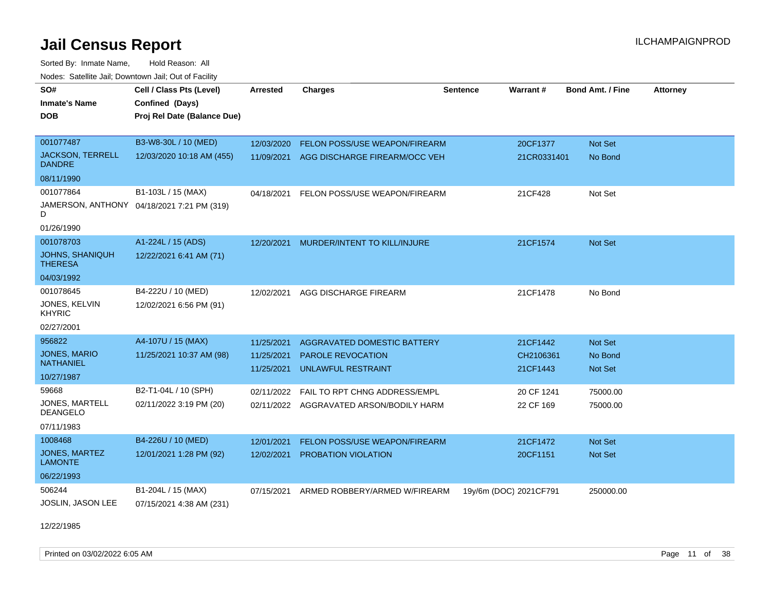Sorted By: Inmate Name, Hold Reason: All Nodes: Satellite Jail; Downtown Jail; Out of Facility

| SO#<br><b>Inmate's Name</b><br><b>DOB</b> | Cell / Class Pts (Level)<br>Confined (Days)<br>Proj Rel Date (Balance Due) | <b>Arrested</b> | <b>Charges</b>                     | <b>Sentence</b>        | Warrant#    | <b>Bond Amt. / Fine</b> | <b>Attorney</b> |
|-------------------------------------------|----------------------------------------------------------------------------|-----------------|------------------------------------|------------------------|-------------|-------------------------|-----------------|
| 001077487                                 | B3-W8-30L / 10 (MED)                                                       | 12/03/2020      | FELON POSS/USE WEAPON/FIREARM      |                        | 20CF1377    | Not Set                 |                 |
| <b>JACKSON, TERRELL</b><br><b>DANDRE</b>  | 12/03/2020 10:18 AM (455)                                                  | 11/09/2021      | AGG DISCHARGE FIREARM/OCC VEH      |                        | 21CR0331401 | No Bond                 |                 |
| 08/11/1990                                |                                                                            |                 |                                    |                        |             |                         |                 |
| 001077864                                 | B1-103L / 15 (MAX)                                                         | 04/18/2021      | FELON POSS/USE WEAPON/FIREARM      |                        | 21CF428     | Not Set                 |                 |
| D                                         | JAMERSON, ANTHONY 04/18/2021 7:21 PM (319)                                 |                 |                                    |                        |             |                         |                 |
| 01/26/1990                                |                                                                            |                 |                                    |                        |             |                         |                 |
| 001078703                                 | A1-224L / 15 (ADS)                                                         | 12/20/2021      | MURDER/INTENT TO KILL/INJURE       |                        | 21CF1574    | Not Set                 |                 |
| <b>JOHNS, SHANIQUH</b><br><b>THERESA</b>  | 12/22/2021 6:41 AM (71)                                                    |                 |                                    |                        |             |                         |                 |
| 04/03/1992                                |                                                                            |                 |                                    |                        |             |                         |                 |
| 001078645                                 | B4-222U / 10 (MED)                                                         | 12/02/2021      | AGG DISCHARGE FIREARM              |                        | 21CF1478    | No Bond                 |                 |
| JONES, KELVIN<br><b>KHYRIC</b>            | 12/02/2021 6:56 PM (91)                                                    |                 |                                    |                        |             |                         |                 |
| 02/27/2001                                |                                                                            |                 |                                    |                        |             |                         |                 |
| 956822                                    | A4-107U / 15 (MAX)                                                         | 11/25/2021      | <b>AGGRAVATED DOMESTIC BATTERY</b> |                        | 21CF1442    | Not Set                 |                 |
| <b>JONES, MARIO</b>                       | 11/25/2021 10:37 AM (98)                                                   | 11/25/2021      | PAROLE REVOCATION                  |                        | CH2106361   | No Bond                 |                 |
| <b>NATHANIEL</b>                          |                                                                            | 11/25/2021      | <b>UNLAWFUL RESTRAINT</b>          |                        | 21CF1443    | Not Set                 |                 |
| 10/27/1987                                |                                                                            |                 |                                    |                        |             |                         |                 |
| 59668                                     | B2-T1-04L / 10 (SPH)                                                       | 02/11/2022      | FAIL TO RPT CHNG ADDRESS/EMPL      |                        | 20 CF 1241  | 75000.00                |                 |
| JONES, MARTELL<br><b>DEANGELO</b>         | 02/11/2022 3:19 PM (20)                                                    | 02/11/2022      | AGGRAVATED ARSON/BODILY HARM       |                        | 22 CF 169   | 75000.00                |                 |
| 07/11/1983                                |                                                                            |                 |                                    |                        |             |                         |                 |
| 1008468                                   | B4-226U / 10 (MED)                                                         | 12/01/2021      | FELON POSS/USE WEAPON/FIREARM      |                        | 21CF1472    | Not Set                 |                 |
| <b>JONES, MARTEZ</b><br><b>LAMONTE</b>    | 12/01/2021 1:28 PM (92)                                                    | 12/02/2021      | PROBATION VIOLATION                |                        | 20CF1151    | Not Set                 |                 |
| 06/22/1993                                |                                                                            |                 |                                    |                        |             |                         |                 |
| 506244                                    | B1-204L / 15 (MAX)                                                         | 07/15/2021      | ARMED ROBBERY/ARMED W/FIREARM      | 19y/6m (DOC) 2021CF791 |             | 250000.00               |                 |
| JOSLIN, JASON LEE                         | 07/15/2021 4:38 AM (231)                                                   |                 |                                    |                        |             |                         |                 |

12/22/1985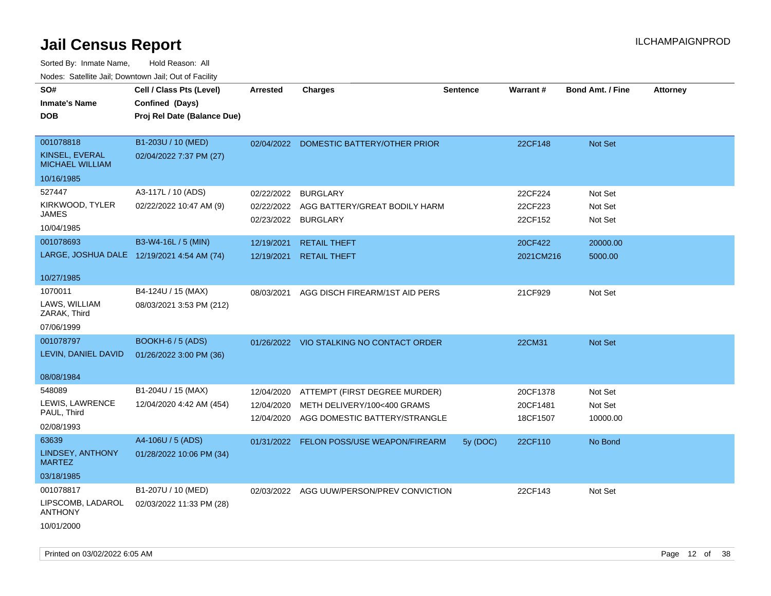| Todoo: Catolino can, Bomnomii can, Oat of Faoint<br>SO#<br><b>Inmate's Name</b><br><b>DOB</b> | Cell / Class Pts (Level)<br>Confined (Days)<br>Proj Rel Date (Balance Due) | <b>Arrested</b> | <b>Charges</b>                            | <b>Sentence</b> | Warrant#  | <b>Bond Amt. / Fine</b> | <b>Attorney</b> |
|-----------------------------------------------------------------------------------------------|----------------------------------------------------------------------------|-----------------|-------------------------------------------|-----------------|-----------|-------------------------|-----------------|
|                                                                                               |                                                                            |                 |                                           |                 |           |                         |                 |
| 001078818                                                                                     | B1-203U / 10 (MED)                                                         | 02/04/2022      | DOMESTIC BATTERY/OTHER PRIOR              |                 | 22CF148   | Not Set                 |                 |
| KINSEL, EVERAL<br><b>MICHAEL WILLIAM</b>                                                      | 02/04/2022 7:37 PM (27)                                                    |                 |                                           |                 |           |                         |                 |
| 10/16/1985                                                                                    |                                                                            |                 |                                           |                 |           |                         |                 |
| 527447                                                                                        | A3-117L / 10 (ADS)                                                         | 02/22/2022      | <b>BURGLARY</b>                           |                 | 22CF224   | Not Set                 |                 |
| KIRKWOOD, TYLER<br>JAMES                                                                      | 02/22/2022 10:47 AM (9)                                                    | 02/22/2022      | AGG BATTERY/GREAT BODILY HARM             |                 | 22CF223   | Not Set                 |                 |
| 10/04/1985                                                                                    |                                                                            | 02/23/2022      | <b>BURGLARY</b>                           |                 | 22CF152   | Not Set                 |                 |
| 001078693                                                                                     | B3-W4-16L / 5 (MIN)                                                        | 12/19/2021      | <b>RETAIL THEFT</b>                       |                 | 20CF422   | 20000.00                |                 |
| LARGE, JOSHUA DALE 12/19/2021 4:54 AM (74)                                                    |                                                                            | 12/19/2021      | <b>RETAIL THEFT</b>                       |                 | 2021CM216 | 5000.00                 |                 |
| 10/27/1985                                                                                    |                                                                            |                 |                                           |                 |           |                         |                 |
| 1070011                                                                                       | B4-124U / 15 (MAX)                                                         | 08/03/2021      | AGG DISCH FIREARM/1ST AID PERS            |                 | 21CF929   | Not Set                 |                 |
| LAWS, WILLIAM<br>ZARAK, Third                                                                 | 08/03/2021 3:53 PM (212)                                                   |                 |                                           |                 |           |                         |                 |
| 07/06/1999                                                                                    |                                                                            |                 |                                           |                 |           |                         |                 |
| 001078797                                                                                     | <b>BOOKH-6 / 5 (ADS)</b>                                                   |                 | 01/26/2022 VIO STALKING NO CONTACT ORDER  |                 | 22CM31    | <b>Not Set</b>          |                 |
| LEVIN, DANIEL DAVID                                                                           | 01/26/2022 3:00 PM (36)                                                    |                 |                                           |                 |           |                         |                 |
| 08/08/1984                                                                                    |                                                                            |                 |                                           |                 |           |                         |                 |
| 548089                                                                                        | B1-204U / 15 (MAX)                                                         | 12/04/2020      | ATTEMPT (FIRST DEGREE MURDER)             |                 | 20CF1378  | Not Set                 |                 |
| LEWIS, LAWRENCE                                                                               | 12/04/2020 4:42 AM (454)                                                   | 12/04/2020      | METH DELIVERY/100<400 GRAMS               |                 | 20CF1481  | Not Set                 |                 |
| PAUL, Third                                                                                   |                                                                            | 12/04/2020      | AGG DOMESTIC BATTERY/STRANGLE             |                 | 18CF1507  | 10000.00                |                 |
| 02/08/1993<br>63639                                                                           | A4-106U / 5 (ADS)                                                          |                 |                                           |                 |           |                         |                 |
| LINDSEY, ANTHONY<br><b>MARTEZ</b>                                                             | 01/28/2022 10:06 PM (34)                                                   |                 | 01/31/2022 FELON POSS/USE WEAPON/FIREARM  | 5y (DOC)        | 22CF110   | No Bond                 |                 |
| 03/18/1985                                                                                    |                                                                            |                 |                                           |                 |           |                         |                 |
| 001078817                                                                                     | B1-207U / 10 (MED)                                                         |                 | 02/03/2022 AGG UUW/PERSON/PREV CONVICTION |                 | 22CF143   | Not Set                 |                 |
| LIPSCOMB, LADAROL<br><b>ANTHONY</b>                                                           | 02/03/2022 11:33 PM (28)                                                   |                 |                                           |                 |           |                         |                 |
| 10/01/2000                                                                                    |                                                                            |                 |                                           |                 |           |                         |                 |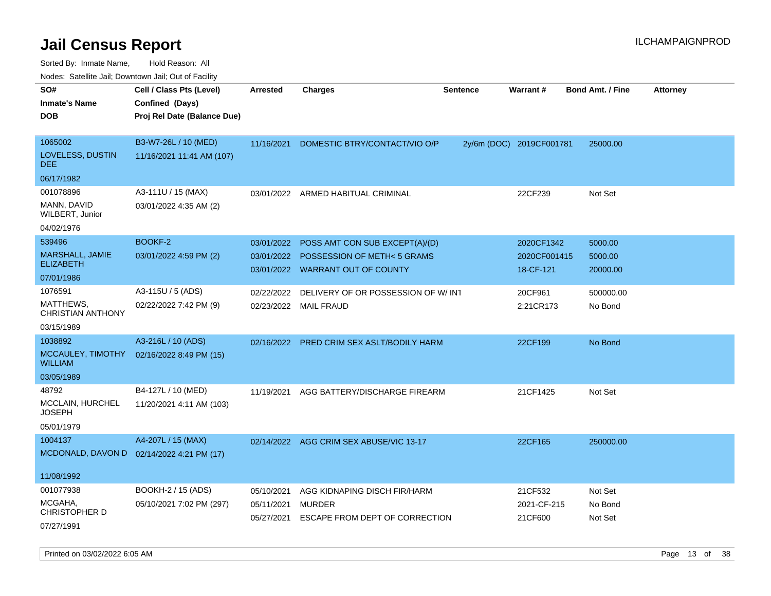| voues. Salemie Jan, Downtown Jan, Out of Facility |                                           |            |                                         |          |                          |                         |                 |
|---------------------------------------------------|-------------------------------------------|------------|-----------------------------------------|----------|--------------------------|-------------------------|-----------------|
| SO#                                               | Cell / Class Pts (Level)                  | Arrested   | <b>Charges</b>                          | Sentence | Warrant#                 | <b>Bond Amt. / Fine</b> | <b>Attorney</b> |
| <b>Inmate's Name</b>                              | Confined (Days)                           |            |                                         |          |                          |                         |                 |
| <b>DOB</b>                                        | Proj Rel Date (Balance Due)               |            |                                         |          |                          |                         |                 |
|                                                   |                                           |            |                                         |          |                          |                         |                 |
| 1065002                                           | B3-W7-26L / 10 (MED)                      | 11/16/2021 | DOMESTIC BTRY/CONTACT/VIO O/P           |          | 2y/6m (DOC) 2019CF001781 | 25000.00                |                 |
| LOVELESS, DUSTIN<br><b>DEE</b>                    | 11/16/2021 11:41 AM (107)                 |            |                                         |          |                          |                         |                 |
| 06/17/1982                                        |                                           |            |                                         |          |                          |                         |                 |
| 001078896                                         | A3-111U / 15 (MAX)                        | 03/01/2022 | ARMED HABITUAL CRIMINAL                 |          | 22CF239                  | Not Set                 |                 |
| MANN, DAVID<br>WILBERT, Junior                    | 03/01/2022 4:35 AM (2)                    |            |                                         |          |                          |                         |                 |
| 04/02/1976                                        |                                           |            |                                         |          |                          |                         |                 |
| 539496                                            | BOOKF-2                                   | 03/01/2022 | POSS AMT CON SUB EXCEPT(A)/(D)          |          | 2020CF1342               | 5000.00                 |                 |
| <b>MARSHALL, JAMIE</b>                            | 03/01/2022 4:59 PM (2)                    | 03/01/2022 | <b>POSSESSION OF METH&lt;5 GRAMS</b>    |          | 2020CF001415             | 5000.00                 |                 |
| <b>ELIZABETH</b>                                  |                                           |            | 03/01/2022 WARRANT OUT OF COUNTY        |          | 18-CF-121                | 20000.00                |                 |
| 07/01/1986                                        |                                           |            |                                         |          |                          |                         |                 |
| 1076591                                           | A3-115U / 5 (ADS)                         | 02/22/2022 | DELIVERY OF OR POSSESSION OF W/INT      |          | 20CF961                  | 500000.00               |                 |
| MATTHEWS,<br>CHRISTIAN ANTHONY                    | 02/22/2022 7:42 PM (9)                    |            | 02/23/2022 MAIL FRAUD                   |          | 2:21CR173                | No Bond                 |                 |
| 03/15/1989                                        |                                           |            |                                         |          |                          |                         |                 |
| 1038892                                           | A3-216L / 10 (ADS)                        | 02/16/2022 | PRED CRIM SEX ASLT/BODILY HARM          |          | 22CF199                  | No Bond                 |                 |
| MCCAULEY, TIMOTHY<br><b>WILLIAM</b>               | 02/16/2022 8:49 PM (15)                   |            |                                         |          |                          |                         |                 |
| 03/05/1989                                        |                                           |            |                                         |          |                          |                         |                 |
| 48792                                             | B4-127L / 10 (MED)                        | 11/19/2021 | AGG BATTERY/DISCHARGE FIREARM           |          | 21CF1425                 | Not Set                 |                 |
| MCCLAIN, HURCHEL<br>JOSEPH                        | 11/20/2021 4:11 AM (103)                  |            |                                         |          |                          |                         |                 |
| 05/01/1979                                        |                                           |            |                                         |          |                          |                         |                 |
| 1004137                                           | A4-207L / 15 (MAX)                        |            | 02/14/2022 AGG CRIM SEX ABUSE/VIC 13-17 |          | 22CF165                  | 250000.00               |                 |
|                                                   | MCDONALD, DAVON D 02/14/2022 4:21 PM (17) |            |                                         |          |                          |                         |                 |
|                                                   |                                           |            |                                         |          |                          |                         |                 |
| 11/08/1992                                        |                                           |            |                                         |          |                          |                         |                 |
| 001077938                                         | BOOKH-2 / 15 (ADS)                        | 05/10/2021 | AGG KIDNAPING DISCH FIR/HARM            |          | 21CF532                  | Not Set                 |                 |
| MCGAHA,<br>CHRISTOPHER D                          | 05/10/2021 7:02 PM (297)                  | 05/11/2021 | <b>MURDER</b>                           |          | 2021-CF-215              | No Bond                 |                 |
|                                                   |                                           | 05/27/2021 | ESCAPE FROM DEPT OF CORRECTION          |          | 21CF600                  | Not Set                 |                 |
| 07/27/1991                                        |                                           |            |                                         |          |                          |                         |                 |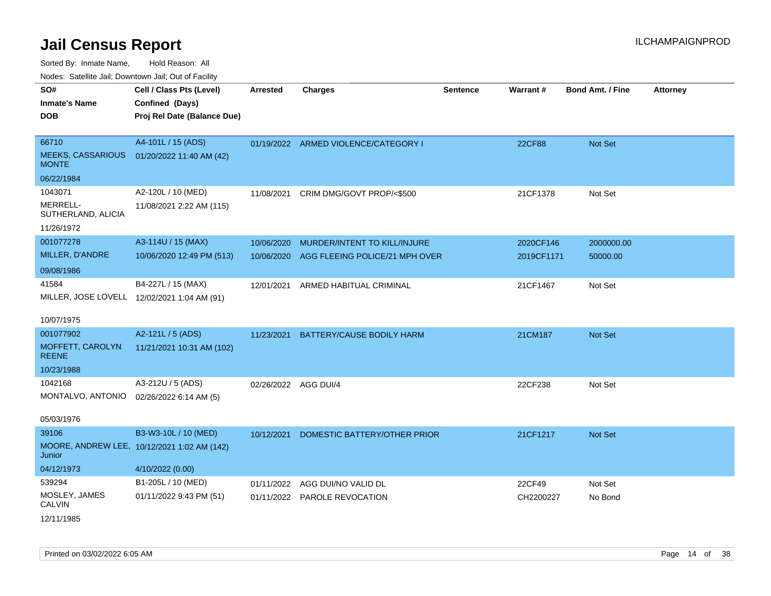| Nudes. Satellite Jali, Downtown Jali, Out of Facility |                                             |                 |                                      |                 |               |                         |                 |
|-------------------------------------------------------|---------------------------------------------|-----------------|--------------------------------------|-----------------|---------------|-------------------------|-----------------|
| SO#                                                   | Cell / Class Pts (Level)                    | <b>Arrested</b> | <b>Charges</b>                       | <b>Sentence</b> | Warrant#      | <b>Bond Amt. / Fine</b> | <b>Attorney</b> |
| <b>Inmate's Name</b>                                  | Confined (Days)                             |                 |                                      |                 |               |                         |                 |
| <b>DOB</b>                                            | Proj Rel Date (Balance Due)                 |                 |                                      |                 |               |                         |                 |
|                                                       |                                             |                 |                                      |                 |               |                         |                 |
| 66710                                                 | A4-101L / 15 (ADS)                          |                 | 01/19/2022 ARMED VIOLENCE/CATEGORY I |                 | <b>22CF88</b> | Not Set                 |                 |
| <b>MEEKS, CASSARIOUS</b><br><b>MONTE</b>              | 01/20/2022 11:40 AM (42)                    |                 |                                      |                 |               |                         |                 |
| 06/22/1984                                            |                                             |                 |                                      |                 |               |                         |                 |
| 1043071                                               | A2-120L / 10 (MED)                          | 11/08/2021      | CRIM DMG/GOVT PROP/<\$500            |                 | 21CF1378      | Not Set                 |                 |
| MERRELL-<br>SUTHERLAND, ALICIA                        | 11/08/2021 2:22 AM (115)                    |                 |                                      |                 |               |                         |                 |
| 11/26/1972                                            |                                             |                 |                                      |                 |               |                         |                 |
| 001077278                                             | A3-114U / 15 (MAX)                          | 10/06/2020      | MURDER/INTENT TO KILL/INJURE         |                 | 2020CF146     | 2000000.00              |                 |
| MILLER, D'ANDRE                                       | 10/06/2020 12:49 PM (513)                   | 10/06/2020      | AGG FLEEING POLICE/21 MPH OVER       |                 | 2019CF1171    | 50000.00                |                 |
| 09/08/1986                                            |                                             |                 |                                      |                 |               |                         |                 |
| 41584                                                 | B4-227L / 15 (MAX)                          | 12/01/2021      | ARMED HABITUAL CRIMINAL              |                 | 21CF1467      | Not Set                 |                 |
|                                                       | MILLER, JOSE LOVELL 12/02/2021 1:04 AM (91) |                 |                                      |                 |               |                         |                 |
|                                                       |                                             |                 |                                      |                 |               |                         |                 |
| 10/07/1975                                            |                                             |                 |                                      |                 |               |                         |                 |
| 001077902                                             | A2-121L / 5 (ADS)                           | 11/23/2021      | BATTERY/CAUSE BODILY HARM            |                 | 21CM187       | Not Set                 |                 |
| MOFFETT, CAROLYN<br><b>REENE</b>                      | 11/21/2021 10:31 AM (102)                   |                 |                                      |                 |               |                         |                 |
| 10/23/1988                                            |                                             |                 |                                      |                 |               |                         |                 |
| 1042168                                               | A3-212U / 5 (ADS)                           | 02/26/2022      | AGG DUI/4                            |                 | 22CF238       | Not Set                 |                 |
| MONTALVO, ANTONIO 02/26/2022 6:14 AM (5)              |                                             |                 |                                      |                 |               |                         |                 |
|                                                       |                                             |                 |                                      |                 |               |                         |                 |
| 05/03/1976                                            |                                             |                 |                                      |                 |               |                         |                 |
| 39106                                                 | B3-W3-10L / 10 (MED)                        | 10/12/2021      | DOMESTIC BATTERY/OTHER PRIOR         |                 | 21CF1217      | Not Set                 |                 |
| Junior                                                | MOORE, ANDREW LEE, 10/12/2021 1:02 AM (142) |                 |                                      |                 |               |                         |                 |
| 04/12/1973                                            | 4/10/2022 (0.00)                            |                 |                                      |                 |               |                         |                 |
| 539294                                                | B1-205L / 10 (MED)                          | 01/11/2022      | AGG DUI/NO VALID DL                  |                 | 22CF49        | Not Set                 |                 |
| MOSLEY, JAMES<br>CALVIN                               | 01/11/2022 9:43 PM (51)                     |                 | 01/11/2022 PAROLE REVOCATION         |                 | CH2200227     | No Bond                 |                 |
| 12/11/1985                                            |                                             |                 |                                      |                 |               |                         |                 |
|                                                       |                                             |                 |                                      |                 |               |                         |                 |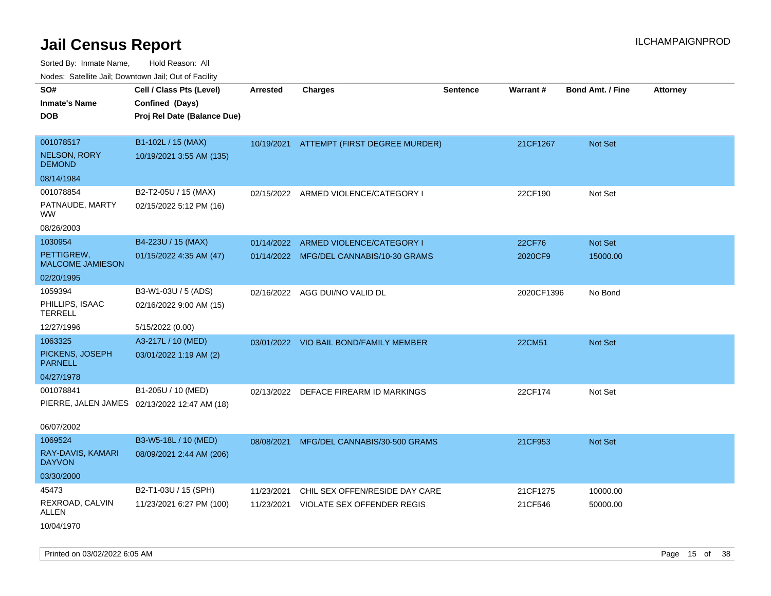Sorted By: Inmate Name, Hold Reason: All Nodes: Satellite Jail; Downtown Jail; Out of Facility

| roaco. Calcinio dan, Downtown dan, Cal or Fability |                                              |                 |                                          |                 |            |                         |                 |
|----------------------------------------------------|----------------------------------------------|-----------------|------------------------------------------|-----------------|------------|-------------------------|-----------------|
| SO#                                                | Cell / Class Pts (Level)                     | <b>Arrested</b> | <b>Charges</b>                           | <b>Sentence</b> | Warrant#   | <b>Bond Amt. / Fine</b> | <b>Attorney</b> |
| Inmate's Name                                      | Confined (Days)                              |                 |                                          |                 |            |                         |                 |
| DOB                                                | Proj Rel Date (Balance Due)                  |                 |                                          |                 |            |                         |                 |
|                                                    |                                              |                 |                                          |                 |            |                         |                 |
| 001078517                                          | B1-102L / 15 (MAX)                           |                 | 10/19/2021 ATTEMPT (FIRST DEGREE MURDER) |                 | 21CF1267   | Not Set                 |                 |
| <b>NELSON, RORY</b><br><b>DEMOND</b>               | 10/19/2021 3:55 AM (135)                     |                 |                                          |                 |            |                         |                 |
| 08/14/1984                                         |                                              |                 |                                          |                 |            |                         |                 |
| 001078854                                          | B2-T2-05U / 15 (MAX)                         | 02/15/2022      | ARMED VIOLENCE/CATEGORY I                |                 | 22CF190    | Not Set                 |                 |
| PATNAUDE, MARTY<br>WW.                             | 02/15/2022 5:12 PM (16)                      |                 |                                          |                 |            |                         |                 |
| 08/26/2003                                         |                                              |                 |                                          |                 |            |                         |                 |
| 1030954                                            | B4-223U / 15 (MAX)                           | 01/14/2022      | ARMED VIOLENCE/CATEGORY I                |                 | 22CF76     | Not Set                 |                 |
| PETTIGREW,<br><b>MALCOME JAMIESON</b>              | 01/15/2022 4:35 AM (47)                      | 01/14/2022      | MFG/DEL CANNABIS/10-30 GRAMS             |                 | 2020CF9    | 15000.00                |                 |
| 02/20/1995                                         |                                              |                 |                                          |                 |            |                         |                 |
| 1059394                                            | B3-W1-03U / 5 (ADS)                          |                 | 02/16/2022 AGG DUI/NO VALID DL           |                 | 2020CF1396 | No Bond                 |                 |
| PHILLIPS, ISAAC<br>TERRELL                         | 02/16/2022 9:00 AM (15)                      |                 |                                          |                 |            |                         |                 |
| 12/27/1996                                         | 5/15/2022 (0.00)                             |                 |                                          |                 |            |                         |                 |
| 1063325                                            | A3-217L / 10 (MED)                           |                 | 03/01/2022 VIO BAIL BOND/FAMILY MEMBER   |                 | 22CM51     | <b>Not Set</b>          |                 |
| PICKENS, JOSEPH<br>PARNELL                         | 03/01/2022 1:19 AM (2)                       |                 |                                          |                 |            |                         |                 |
| 04/27/1978                                         |                                              |                 |                                          |                 |            |                         |                 |
| 001078841                                          | B1-205U / 10 (MED)                           | 02/13/2022      | DEFACE FIREARM ID MARKINGS               |                 | 22CF174    | Not Set                 |                 |
|                                                    | PIERRE, JALEN JAMES 02/13/2022 12:47 AM (18) |                 |                                          |                 |            |                         |                 |
| 06/07/2002                                         |                                              |                 |                                          |                 |            |                         |                 |
| 1069524                                            | B3-W5-18L / 10 (MED)                         | 08/08/2021      | MFG/DEL CANNABIS/30-500 GRAMS            |                 | 21CF953    | <b>Not Set</b>          |                 |
| RAY-DAVIS, KAMARI<br><b>DAYVON</b>                 | 08/09/2021 2:44 AM (206)                     |                 |                                          |                 |            |                         |                 |
| 03/30/2000                                         |                                              |                 |                                          |                 |            |                         |                 |
| 45473                                              | B2-T1-03U / 15 (SPH)                         | 11/23/2021      | CHIL SEX OFFEN/RESIDE DAY CARE           |                 | 21CF1275   | 10000.00                |                 |
| REXROAD, CALVIN<br>ALLEN                           | 11/23/2021 6:27 PM (100)                     | 11/23/2021      | VIOLATE SEX OFFENDER REGIS               |                 | 21CF546    | 50000.00                |                 |
| 10/04/1970                                         |                                              |                 |                                          |                 |            |                         |                 |

Printed on 03/02/2022 6:05 AM Page 15 of 38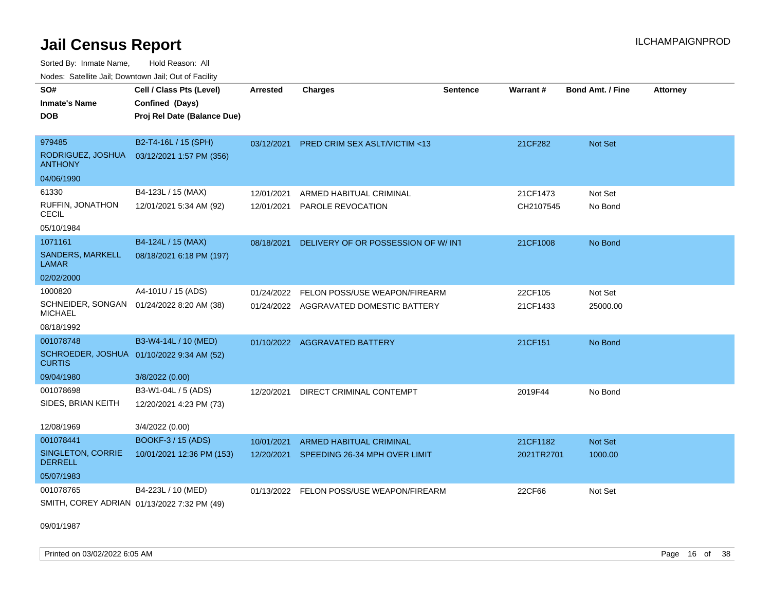Sorted By: Inmate Name, Hold Reason: All Nodes: Satellite Jail; Downtown Jail; Out of Facility

| SO#<br><b>Inmate's Name</b><br><b>DOB</b>                   | Cell / Class Pts (Level)<br>Confined (Days)<br>Proj Rel Date (Balance Due) | <b>Arrested</b> | <b>Charges</b>                           | <b>Sentence</b> | Warrant#   | <b>Bond Amt. / Fine</b> | <b>Attorney</b> |
|-------------------------------------------------------------|----------------------------------------------------------------------------|-----------------|------------------------------------------|-----------------|------------|-------------------------|-----------------|
| 979485<br>RODRIGUEZ, JOSHUA<br><b>ANTHONY</b>               | B2-T4-16L / 15 (SPH)<br>03/12/2021 1:57 PM (356)                           | 03/12/2021      | PRED CRIM SEX ASLT/VICTIM <13            |                 | 21CF282    | Not Set                 |                 |
| 04/06/1990                                                  |                                                                            |                 |                                          |                 |            |                         |                 |
| 61330                                                       | B4-123L / 15 (MAX)                                                         | 12/01/2021      | ARMED HABITUAL CRIMINAL                  |                 | 21CF1473   | Not Set                 |                 |
| RUFFIN, JONATHON<br>CECIL                                   | 12/01/2021 5:34 AM (92)                                                    | 12/01/2021      | PAROLE REVOCATION                        |                 | CH2107545  | No Bond                 |                 |
| 05/10/1984                                                  |                                                                            |                 |                                          |                 |            |                         |                 |
| 1071161                                                     | B4-124L / 15 (MAX)                                                         | 08/18/2021      | DELIVERY OF OR POSSESSION OF W/INT       |                 | 21CF1008   | No Bond                 |                 |
| SANDERS, MARKELL<br><b>LAMAR</b>                            | 08/18/2021 6:18 PM (197)                                                   |                 |                                          |                 |            |                         |                 |
| 02/02/2000                                                  |                                                                            |                 |                                          |                 |            |                         |                 |
| 1000820                                                     | A4-101U / 15 (ADS)                                                         | 01/24/2022      | FELON POSS/USE WEAPON/FIREARM            |                 | 22CF105    | Not Set                 |                 |
| SCHNEIDER, SONGAN 01/24/2022 8:20 AM (38)<br><b>MICHAEL</b> |                                                                            |                 | 01/24/2022 AGGRAVATED DOMESTIC BATTERY   |                 | 21CF1433   | 25000.00                |                 |
| 08/18/1992                                                  |                                                                            |                 |                                          |                 |            |                         |                 |
| 001078748                                                   | B3-W4-14L / 10 (MED)                                                       |                 | 01/10/2022 AGGRAVATED BATTERY            |                 | 21CF151    | No Bond                 |                 |
| SCHROEDER, JOSHUA 01/10/2022 9:34 AM (52)<br><b>CURTIS</b>  |                                                                            |                 |                                          |                 |            |                         |                 |
| 09/04/1980                                                  | 3/8/2022 (0.00)                                                            |                 |                                          |                 |            |                         |                 |
| 001078698                                                   | B3-W1-04L / 5 (ADS)                                                        | 12/20/2021      | DIRECT CRIMINAL CONTEMPT                 |                 | 2019F44    | No Bond                 |                 |
| SIDES, BRIAN KEITH                                          | 12/20/2021 4:23 PM (73)                                                    |                 |                                          |                 |            |                         |                 |
| 12/08/1969                                                  | 3/4/2022 (0.00)                                                            |                 |                                          |                 |            |                         |                 |
| 001078441                                                   | <b>BOOKF-3 / 15 (ADS)</b>                                                  | 10/01/2021      | ARMED HABITUAL CRIMINAL                  |                 | 21CF1182   | <b>Not Set</b>          |                 |
| SINGLETON, CORRIE<br><b>DERRELL</b>                         | 10/01/2021 12:36 PM (153)                                                  |                 | 12/20/2021 SPEEDING 26-34 MPH OVER LIMIT |                 | 2021TR2701 | 1000.00                 |                 |
| 05/07/1983                                                  |                                                                            |                 |                                          |                 |            |                         |                 |
| 001078765                                                   | B4-223L / 10 (MED)                                                         |                 | 01/13/2022 FELON POSS/USE WEAPON/FIREARM |                 | 22CF66     | Not Set                 |                 |
| SMITH, COREY ADRIAN 01/13/2022 7:32 PM (49)                 |                                                                            |                 |                                          |                 |            |                         |                 |

09/01/1987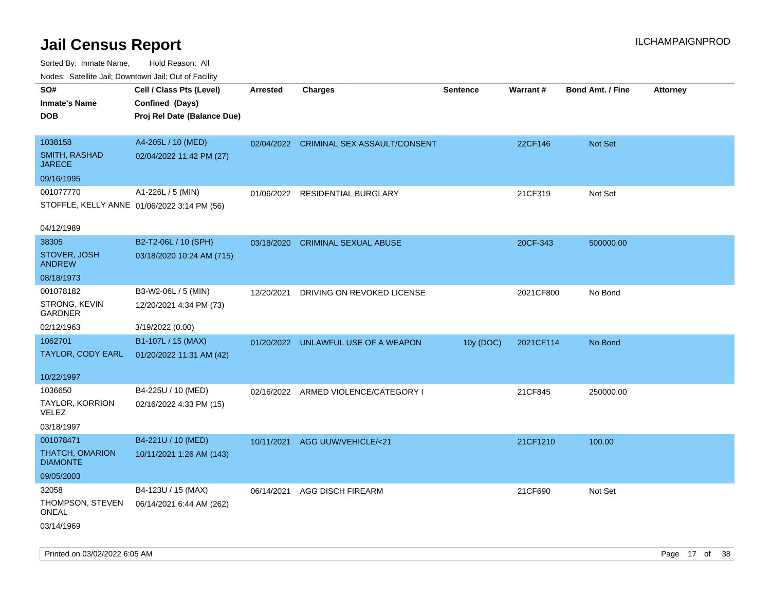| Nodes. Satellite Jali, Downtown Jali, Out of Facility |                             |                 |                                         |                 |           |                         |                 |
|-------------------------------------------------------|-----------------------------|-----------------|-----------------------------------------|-----------------|-----------|-------------------------|-----------------|
| SO#                                                   | Cell / Class Pts (Level)    | <b>Arrested</b> | <b>Charges</b>                          | <b>Sentence</b> | Warrant#  | <b>Bond Amt. / Fine</b> | <b>Attorney</b> |
| <b>Inmate's Name</b>                                  | Confined (Days)             |                 |                                         |                 |           |                         |                 |
| <b>DOB</b>                                            | Proj Rel Date (Balance Due) |                 |                                         |                 |           |                         |                 |
|                                                       |                             |                 |                                         |                 |           |                         |                 |
| 1038158                                               | A4-205L / 10 (MED)          |                 | 02/04/2022 CRIMINAL SEX ASSAULT/CONSENT |                 | 22CF146   | Not Set                 |                 |
| SMITH, RASHAD<br><b>JARECE</b>                        | 02/04/2022 11:42 PM (27)    |                 |                                         |                 |           |                         |                 |
| 09/16/1995                                            |                             |                 |                                         |                 |           |                         |                 |
| 001077770                                             | A1-226L / 5 (MIN)           | 01/06/2022      | RESIDENTIAL BURGLARY                    |                 | 21CF319   | Not Set                 |                 |
| STOFFLE, KELLY ANNE 01/06/2022 3:14 PM (56)           |                             |                 |                                         |                 |           |                         |                 |
|                                                       |                             |                 |                                         |                 |           |                         |                 |
| 04/12/1989                                            |                             |                 |                                         |                 |           |                         |                 |
| 38305                                                 | B2-T2-06L / 10 (SPH)        | 03/18/2020      | <b>CRIMINAL SEXUAL ABUSE</b>            |                 | 20CF-343  | 500000.00               |                 |
| STOVER, JOSH<br><b>ANDREW</b>                         | 03/18/2020 10:24 AM (715)   |                 |                                         |                 |           |                         |                 |
| 08/18/1973                                            |                             |                 |                                         |                 |           |                         |                 |
| 001078182                                             | B3-W2-06L / 5 (MIN)         | 12/20/2021      | DRIVING ON REVOKED LICENSE              |                 | 2021CF800 | No Bond                 |                 |
| STRONG, KEVIN<br><b>GARDNER</b>                       | 12/20/2021 4:34 PM (73)     |                 |                                         |                 |           |                         |                 |
| 02/12/1963                                            | 3/19/2022 (0.00)            |                 |                                         |                 |           |                         |                 |
| 1062701                                               | B1-107L / 15 (MAX)          |                 | 01/20/2022 UNLAWFUL USE OF A WEAPON     | 10y (DOC)       | 2021CF114 | No Bond                 |                 |
| TAYLOR, CODY EARL                                     | 01/20/2022 11:31 AM (42)    |                 |                                         |                 |           |                         |                 |
|                                                       |                             |                 |                                         |                 |           |                         |                 |
| 10/22/1997                                            |                             |                 |                                         |                 |           |                         |                 |
| 1036650                                               | B4-225U / 10 (MED)          |                 | 02/16/2022 ARMED VIOLENCE/CATEGORY I    |                 | 21CF845   | 250000.00               |                 |
| TAYLOR, KORRION<br><b>VELEZ</b>                       | 02/16/2022 4:33 PM (15)     |                 |                                         |                 |           |                         |                 |
| 03/18/1997                                            |                             |                 |                                         |                 |           |                         |                 |
| 001078471                                             | B4-221U / 10 (MED)          | 10/11/2021      | AGG UUW/VEHICLE/<21                     |                 | 21CF1210  | 100.00                  |                 |
| <b>THATCH, OMARION</b><br><b>DIAMONTE</b>             | 10/11/2021 1:26 AM (143)    |                 |                                         |                 |           |                         |                 |
| 09/05/2003                                            |                             |                 |                                         |                 |           |                         |                 |
| 32058                                                 | B4-123U / 15 (MAX)          | 06/14/2021      | AGG DISCH FIREARM                       |                 | 21CF690   | Not Set                 |                 |
| THOMPSON, STEVEN<br>ONEAL                             | 06/14/2021 6:44 AM (262)    |                 |                                         |                 |           |                         |                 |
| 03/14/1969                                            |                             |                 |                                         |                 |           |                         |                 |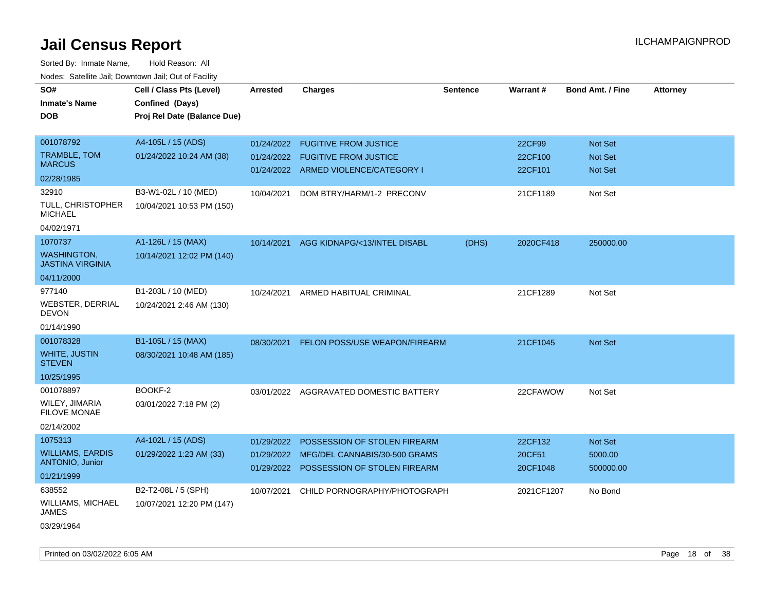| roaco. Oatomto dan, Downtown dan, Oat or Fability |                             |                 |                                          |                 |            |                         |                 |
|---------------------------------------------------|-----------------------------|-----------------|------------------------------------------|-----------------|------------|-------------------------|-----------------|
| SO#                                               | Cell / Class Pts (Level)    | <b>Arrested</b> | <b>Charges</b>                           | <b>Sentence</b> | Warrant#   | <b>Bond Amt. / Fine</b> | <b>Attorney</b> |
| <b>Inmate's Name</b>                              | Confined (Days)             |                 |                                          |                 |            |                         |                 |
| <b>DOB</b>                                        | Proj Rel Date (Balance Due) |                 |                                          |                 |            |                         |                 |
|                                                   |                             |                 |                                          |                 |            |                         |                 |
| 001078792                                         | A4-105L / 15 (ADS)          |                 | 01/24/2022 FUGITIVE FROM JUSTICE         |                 | 22CF99     | Not Set                 |                 |
| <b>TRAMBLE, TOM</b>                               | 01/24/2022 10:24 AM (38)    |                 | 01/24/2022 FUGITIVE FROM JUSTICE         |                 | 22CF100    | Not Set                 |                 |
| <b>MARCUS</b>                                     |                             |                 | 01/24/2022 ARMED VIOLENCE/CATEGORY I     |                 | 22CF101    | Not Set                 |                 |
| 02/28/1985                                        |                             |                 |                                          |                 |            |                         |                 |
| 32910                                             | B3-W1-02L / 10 (MED)        | 10/04/2021      | DOM BTRY/HARM/1-2 PRECONV                |                 | 21CF1189   | Not Set                 |                 |
| <b>TULL, CHRISTOPHER</b><br><b>MICHAEL</b>        | 10/04/2021 10:53 PM (150)   |                 |                                          |                 |            |                         |                 |
| 04/02/1971                                        |                             |                 |                                          |                 |            |                         |                 |
| 1070737                                           | A1-126L / 15 (MAX)          | 10/14/2021      | AGG KIDNAPG/<13/INTEL DISABL             | (DHS)           | 2020CF418  | 250000.00               |                 |
| <b>WASHINGTON,</b><br><b>JASTINA VIRGINIA</b>     | 10/14/2021 12:02 PM (140)   |                 |                                          |                 |            |                         |                 |
| 04/11/2000                                        |                             |                 |                                          |                 |            |                         |                 |
| 977140                                            | B1-203L / 10 (MED)          | 10/24/2021      | ARMED HABITUAL CRIMINAL                  |                 | 21CF1289   | Not Set                 |                 |
| <b>WEBSTER, DERRIAL</b><br><b>DEVON</b>           | 10/24/2021 2:46 AM (130)    |                 |                                          |                 |            |                         |                 |
| 01/14/1990                                        |                             |                 |                                          |                 |            |                         |                 |
| 001078328                                         | B1-105L / 15 (MAX)          | 08/30/2021      | <b>FELON POSS/USE WEAPON/FIREARM</b>     |                 | 21CF1045   | <b>Not Set</b>          |                 |
| <b>WHITE, JUSTIN</b><br><b>STEVEN</b>             | 08/30/2021 10:48 AM (185)   |                 |                                          |                 |            |                         |                 |
| 10/25/1995                                        |                             |                 |                                          |                 |            |                         |                 |
| 001078897                                         | BOOKF-2                     |                 | 03/01/2022 AGGRAVATED DOMESTIC BATTERY   |                 | 22CFAWOW   | Not Set                 |                 |
| WILEY, JIMARIA<br><b>FILOVE MONAE</b>             | 03/01/2022 7:18 PM (2)      |                 |                                          |                 |            |                         |                 |
| 02/14/2002                                        |                             |                 |                                          |                 |            |                         |                 |
| 1075313                                           | A4-102L / 15 (ADS)          | 01/29/2022      | POSSESSION OF STOLEN FIREARM             |                 | 22CF132    | <b>Not Set</b>          |                 |
| <b>WILLIAMS, EARDIS</b><br><b>ANTONIO, Junior</b> | 01/29/2022 1:23 AM (33)     |                 | 01/29/2022 MFG/DEL CANNABIS/30-500 GRAMS |                 | 20CF51     | 5000.00                 |                 |
| 01/21/1999                                        |                             |                 | 01/29/2022 POSSESSION OF STOLEN FIREARM  |                 | 20CF1048   | 500000.00               |                 |
| 638552                                            | B2-T2-08L / 5 (SPH)         | 10/07/2021      | CHILD PORNOGRAPHY/PHOTOGRAPH             |                 | 2021CF1207 | No Bond                 |                 |
| WILLIAMS, MICHAEL<br>JAMES                        | 10/07/2021 12:20 PM (147)   |                 |                                          |                 |            |                         |                 |
| 03/29/1964                                        |                             |                 |                                          |                 |            |                         |                 |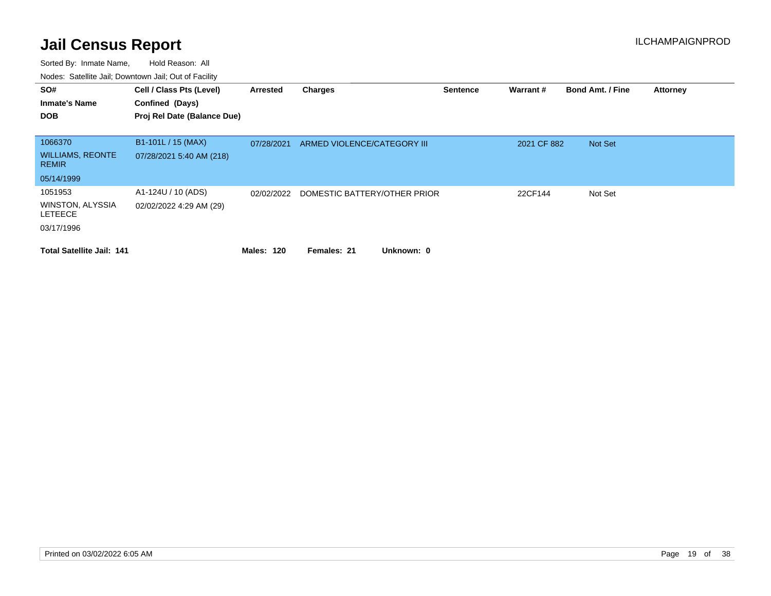| SO#<br><b>Inmate's Name</b><br><b>DOB</b>                          | Cell / Class Pts (Level)<br>Confined (Days)<br>Proj Rel Date (Balance Due) | Arrested          | Charges                      | <b>Sentence</b> | Warrant#    | <b>Bond Amt. / Fine</b> | <b>Attorney</b> |
|--------------------------------------------------------------------|----------------------------------------------------------------------------|-------------------|------------------------------|-----------------|-------------|-------------------------|-----------------|
| 1066370<br><b>WILLIAMS, REONTE</b><br><b>REMIR</b>                 | B1-101L / 15 (MAX)<br>07/28/2021 5:40 AM (218)                             | 07/28/2021        | ARMED VIOLENCE/CATEGORY III  |                 | 2021 CF 882 | Not Set                 |                 |
| 05/14/1999                                                         |                                                                            |                   |                              |                 |             |                         |                 |
| 1051953<br><b>WINSTON, ALYSSIA</b><br><b>LETEECE</b><br>03/17/1996 | A1-124U / 10 (ADS)<br>02/02/2022 4:29 AM (29)                              | 02/02/2022        | DOMESTIC BATTERY/OTHER PRIOR |                 | 22CF144     | Not Set                 |                 |
| <b>Total Satellite Jail: 141</b>                                   |                                                                            | <b>Males: 120</b> | Females: 21<br>Unknown: 0    |                 |             |                         |                 |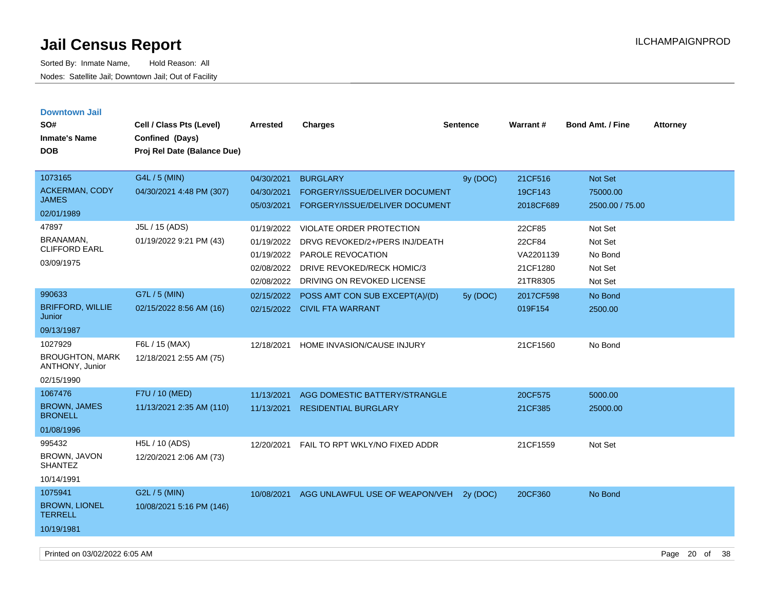Sorted By: Inmate Name, Hold Reason: All Nodes: Satellite Jail; Downtown Jail; Out of Facility

| <b>Downtown Jail</b><br>SO#<br><b>Inmate's Name</b><br><b>DOB</b>  | Cell / Class Pts (Level)<br>Confined (Days)<br>Proj Rel Date (Balance Due) | Arrested                                                           | <b>Charges</b>                                                                                                                                     | <b>Sentence</b> | <b>Warrant#</b>                                       | <b>Bond Amt. / Fine</b>                             | <b>Attorney</b> |
|--------------------------------------------------------------------|----------------------------------------------------------------------------|--------------------------------------------------------------------|----------------------------------------------------------------------------------------------------------------------------------------------------|-----------------|-------------------------------------------------------|-----------------------------------------------------|-----------------|
| 1073165<br><b>ACKERMAN, CODY</b><br><b>JAMES</b><br>02/01/1989     | G4L / 5 (MIN)<br>04/30/2021 4:48 PM (307)                                  | 04/30/2021<br>04/30/2021<br>05/03/2021                             | <b>BURGLARY</b><br>FORGERY/ISSUE/DELIVER DOCUMENT<br>FORGERY/ISSUE/DELIVER DOCUMENT                                                                | 9y (DOC)        | 21CF516<br>19CF143<br>2018CF689                       | Not Set<br>75000.00<br>2500.00 / 75.00              |                 |
| 47897<br>BRANAMAN,<br><b>CLIFFORD EARL</b><br>03/09/1975           | J5L / 15 (ADS)<br>01/19/2022 9:21 PM (43)                                  | 01/19/2022<br>01/19/2022<br>01/19/2022<br>02/08/2022<br>02/08/2022 | VIOLATE ORDER PROTECTION<br>DRVG REVOKED/2+/PERS INJ/DEATH<br><b>PAROLE REVOCATION</b><br>DRIVE REVOKED/RECK HOMIC/3<br>DRIVING ON REVOKED LICENSE |                 | 22CF85<br>22CF84<br>VA2201139<br>21CF1280<br>21TR8305 | Not Set<br>Not Set<br>No Bond<br>Not Set<br>Not Set |                 |
| 990633<br><b>BRIFFORD, WILLIE</b><br>Junior<br>09/13/1987          | G7L / 5 (MIN)<br>02/15/2022 8:56 AM (16)                                   | 02/15/2022                                                         | POSS AMT CON SUB EXCEPT(A)/(D)<br>02/15/2022 CIVIL FTA WARRANT                                                                                     | 5y (DOC)        | 2017CF598<br>019F154                                  | No Bond<br>2500.00                                  |                 |
| 1027929<br><b>BROUGHTON, MARK</b><br>ANTHONY, Junior<br>02/15/1990 | F6L / 15 (MAX)<br>12/18/2021 2:55 AM (75)                                  | 12/18/2021                                                         | HOME INVASION/CAUSE INJURY                                                                                                                         |                 | 21CF1560                                              | No Bond                                             |                 |
| 1067476<br><b>BROWN, JAMES</b><br><b>BRONELL</b><br>01/08/1996     | F7U / 10 (MED)<br>11/13/2021 2:35 AM (110)                                 | 11/13/2021<br>11/13/2021                                           | AGG DOMESTIC BATTERY/STRANGLE<br><b>RESIDENTIAL BURGLARY</b>                                                                                       |                 | 20CF575<br>21CF385                                    | 5000.00<br>25000.00                                 |                 |
| 995432<br>BROWN, JAVON<br><b>SHANTEZ</b><br>10/14/1991             | H5L / 10 (ADS)<br>12/20/2021 2:06 AM (73)                                  | 12/20/2021                                                         | FAIL TO RPT WKLY/NO FIXED ADDR                                                                                                                     |                 | 21CF1559                                              | Not Set                                             |                 |
| 1075941<br><b>BROWN, LIONEL</b><br><b>TERRELL</b><br>10/19/1981    | G2L / 5 (MIN)<br>10/08/2021 5:16 PM (146)                                  |                                                                    | 10/08/2021 AGG UNLAWFUL USE OF WEAPON/VEH                                                                                                          | 2y (DOC)        | 20CF360                                               | No Bond                                             |                 |

Printed on 03/02/2022 6:05 AM **Page 20 of 38**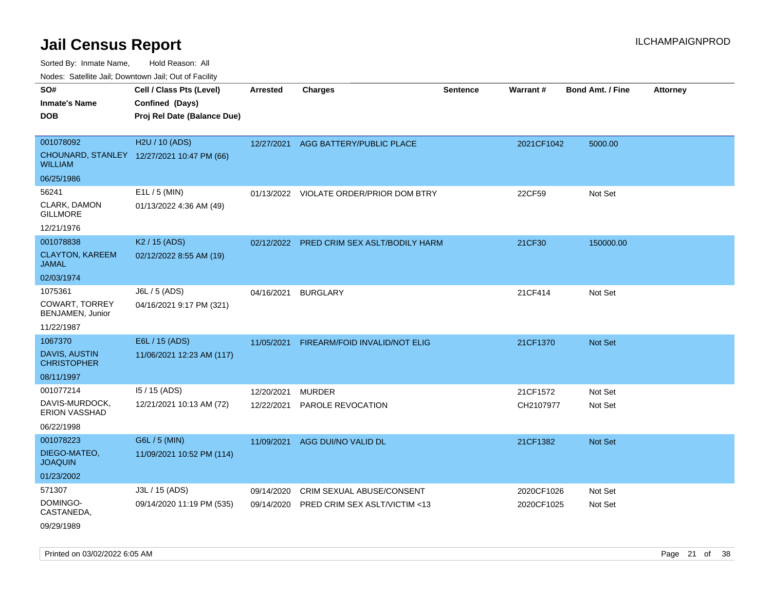Sorted By: Inmate Name, Hold Reason: All

Nodes: Satellite Jail; Downtown Jail; Out of Facility

| SO#<br><b>Inmate's Name</b>                | Cell / Class Pts (Level)<br>Confined (Days) | <b>Arrested</b> | <b>Charges</b>                            | Sentence | Warrant#   | Bond Amt. / Fine | <b>Attorney</b> |
|--------------------------------------------|---------------------------------------------|-----------------|-------------------------------------------|----------|------------|------------------|-----------------|
| <b>DOB</b>                                 | Proj Rel Date (Balance Due)                 |                 |                                           |          |            |                  |                 |
| 001078092                                  | H2U / 10 (ADS)                              | 12/27/2021      | AGG BATTERY/PUBLIC PLACE                  |          | 2021CF1042 | 5000.00          |                 |
| <b>WILLIAM</b>                             | CHOUNARD, STANLEY 12/27/2021 10:47 PM (66)  |                 |                                           |          |            |                  |                 |
| 06/25/1986                                 |                                             |                 |                                           |          |            |                  |                 |
| 56241                                      | $E1L / 5$ (MIN)                             |                 | 01/13/2022 VIOLATE ORDER/PRIOR DOM BTRY   |          | 22CF59     | Not Set          |                 |
| CLARK, DAMON<br><b>GILLMORE</b>            | 01/13/2022 4:36 AM (49)                     |                 |                                           |          |            |                  |                 |
| 12/21/1976                                 |                                             |                 |                                           |          |            |                  |                 |
| 001078838                                  | K <sub>2</sub> / 15 (ADS)                   |                 | 02/12/2022 PRED CRIM SEX ASLT/BODILY HARM |          | 21CF30     | 150000.00        |                 |
| <b>CLAYTON, KAREEM</b><br><b>JAMAL</b>     | 02/12/2022 8:55 AM (19)                     |                 |                                           |          |            |                  |                 |
| 02/03/1974                                 |                                             |                 |                                           |          |            |                  |                 |
| 1075361                                    | J6L / 5 (ADS)                               | 04/16/2021      | <b>BURGLARY</b>                           |          | 21CF414    | Not Set          |                 |
| COWART, TORREY<br>BENJAMEN, Junior         | 04/16/2021 9:17 PM (321)                    |                 |                                           |          |            |                  |                 |
| 11/22/1987                                 |                                             |                 |                                           |          |            |                  |                 |
| 1067370                                    | E6L / 15 (ADS)                              | 11/05/2021      | FIREARM/FOID INVALID/NOT ELIG             |          | 21CF1370   | Not Set          |                 |
| <b>DAVIS, AUSTIN</b><br><b>CHRISTOPHER</b> | 11/06/2021 12:23 AM (117)                   |                 |                                           |          |            |                  |                 |
| 08/11/1997                                 |                                             |                 |                                           |          |            |                  |                 |
| 001077214                                  | 15 / 15 (ADS)                               | 12/20/2021      | <b>MURDER</b>                             |          | 21CF1572   | Not Set          |                 |
| DAVIS-MURDOCK,<br><b>ERION VASSHAD</b>     | 12/21/2021 10:13 AM (72)                    | 12/22/2021      | PAROLE REVOCATION                         |          | CH2107977  | Not Set          |                 |
| 06/22/1998                                 |                                             |                 |                                           |          |            |                  |                 |
| 001078223                                  | G6L / 5 (MIN)                               | 11/09/2021      | AGG DUI/NO VALID DL                       |          | 21CF1382   | Not Set          |                 |
| DIEGO-MATEO,<br><b>JOAQUIN</b>             | 11/09/2021 10:52 PM (114)                   |                 |                                           |          |            |                  |                 |
| 01/23/2002                                 |                                             |                 |                                           |          |            |                  |                 |
| 571307                                     | J3L / 15 (ADS)                              | 09/14/2020      | CRIM SEXUAL ABUSE/CONSENT                 |          | 2020CF1026 | Not Set          |                 |
| DOMINGO-<br>CASTANEDA,                     | 09/14/2020 11:19 PM (535)                   | 09/14/2020      | PRED CRIM SEX ASLT/VICTIM <13             |          | 2020CF1025 | Not Set          |                 |
| 09/29/1989                                 |                                             |                 |                                           |          |            |                  |                 |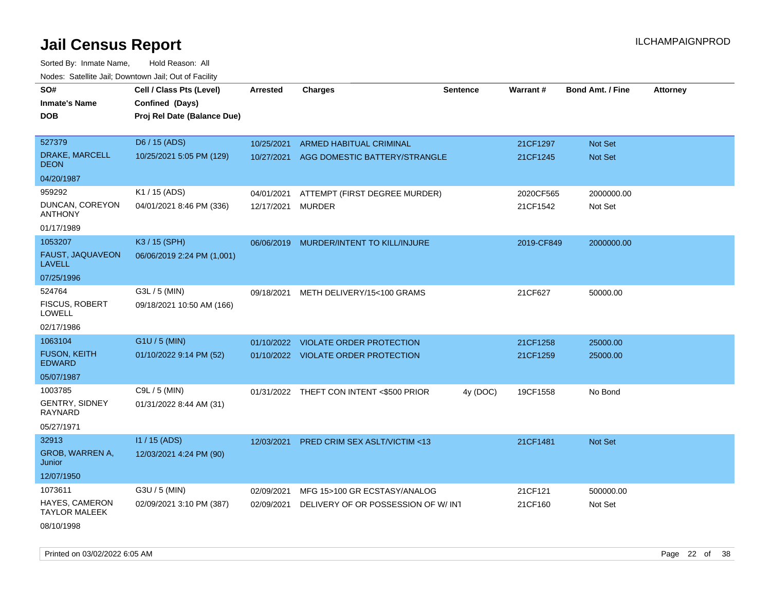Sorted By: Inmate Name, Hold Reason: All Nodes: Satellite Jail; Downtown Jail; Out of Facility

| SO#                                           | Cell / Class Pts (Level)    | <b>Arrested</b> | <b>Charges</b>                           | <b>Sentence</b> | Warrant#   | <b>Bond Amt. / Fine</b> | <b>Attorney</b> |
|-----------------------------------------------|-----------------------------|-----------------|------------------------------------------|-----------------|------------|-------------------------|-----------------|
| <b>Inmate's Name</b>                          | Confined (Days)             |                 |                                          |                 |            |                         |                 |
| <b>DOB</b>                                    | Proj Rel Date (Balance Due) |                 |                                          |                 |            |                         |                 |
|                                               |                             |                 |                                          |                 |            |                         |                 |
| 527379                                        | D6 / 15 (ADS)               | 10/25/2021      | ARMED HABITUAL CRIMINAL                  |                 | 21CF1297   | Not Set                 |                 |
| DRAKE, MARCELL<br><b>DEON</b>                 | 10/25/2021 5:05 PM (129)    |                 | 10/27/2021 AGG DOMESTIC BATTERY/STRANGLE |                 | 21CF1245   | Not Set                 |                 |
| 04/20/1987                                    |                             |                 |                                          |                 |            |                         |                 |
| 959292                                        | K1 / 15 (ADS)               | 04/01/2021      | ATTEMPT (FIRST DEGREE MURDER)            |                 | 2020CF565  | 2000000.00              |                 |
| DUNCAN, COREYON<br><b>ANTHONY</b>             | 04/01/2021 8:46 PM (336)    | 12/17/2021      | <b>MURDER</b>                            |                 | 21CF1542   | Not Set                 |                 |
| 01/17/1989                                    |                             |                 |                                          |                 |            |                         |                 |
| 1053207                                       | K3 / 15 (SPH)               |                 | 06/06/2019 MURDER/INTENT TO KILL/INJURE  |                 | 2019-CF849 | 2000000.00              |                 |
| <b>FAUST, JAQUAVEON</b><br><b>LAVELL</b>      | 06/06/2019 2:24 PM (1,001)  |                 |                                          |                 |            |                         |                 |
| 07/25/1996                                    |                             |                 |                                          |                 |            |                         |                 |
| 524764                                        | G3L / 5 (MIN)               | 09/18/2021      | METH DELIVERY/15<100 GRAMS               |                 | 21CF627    | 50000.00                |                 |
| <b>FISCUS, ROBERT</b><br><b>LOWELL</b>        | 09/18/2021 10:50 AM (166)   |                 |                                          |                 |            |                         |                 |
| 02/17/1986                                    |                             |                 |                                          |                 |            |                         |                 |
| 1063104                                       | G1U / 5 (MIN)               | 01/10/2022      | <b>VIOLATE ORDER PROTECTION</b>          |                 | 21CF1258   | 25000.00                |                 |
| <b>FUSON, KEITH</b><br><b>EDWARD</b>          | 01/10/2022 9:14 PM (52)     |                 | 01/10/2022 VIOLATE ORDER PROTECTION      |                 | 21CF1259   | 25000.00                |                 |
| 05/07/1987                                    |                             |                 |                                          |                 |            |                         |                 |
| 1003785                                       | C9L / 5 (MIN)               |                 | 01/31/2022 THEFT CON INTENT <\$500 PRIOR | 4y (DOC)        | 19CF1558   | No Bond                 |                 |
| GENTRY, SIDNEY<br><b>RAYNARD</b>              | 01/31/2022 8:44 AM (31)     |                 |                                          |                 |            |                         |                 |
| 05/27/1971                                    |                             |                 |                                          |                 |            |                         |                 |
| 32913                                         | $11/15$ (ADS)               | 12/03/2021      | PRED CRIM SEX ASLT/VICTIM <13            |                 | 21CF1481   | Not Set                 |                 |
| GROB, WARREN A,<br>Junior                     | 12/03/2021 4:24 PM (90)     |                 |                                          |                 |            |                         |                 |
| 12/07/1950                                    |                             |                 |                                          |                 |            |                         |                 |
| 1073611                                       | G3U / 5 (MIN)               | 02/09/2021      | MFG 15>100 GR ECSTASY/ANALOG             |                 | 21CF121    | 500000.00               |                 |
| <b>HAYES, CAMERON</b><br><b>TAYLOR MALEEK</b> | 02/09/2021 3:10 PM (387)    | 02/09/2021      | DELIVERY OF OR POSSESSION OF W/INT       |                 | 21CF160    | Not Set                 |                 |
| 08/10/1998                                    |                             |                 |                                          |                 |            |                         |                 |

Printed on 03/02/2022 6:05 AM Page 22 of 38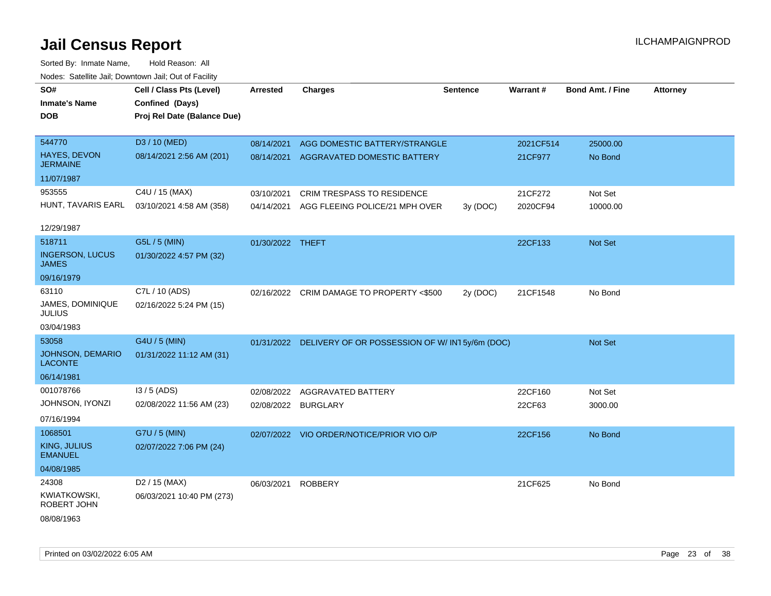| SO#                                    | Cell / Class Pts (Level)    | <b>Arrested</b>     | <b>Charges</b>                                             | <b>Sentence</b> | Warrant#  | <b>Bond Amt. / Fine</b> | <b>Attorney</b> |
|----------------------------------------|-----------------------------|---------------------|------------------------------------------------------------|-----------------|-----------|-------------------------|-----------------|
| <b>Inmate's Name</b>                   | Confined (Days)             |                     |                                                            |                 |           |                         |                 |
| <b>DOB</b>                             | Proj Rel Date (Balance Due) |                     |                                                            |                 |           |                         |                 |
|                                        |                             |                     |                                                            |                 |           |                         |                 |
| 544770                                 | D3 / 10 (MED)               | 08/14/2021          | AGG DOMESTIC BATTERY/STRANGLE                              |                 | 2021CF514 | 25000.00                |                 |
| HAYES, DEVON<br><b>JERMAINE</b>        | 08/14/2021 2:56 AM (201)    | 08/14/2021          | AGGRAVATED DOMESTIC BATTERY                                |                 | 21CF977   | No Bond                 |                 |
| 11/07/1987                             |                             |                     |                                                            |                 |           |                         |                 |
| 953555                                 | C4U / 15 (MAX)              | 03/10/2021          | CRIM TRESPASS TO RESIDENCE                                 |                 | 21CF272   | Not Set                 |                 |
| HUNT, TAVARIS EARL                     | 03/10/2021 4:58 AM (358)    | 04/14/2021          | AGG FLEEING POLICE/21 MPH OVER                             | 3y (DOC)        | 2020CF94  | 10000.00                |                 |
|                                        |                             |                     |                                                            |                 |           |                         |                 |
| 12/29/1987                             |                             |                     |                                                            |                 |           |                         |                 |
| 518711                                 | G5L / 5 (MIN)               | 01/30/2022 THEFT    |                                                            |                 | 22CF133   | Not Set                 |                 |
| <b>INGERSON, LUCUS</b><br><b>JAMES</b> | 01/30/2022 4:57 PM (32)     |                     |                                                            |                 |           |                         |                 |
| 09/16/1979                             |                             |                     |                                                            |                 |           |                         |                 |
| 63110                                  | C7L / 10 (ADS)              |                     | 02/16/2022 CRIM DAMAGE TO PROPERTY <\$500                  | 2y (DOC)        | 21CF1548  | No Bond                 |                 |
| JAMES, DOMINIQUE<br><b>JULIUS</b>      | 02/16/2022 5:24 PM (15)     |                     |                                                            |                 |           |                         |                 |
| 03/04/1983                             |                             |                     |                                                            |                 |           |                         |                 |
| 53058                                  | G4U / 5 (MIN)               |                     | 01/31/2022 DELIVERY OF OR POSSESSION OF W/ IN1 5y/6m (DOC) |                 |           | Not Set                 |                 |
| JOHNSON, DEMARIO<br><b>LACONTE</b>     | 01/31/2022 11:12 AM (31)    |                     |                                                            |                 |           |                         |                 |
| 06/14/1981                             |                             |                     |                                                            |                 |           |                         |                 |
| 001078766                              | I3 / 5 (ADS)                | 02/08/2022          | AGGRAVATED BATTERY                                         |                 | 22CF160   | Not Set                 |                 |
| JOHNSON, IYONZI                        | 02/08/2022 11:56 AM (23)    | 02/08/2022 BURGLARY |                                                            |                 | 22CF63    | 3000.00                 |                 |
| 07/16/1994                             |                             |                     |                                                            |                 |           |                         |                 |
| 1068501                                | G7U / 5 (MIN)               |                     | 02/07/2022 VIO ORDER/NOTICE/PRIOR VIO O/P                  |                 | 22CF156   | No Bond                 |                 |
| <b>KING, JULIUS</b><br><b>EMANUEL</b>  | 02/07/2022 7:06 PM (24)     |                     |                                                            |                 |           |                         |                 |
| 04/08/1985                             |                             |                     |                                                            |                 |           |                         |                 |
| 24308                                  | D <sub>2</sub> / 15 (MAX)   | 06/03/2021          | <b>ROBBERY</b>                                             |                 | 21CF625   | No Bond                 |                 |
| <b>KWIATKOWSKI,</b><br>ROBERT JOHN     | 06/03/2021 10:40 PM (273)   |                     |                                                            |                 |           |                         |                 |
| 08/08/1963                             |                             |                     |                                                            |                 |           |                         |                 |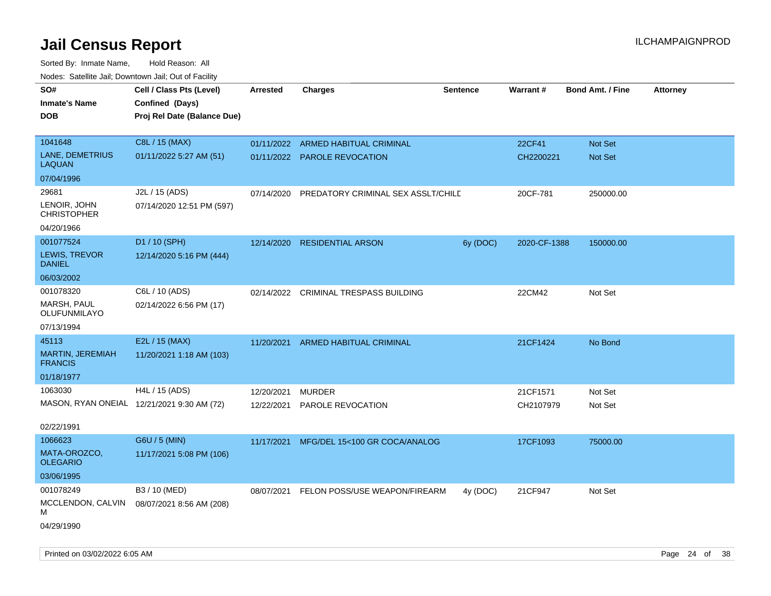| roaco. Catolino dall, Downtown dall, Out of Fability |                                            |                 |                                    |                 |                 |                         |                 |
|------------------------------------------------------|--------------------------------------------|-----------------|------------------------------------|-----------------|-----------------|-------------------------|-----------------|
| SO#                                                  | Cell / Class Pts (Level)                   | <b>Arrested</b> | Charges                            | <b>Sentence</b> | <b>Warrant#</b> | <b>Bond Amt. / Fine</b> | <b>Attorney</b> |
| <b>Inmate's Name</b>                                 | Confined (Days)                            |                 |                                    |                 |                 |                         |                 |
| <b>DOB</b>                                           | Proj Rel Date (Balance Due)                |                 |                                    |                 |                 |                         |                 |
|                                                      |                                            |                 |                                    |                 |                 |                         |                 |
| 1041648                                              | C8L / 15 (MAX)                             | 01/11/2022      | ARMED HABITUAL CRIMINAL            |                 | 22CF41          | <b>Not Set</b>          |                 |
| LANE, DEMETRIUS<br><b>LAQUAN</b>                     | 01/11/2022 5:27 AM (51)                    |                 | 01/11/2022 PAROLE REVOCATION       |                 | CH2200221       | Not Set                 |                 |
| 07/04/1996                                           |                                            |                 |                                    |                 |                 |                         |                 |
| 29681                                                | J2L / 15 (ADS)                             | 07/14/2020      | PREDATORY CRIMINAL SEX ASSLT/CHILD |                 | 20CF-781        | 250000.00               |                 |
| LENOIR, JOHN<br><b>CHRISTOPHER</b>                   | 07/14/2020 12:51 PM (597)                  |                 |                                    |                 |                 |                         |                 |
| 04/20/1966                                           |                                            |                 |                                    |                 |                 |                         |                 |
| 001077524                                            | D1 / 10 (SPH)                              | 12/14/2020      | <b>RESIDENTIAL ARSON</b>           | 6y (DOC)        | 2020-CF-1388    | 150000.00               |                 |
| LEWIS, TREVOR<br><b>DANIEL</b>                       | 12/14/2020 5:16 PM (444)                   |                 |                                    |                 |                 |                         |                 |
| 06/03/2002                                           |                                            |                 |                                    |                 |                 |                         |                 |
| 001078320                                            | C6L / 10 (ADS)                             | 02/14/2022      | CRIMINAL TRESPASS BUILDING         |                 | 22CM42          | Not Set                 |                 |
| <b>MARSH, PAUL</b><br>OLUFUNMILAYO                   | 02/14/2022 6:56 PM (17)                    |                 |                                    |                 |                 |                         |                 |
| 07/13/1994                                           |                                            |                 |                                    |                 |                 |                         |                 |
| 45113                                                | E2L / 15 (MAX)                             | 11/20/2021      | <b>ARMED HABITUAL CRIMINAL</b>     |                 | 21CF1424        | No Bond                 |                 |
| <b>MARTIN, JEREMIAH</b><br><b>FRANCIS</b>            | 11/20/2021 1:18 AM (103)                   |                 |                                    |                 |                 |                         |                 |
| 01/18/1977                                           |                                            |                 |                                    |                 |                 |                         |                 |
| 1063030                                              | H4L / 15 (ADS)                             | 12/20/2021      | <b>MURDER</b>                      |                 | 21CF1571        | Not Set                 |                 |
|                                                      | MASON, RYAN ONEIAL 12/21/2021 9:30 AM (72) | 12/22/2021      | PAROLE REVOCATION                  |                 | CH2107979       | Not Set                 |                 |
|                                                      |                                            |                 |                                    |                 |                 |                         |                 |
| 02/22/1991                                           |                                            |                 |                                    |                 |                 |                         |                 |
| 1066623                                              | G6U / 5 (MIN)                              | 11/17/2021      | MFG/DEL 15<100 GR COCA/ANALOG      |                 | 17CF1093        | 75000.00                |                 |
| MATA-OROZCO,<br><b>OLEGARIO</b>                      | 11/17/2021 5:08 PM (106)                   |                 |                                    |                 |                 |                         |                 |
| 03/06/1995                                           |                                            |                 |                                    |                 |                 |                         |                 |
| 001078249                                            | B3 / 10 (MED)                              | 08/07/2021      | FELON POSS/USE WEAPON/FIREARM      | 4y (DOC)        | 21CF947         | Not Set                 |                 |
| MCCLENDON, CALVIN<br>М                               | 08/07/2021 8:56 AM (208)                   |                 |                                    |                 |                 |                         |                 |
| 04/29/1990                                           |                                            |                 |                                    |                 |                 |                         |                 |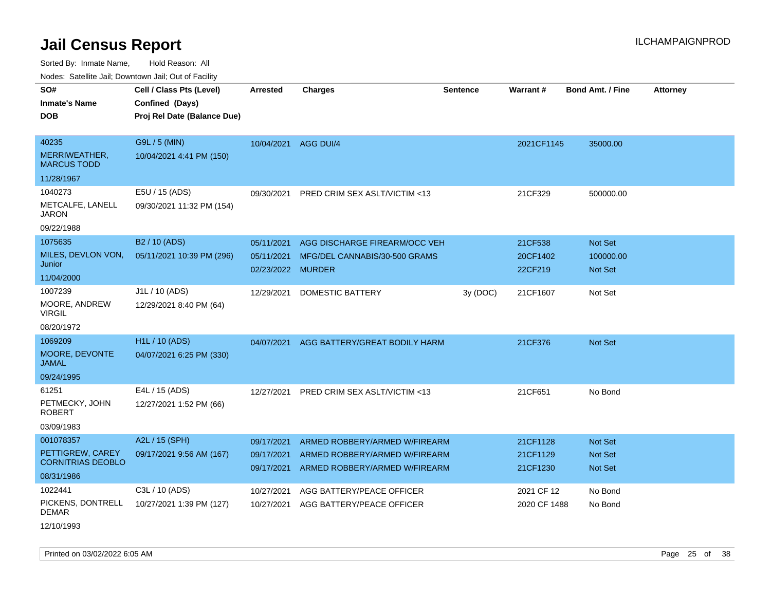Sorted By: Inmate Name, Hold Reason: All

Nodes: Satellite Jail; Downtown Jail; Out of Facility

| SO#<br><b>Inmate's Name</b><br><b>DOB</b>             | Cell / Class Pts (Level)<br>Confined (Days)<br>Proj Rel Date (Balance Due) | <b>Arrested</b>                               | <b>Charges</b>                                                 | <b>Sentence</b> | <b>Warrant#</b>                | <b>Bond Amt. / Fine</b>                | <b>Attorney</b> |
|-------------------------------------------------------|----------------------------------------------------------------------------|-----------------------------------------------|----------------------------------------------------------------|-----------------|--------------------------------|----------------------------------------|-----------------|
|                                                       |                                                                            |                                               |                                                                |                 |                                |                                        |                 |
| 40235<br>MERRIWEATHER,                                | G9L / 5 (MIN)<br>10/04/2021 4:41 PM (150)                                  | 10/04/2021                                    | AGG DUI/4                                                      |                 | 2021CF1145                     | 35000.00                               |                 |
| <b>MARCUS TODD</b>                                    |                                                                            |                                               |                                                                |                 |                                |                                        |                 |
| 11/28/1967                                            |                                                                            |                                               |                                                                |                 |                                |                                        |                 |
| 1040273<br>METCALFE, LANELL<br><b>JARON</b>           | E5U / 15 (ADS)<br>09/30/2021 11:32 PM (154)                                |                                               | 09/30/2021 PRED CRIM SEX ASLT/VICTIM <13                       |                 | 21CF329                        | 500000.00                              |                 |
| 09/22/1988                                            |                                                                            |                                               |                                                                |                 |                                |                                        |                 |
| 1075635<br>MILES, DEVLON VON,<br>Junior<br>11/04/2000 | B2 / 10 (ADS)<br>05/11/2021 10:39 PM (296)                                 | 05/11/2021<br>05/11/2021<br>02/23/2022 MURDER | AGG DISCHARGE FIREARM/OCC VEH<br>MFG/DEL CANNABIS/30-500 GRAMS |                 | 21CF538<br>20CF1402<br>22CF219 | Not Set<br>100000.00<br><b>Not Set</b> |                 |
| 1007239                                               | J1L / 10 (ADS)                                                             | 12/29/2021                                    | <b>DOMESTIC BATTERY</b>                                        | 3y (DOC)        | 21CF1607                       | Not Set                                |                 |
| MOORE, ANDREW<br><b>VIRGIL</b>                        | 12/29/2021 8:40 PM (64)                                                    |                                               |                                                                |                 |                                |                                        |                 |
| 08/20/1972                                            |                                                                            |                                               |                                                                |                 |                                |                                        |                 |
| 1069209                                               | <b>H1L / 10 (ADS)</b>                                                      | 04/07/2021                                    | AGG BATTERY/GREAT BODILY HARM                                  |                 | 21CF376                        | <b>Not Set</b>                         |                 |
| MOORE, DEVONTE<br><b>JAMAL</b>                        | 04/07/2021 6:25 PM (330)                                                   |                                               |                                                                |                 |                                |                                        |                 |
| 09/24/1995                                            |                                                                            |                                               |                                                                |                 |                                |                                        |                 |
| 61251                                                 | E4L / 15 (ADS)                                                             | 12/27/2021                                    | PRED CRIM SEX ASLT/VICTIM <13                                  |                 | 21CF651                        | No Bond                                |                 |
| PETMECKY, JOHN<br><b>ROBERT</b>                       | 12/27/2021 1:52 PM (66)                                                    |                                               |                                                                |                 |                                |                                        |                 |
| 03/09/1983                                            |                                                                            |                                               |                                                                |                 |                                |                                        |                 |
| 001078357                                             | A2L / 15 (SPH)                                                             | 09/17/2021                                    | ARMED ROBBERY/ARMED W/FIREARM                                  |                 | 21CF1128                       | <b>Not Set</b>                         |                 |
| PETTIGREW, CAREY<br><b>CORNITRIAS DEOBLO</b>          | 09/17/2021 9:56 AM (167)                                                   | 09/17/2021<br>09/17/2021                      | ARMED ROBBERY/ARMED W/FIREARM<br>ARMED ROBBERY/ARMED W/FIREARM |                 | 21CF1129<br>21CF1230           | Not Set<br><b>Not Set</b>              |                 |
| 08/31/1986                                            |                                                                            |                                               |                                                                |                 |                                |                                        |                 |
| 1022441<br>PICKENS, DONTRELL<br><b>DEMAR</b>          | C3L / 10 (ADS)<br>10/27/2021 1:39 PM (127)                                 | 10/27/2021<br>10/27/2021                      | AGG BATTERY/PEACE OFFICER<br>AGG BATTERY/PEACE OFFICER         |                 | 2021 CF 12<br>2020 CF 1488     | No Bond<br>No Bond                     |                 |
|                                                       |                                                                            |                                               |                                                                |                 |                                |                                        |                 |

12/10/1993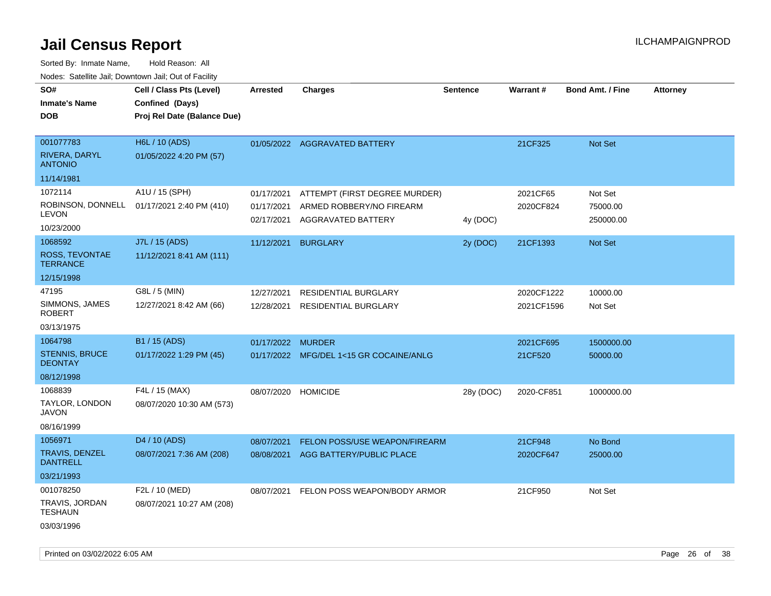Sorted By: Inmate Name, Hold Reason: All Nodes: Satellite Jail; Downtown Jail; Out of Facility

| <u>Rodos.</u> Odiolino dali, Downtown dali, Odi of Fabilit |                             |            |                                         |                 |            |                         |                 |
|------------------------------------------------------------|-----------------------------|------------|-----------------------------------------|-----------------|------------|-------------------------|-----------------|
| SO#                                                        | Cell / Class Pts (Level)    | Arrested   | <b>Charges</b>                          | <b>Sentence</b> | Warrant#   | <b>Bond Amt. / Fine</b> | <b>Attorney</b> |
| <b>Inmate's Name</b>                                       | Confined (Days)             |            |                                         |                 |            |                         |                 |
| <b>DOB</b>                                                 | Proj Rel Date (Balance Due) |            |                                         |                 |            |                         |                 |
|                                                            |                             |            |                                         |                 |            |                         |                 |
| 001077783                                                  | H6L / 10 (ADS)              |            | 01/05/2022 AGGRAVATED BATTERY           |                 | 21CF325    | Not Set                 |                 |
| RIVERA, DARYL<br><b>ANTONIO</b>                            | 01/05/2022 4:20 PM (57)     |            |                                         |                 |            |                         |                 |
| 11/14/1981                                                 |                             |            |                                         |                 |            |                         |                 |
| 1072114                                                    | A1U / 15 (SPH)              | 01/17/2021 | ATTEMPT (FIRST DEGREE MURDER)           |                 | 2021CF65   | Not Set                 |                 |
| ROBINSON, DONNELL                                          | 01/17/2021 2:40 PM (410)    | 01/17/2021 | ARMED ROBBERY/NO FIREARM                |                 | 2020CF824  | 75000.00                |                 |
| <b>LEVON</b>                                               |                             | 02/17/2021 | AGGRAVATED BATTERY                      | 4y (DOC)        |            | 250000.00               |                 |
| 10/23/2000                                                 |                             |            |                                         |                 |            |                         |                 |
| 1068592                                                    | J7L / 15 (ADS)              | 11/12/2021 | <b>BURGLARY</b>                         | 2y (DOC)        | 21CF1393   | <b>Not Set</b>          |                 |
| ROSS, TEVONTAE<br><b>TERRANCE</b>                          | 11/12/2021 8:41 AM (111)    |            |                                         |                 |            |                         |                 |
| 12/15/1998                                                 |                             |            |                                         |                 |            |                         |                 |
| 47195                                                      | G8L / 5 (MIN)               | 12/27/2021 | <b>RESIDENTIAL BURGLARY</b>             |                 | 2020CF1222 | 10000.00                |                 |
| SIMMONS, JAMES<br><b>ROBERT</b>                            | 12/27/2021 8:42 AM (66)     | 12/28/2021 | <b>RESIDENTIAL BURGLARY</b>             |                 | 2021CF1596 | Not Set                 |                 |
| 03/13/1975                                                 |                             |            |                                         |                 |            |                         |                 |
| 1064798                                                    | B1 / 15 (ADS)               | 01/17/2022 | <b>MURDER</b>                           |                 | 2021CF695  | 1500000.00              |                 |
| <b>STENNIS, BRUCE</b><br><b>DEONTAY</b>                    | 01/17/2022 1:29 PM (45)     |            | 01/17/2022 MFG/DEL 1<15 GR COCAINE/ANLG |                 | 21CF520    | 50000.00                |                 |
| 08/12/1998                                                 |                             |            |                                         |                 |            |                         |                 |
| 1068839                                                    | F4L / 15 (MAX)              | 08/07/2020 | <b>HOMICIDE</b>                         | 28y (DOC)       | 2020-CF851 | 1000000.00              |                 |
| TAYLOR, LONDON<br>JAVON                                    | 08/07/2020 10:30 AM (573)   |            |                                         |                 |            |                         |                 |
| 08/16/1999                                                 |                             |            |                                         |                 |            |                         |                 |
| 1056971                                                    | D <sub>4</sub> / 10 (ADS)   | 08/07/2021 | FELON POSS/USE WEAPON/FIREARM           |                 | 21CF948    | No Bond                 |                 |
| TRAVIS, DENZEL<br><b>DANTRELL</b>                          | 08/07/2021 7:36 AM (208)    | 08/08/2021 | AGG BATTERY/PUBLIC PLACE                |                 | 2020CF647  | 25000.00                |                 |
| 03/21/1993                                                 |                             |            |                                         |                 |            |                         |                 |
| 001078250                                                  | F2L / 10 (MED)              | 08/07/2021 | FELON POSS WEAPON/BODY ARMOR            |                 | 21CF950    | Not Set                 |                 |
| TRAVIS, JORDAN<br><b>TESHAUN</b>                           | 08/07/2021 10:27 AM (208)   |            |                                         |                 |            |                         |                 |
| 03/03/1996                                                 |                             |            |                                         |                 |            |                         |                 |

Printed on 03/02/2022 6:05 AM Page 26 of 38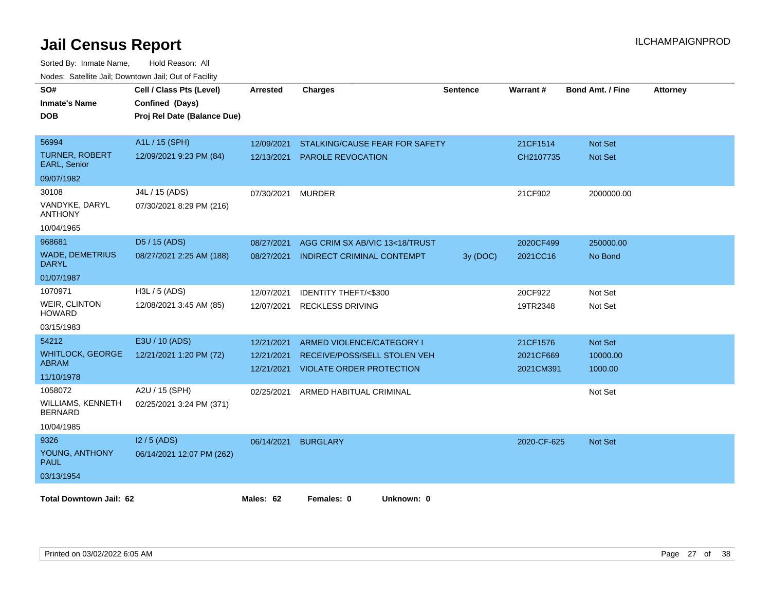| SO#<br><b>Inmate's Name</b><br><b>DOB</b> | Cell / Class Pts (Level)<br>Confined (Days)<br>Proj Rel Date (Balance Due) | <b>Arrested</b> | <b>Charges</b>                    | Sentence | Warrant#    | <b>Bond Amt. / Fine</b> | <b>Attorney</b> |
|-------------------------------------------|----------------------------------------------------------------------------|-----------------|-----------------------------------|----------|-------------|-------------------------|-----------------|
| 56994                                     | A1L / 15 (SPH)                                                             | 12/09/2021      | STALKING/CAUSE FEAR FOR SAFETY    |          | 21CF1514    | Not Set                 |                 |
| <b>TURNER, ROBERT</b><br>EARL, Senior     | 12/09/2021 9:23 PM (84)                                                    | 12/13/2021      | <b>PAROLE REVOCATION</b>          |          | CH2107735   | <b>Not Set</b>          |                 |
| 09/07/1982                                |                                                                            |                 |                                   |          |             |                         |                 |
| 30108                                     | J4L / 15 (ADS)                                                             | 07/30/2021      | <b>MURDER</b>                     |          | 21CF902     | 2000000.00              |                 |
| VANDYKE, DARYL<br><b>ANTHONY</b>          | 07/30/2021 8:29 PM (216)                                                   |                 |                                   |          |             |                         |                 |
| 10/04/1965                                |                                                                            |                 |                                   |          |             |                         |                 |
| 968681                                    | D5 / 15 (ADS)                                                              | 08/27/2021      | AGG CRIM SX AB/VIC 13<18/TRUST    |          | 2020CF499   | 250000.00               |                 |
| <b>WADE, DEMETRIUS</b><br><b>DARYL</b>    | 08/27/2021 2:25 AM (188)                                                   | 08/27/2021      | <b>INDIRECT CRIMINAL CONTEMPT</b> | 3y (DOC) | 2021CC16    | No Bond                 |                 |
| 01/07/1987                                |                                                                            |                 |                                   |          |             |                         |                 |
| 1070971                                   | $H3L / 5$ (ADS)                                                            | 12/07/2021      | <b>IDENTITY THEFT/&lt;\$300</b>   |          | 20CF922     | Not Set                 |                 |
| <b>WEIR, CLINTON</b><br><b>HOWARD</b>     | 12/08/2021 3:45 AM (85)                                                    | 12/07/2021      | <b>RECKLESS DRIVING</b>           |          | 19TR2348    | Not Set                 |                 |
| 03/15/1983                                |                                                                            |                 |                                   |          |             |                         |                 |
| 54212                                     | E3U / 10 (ADS)                                                             | 12/21/2021      | ARMED VIOLENCE/CATEGORY I         |          | 21CF1576    | Not Set                 |                 |
| <b>WHITLOCK, GEORGE</b>                   | 12/21/2021 1:20 PM (72)                                                    | 12/21/2021      | RECEIVE/POSS/SELL STOLEN VEH      |          | 2021CF669   | 10000.00                |                 |
| <b>ABRAM</b><br>11/10/1978                |                                                                            | 12/21/2021      | <b>VIOLATE ORDER PROTECTION</b>   |          | 2021CM391   | 1000.00                 |                 |
| 1058072                                   | A2U / 15 (SPH)                                                             | 02/25/2021      | ARMED HABITUAL CRIMINAL           |          |             | Not Set                 |                 |
| WILLIAMS, KENNETH<br><b>BERNARD</b>       | 02/25/2021 3:24 PM (371)                                                   |                 |                                   |          |             |                         |                 |
| 10/04/1985                                |                                                                            |                 |                                   |          |             |                         |                 |
| 9326                                      | $12/5$ (ADS)                                                               |                 | 06/14/2021 BURGLARY               |          | 2020-CF-625 | <b>Not Set</b>          |                 |
| YOUNG, ANTHONY<br><b>PAUL</b>             | 06/14/2021 12:07 PM (262)                                                  |                 |                                   |          |             |                         |                 |
| 03/13/1954                                |                                                                            |                 |                                   |          |             |                         |                 |
| <b>Total Downtown Jail: 62</b>            |                                                                            | Males: 62       | Females: 0<br>Unknown: 0          |          |             |                         |                 |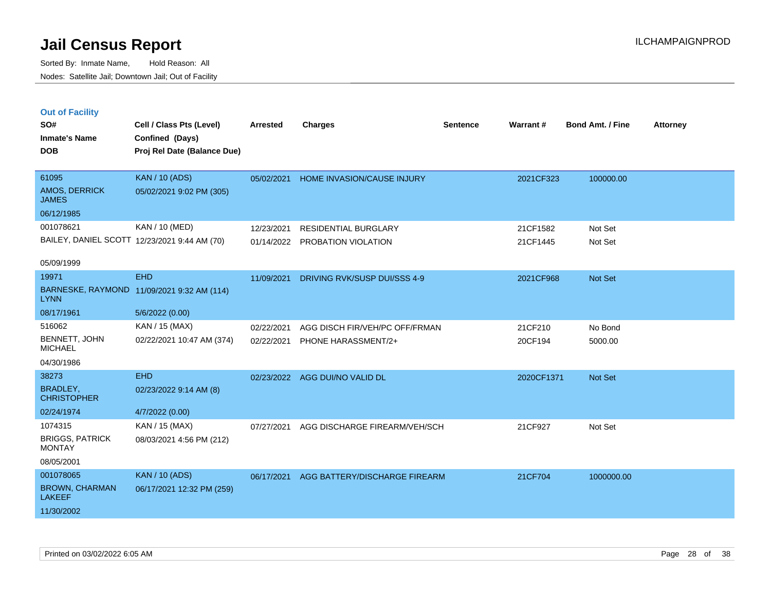Sorted By: Inmate Name, Hold Reason: All Nodes: Satellite Jail; Downtown Jail; Out of Facility

| <b>Out of Facility</b><br>SO#<br><b>Inmate's Name</b><br><b>DOB</b> | Cell / Class Pts (Level)<br>Confined (Days)<br>Proj Rel Date (Balance Due) | <b>Arrested</b> | <b>Charges</b>                    | <b>Sentence</b> | Warrant#   | <b>Bond Amt. / Fine</b> | <b>Attorney</b> |
|---------------------------------------------------------------------|----------------------------------------------------------------------------|-----------------|-----------------------------------|-----------------|------------|-------------------------|-----------------|
| 61095                                                               | <b>KAN / 10 (ADS)</b>                                                      | 05/02/2021      | <b>HOME INVASION/CAUSE INJURY</b> |                 | 2021CF323  | 100000.00               |                 |
| AMOS, DERRICK<br><b>JAMES</b>                                       | 05/02/2021 9:02 PM (305)                                                   |                 |                                   |                 |            |                         |                 |
| 06/12/1985                                                          |                                                                            |                 |                                   |                 |            |                         |                 |
| 001078621                                                           | KAN / 10 (MED)                                                             | 12/23/2021      | <b>RESIDENTIAL BURGLARY</b>       |                 | 21CF1582   | Not Set                 |                 |
|                                                                     | BAILEY, DANIEL SCOTT 12/23/2021 9:44 AM (70)                               |                 | 01/14/2022 PROBATION VIOLATION    |                 | 21CF1445   | Not Set                 |                 |
| 05/09/1999                                                          |                                                                            |                 |                                   |                 |            |                         |                 |
| 19971                                                               | <b>EHD</b>                                                                 | 11/09/2021      | DRIVING RVK/SUSP DUI/SSS 4-9      |                 | 2021CF968  | Not Set                 |                 |
| <b>LYNN</b>                                                         | BARNESKE, RAYMOND 11/09/2021 9:32 AM (114)                                 |                 |                                   |                 |            |                         |                 |
| 08/17/1961                                                          | 5/6/2022 (0.00)                                                            |                 |                                   |                 |            |                         |                 |
| 516062                                                              | KAN / 15 (MAX)                                                             | 02/22/2021      | AGG DISCH FIR/VEH/PC OFF/FRMAN    |                 | 21CF210    | No Bond                 |                 |
| BENNETT, JOHN<br><b>MICHAEL</b>                                     | 02/22/2021 10:47 AM (374)                                                  | 02/22/2021      | PHONE HARASSMENT/2+               |                 | 20CF194    | 5000.00                 |                 |
| 04/30/1986                                                          |                                                                            |                 |                                   |                 |            |                         |                 |
| 38273                                                               | <b>EHD</b>                                                                 | 02/23/2022      | AGG DUI/NO VALID DL               |                 | 2020CF1371 | <b>Not Set</b>          |                 |
| <b>BRADLEY,</b><br><b>CHRISTOPHER</b>                               | 02/23/2022 9:14 AM (8)                                                     |                 |                                   |                 |            |                         |                 |
| 02/24/1974                                                          | 4/7/2022 (0.00)                                                            |                 |                                   |                 |            |                         |                 |
| 1074315                                                             | KAN / 15 (MAX)                                                             | 07/27/2021      | AGG DISCHARGE FIREARM/VEH/SCH     |                 | 21CF927    | Not Set                 |                 |
| <b>BRIGGS, PATRICK</b><br><b>MONTAY</b>                             | 08/03/2021 4:56 PM (212)                                                   |                 |                                   |                 |            |                         |                 |
| 08/05/2001                                                          |                                                                            |                 |                                   |                 |            |                         |                 |
| 001078065                                                           | <b>KAN / 10 (ADS)</b>                                                      | 06/17/2021      | AGG BATTERY/DISCHARGE FIREARM     |                 | 21CF704    | 1000000.00              |                 |
| <b>BROWN, CHARMAN</b>                                               | 06/17/2021 12:32 PM (259)                                                  |                 |                                   |                 |            |                         |                 |

LAKEEF 11/30/2002 06/17/2021 12:32 PM (259)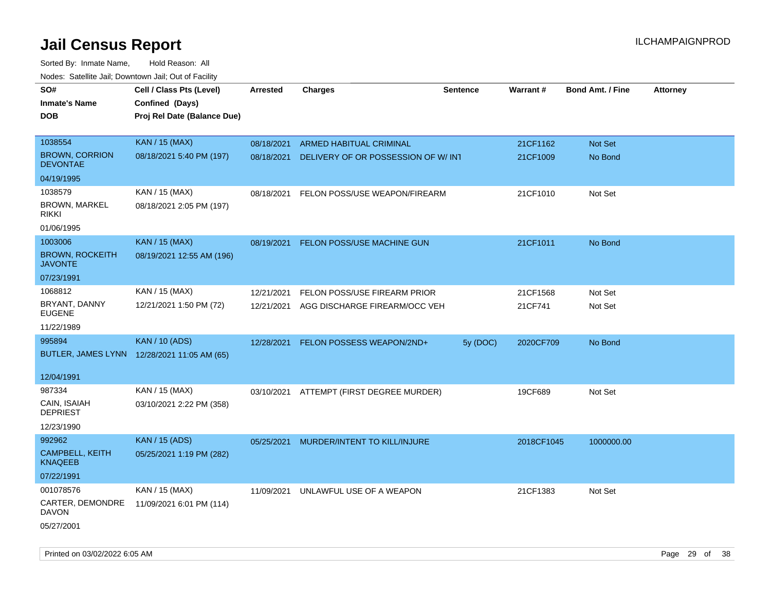| roaco. Catolino dall, Downtown dall, Out of Fability |                                             |                 |                                          |                 |            |                         |                 |
|------------------------------------------------------|---------------------------------------------|-----------------|------------------------------------------|-----------------|------------|-------------------------|-----------------|
| SO#                                                  | Cell / Class Pts (Level)                    | <b>Arrested</b> | <b>Charges</b>                           | <b>Sentence</b> | Warrant#   | <b>Bond Amt. / Fine</b> | <b>Attorney</b> |
| <b>Inmate's Name</b>                                 | Confined (Days)                             |                 |                                          |                 |            |                         |                 |
| <b>DOB</b>                                           | Proj Rel Date (Balance Due)                 |                 |                                          |                 |            |                         |                 |
|                                                      |                                             |                 |                                          |                 |            |                         |                 |
| 1038554                                              | <b>KAN / 15 (MAX)</b>                       | 08/18/2021      | ARMED HABITUAL CRIMINAL                  |                 | 21CF1162   | Not Set                 |                 |
| <b>BROWN, CORRION</b><br><b>DEVONTAE</b>             | 08/18/2021 5:40 PM (197)                    | 08/18/2021      | DELIVERY OF OR POSSESSION OF W/INT       |                 | 21CF1009   | No Bond                 |                 |
| 04/19/1995                                           |                                             |                 |                                          |                 |            |                         |                 |
| 1038579                                              | KAN / 15 (MAX)                              | 08/18/2021      | FELON POSS/USE WEAPON/FIREARM            |                 | 21CF1010   | Not Set                 |                 |
| <b>BROWN, MARKEL</b><br><b>RIKKI</b>                 | 08/18/2021 2:05 PM (197)                    |                 |                                          |                 |            |                         |                 |
| 01/06/1995                                           |                                             |                 |                                          |                 |            |                         |                 |
| 1003006                                              | <b>KAN / 15 (MAX)</b>                       | 08/19/2021      | FELON POSS/USE MACHINE GUN               |                 | 21CF1011   | No Bond                 |                 |
| <b>BROWN, ROCKEITH</b><br><b>JAVONTE</b>             | 08/19/2021 12:55 AM (196)                   |                 |                                          |                 |            |                         |                 |
| 07/23/1991                                           |                                             |                 |                                          |                 |            |                         |                 |
| 1068812                                              | KAN / 15 (MAX)                              | 12/21/2021      | FELON POSS/USE FIREARM PRIOR             |                 | 21CF1568   | Not Set                 |                 |
| BRYANT, DANNY<br><b>EUGENE</b>                       | 12/21/2021 1:50 PM (72)                     | 12/21/2021      | AGG DISCHARGE FIREARM/OCC VEH            |                 | 21CF741    | Not Set                 |                 |
| 11/22/1989                                           |                                             |                 |                                          |                 |            |                         |                 |
| 995894                                               | <b>KAN / 10 (ADS)</b>                       | 12/28/2021      | <b>FELON POSSESS WEAPON/2ND+</b>         | 5y (DOC)        | 2020CF709  | No Bond                 |                 |
|                                                      | BUTLER, JAMES LYNN 12/28/2021 11:05 AM (65) |                 |                                          |                 |            |                         |                 |
|                                                      |                                             |                 |                                          |                 |            |                         |                 |
| 12/04/1991                                           |                                             |                 |                                          |                 |            |                         |                 |
| 987334                                               | KAN / 15 (MAX)                              |                 | 03/10/2021 ATTEMPT (FIRST DEGREE MURDER) |                 | 19CF689    | Not Set                 |                 |
| CAIN, ISAIAH<br><b>DEPRIEST</b>                      | 03/10/2021 2:22 PM (358)                    |                 |                                          |                 |            |                         |                 |
| 12/23/1990                                           |                                             |                 |                                          |                 |            |                         |                 |
| 992962                                               | <b>KAN / 15 (ADS)</b>                       | 05/25/2021      | MURDER/INTENT TO KILL/INJURE             |                 | 2018CF1045 | 1000000.00              |                 |
| CAMPBELL, KEITH<br><b>KNAQEEB</b>                    | 05/25/2021 1:19 PM (282)                    |                 |                                          |                 |            |                         |                 |
| 07/22/1991                                           |                                             |                 |                                          |                 |            |                         |                 |
| 001078576                                            | KAN / 15 (MAX)                              | 11/09/2021      | UNLAWFUL USE OF A WEAPON                 |                 | 21CF1383   | Not Set                 |                 |
| CARTER, DEMONDRE<br>DAVON                            | 11/09/2021 6:01 PM (114)                    |                 |                                          |                 |            |                         |                 |
| 05/27/2001                                           |                                             |                 |                                          |                 |            |                         |                 |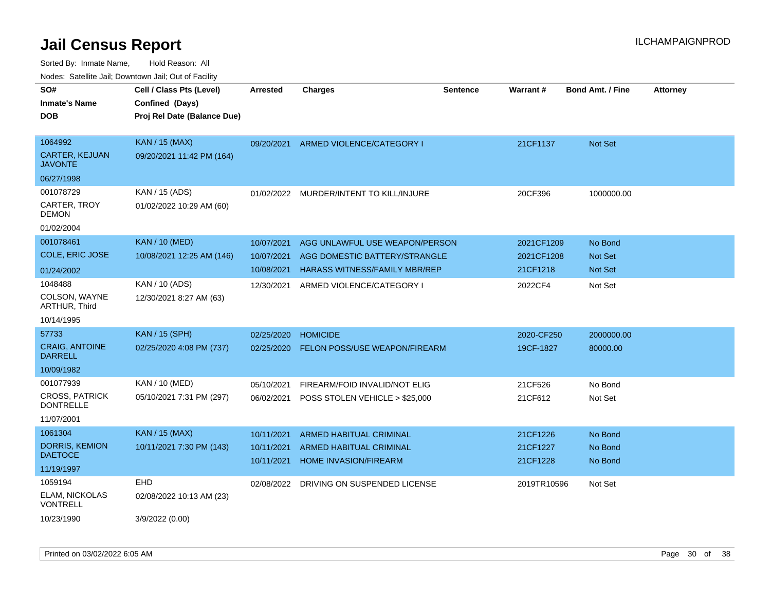| roaco. Calcinio dan, Domnomi dan, Cal or Fability |                             |                 |                                      |                 |             |                         |                 |
|---------------------------------------------------|-----------------------------|-----------------|--------------------------------------|-----------------|-------------|-------------------------|-----------------|
| SO#                                               | Cell / Class Pts (Level)    | <b>Arrested</b> | Charges                              | <b>Sentence</b> | Warrant#    | <b>Bond Amt. / Fine</b> | <b>Attorney</b> |
| <b>Inmate's Name</b>                              | Confined (Days)             |                 |                                      |                 |             |                         |                 |
| <b>DOB</b>                                        | Proj Rel Date (Balance Due) |                 |                                      |                 |             |                         |                 |
|                                                   |                             |                 |                                      |                 |             |                         |                 |
| 1064992                                           | <b>KAN / 15 (MAX)</b>       | 09/20/2021      | ARMED VIOLENCE/CATEGORY I            |                 | 21CF1137    | <b>Not Set</b>          |                 |
| <b>CARTER, KEJUAN</b><br>JAVONTE                  | 09/20/2021 11:42 PM (164)   |                 |                                      |                 |             |                         |                 |
| 06/27/1998                                        |                             |                 |                                      |                 |             |                         |                 |
| 001078729                                         | KAN / 15 (ADS)              | 01/02/2022      | MURDER/INTENT TO KILL/INJURE         |                 | 20CF396     | 1000000.00              |                 |
| CARTER, TROY<br>DEMON                             | 01/02/2022 10:29 AM (60)    |                 |                                      |                 |             |                         |                 |
| 01/02/2004                                        |                             |                 |                                      |                 |             |                         |                 |
| 001078461                                         | <b>KAN / 10 (MED)</b>       | 10/07/2021      | AGG UNLAWFUL USE WEAPON/PERSON       |                 | 2021CF1209  | No Bond                 |                 |
| COLE, ERIC JOSE                                   | 10/08/2021 12:25 AM (146)   | 10/07/2021      | AGG DOMESTIC BATTERY/STRANGLE        |                 | 2021CF1208  | <b>Not Set</b>          |                 |
| 01/24/2002                                        |                             | 10/08/2021      | HARASS WITNESS/FAMILY MBR/REP        |                 | 21CF1218    | <b>Not Set</b>          |                 |
| 1048488                                           | KAN / 10 (ADS)              | 12/30/2021      | ARMED VIOLENCE/CATEGORY I            |                 | 2022CF4     | Not Set                 |                 |
| COLSON, WAYNE<br>ARTHUR, Third                    | 12/30/2021 8:27 AM (63)     |                 |                                      |                 |             |                         |                 |
| 10/14/1995                                        |                             |                 |                                      |                 |             |                         |                 |
| 57733                                             | <b>KAN / 15 (SPH)</b>       | 02/25/2020      | <b>HOMICIDE</b>                      |                 | 2020-CF250  | 2000000.00              |                 |
| <b>CRAIG, ANTOINE</b><br>DARRELL                  | 02/25/2020 4:08 PM (737)    | 02/25/2020      | <b>FELON POSS/USE WEAPON/FIREARM</b> |                 | 19CF-1827   | 80000.00                |                 |
| 10/09/1982                                        |                             |                 |                                      |                 |             |                         |                 |
| 001077939                                         | KAN / 10 (MED)              | 05/10/2021      | FIREARM/FOID INVALID/NOT ELIG        |                 | 21CF526     | No Bond                 |                 |
| <b>CROSS, PATRICK</b><br><b>DONTRELLE</b>         | 05/10/2021 7:31 PM (297)    | 06/02/2021      | POSS STOLEN VEHICLE > \$25,000       |                 | 21CF612     | Not Set                 |                 |
| 11/07/2001                                        |                             |                 |                                      |                 |             |                         |                 |
| 1061304                                           | KAN / 15 (MAX)              | 10/11/2021      | <b>ARMED HABITUAL CRIMINAL</b>       |                 | 21CF1226    | No Bond                 |                 |
| <b>DORRIS, KEMION</b>                             | 10/11/2021 7:30 PM (143)    | 10/11/2021      | ARMED HABITUAL CRIMINAL              |                 | 21CF1227    | No Bond                 |                 |
| <b>DAETOCE</b>                                    |                             | 10/11/2021      | <b>HOME INVASION/FIREARM</b>         |                 | 21CF1228    | No Bond                 |                 |
| 11/19/1997                                        |                             |                 |                                      |                 |             |                         |                 |
| 1059194                                           | <b>EHD</b>                  | 02/08/2022      | DRIVING ON SUSPENDED LICENSE         |                 | 2019TR10596 | Not Set                 |                 |
| ELAM, NICKOLAS<br>VONTRELL                        | 02/08/2022 10:13 AM (23)    |                 |                                      |                 |             |                         |                 |
| 10/23/1990                                        | 3/9/2022 (0.00)             |                 |                                      |                 |             |                         |                 |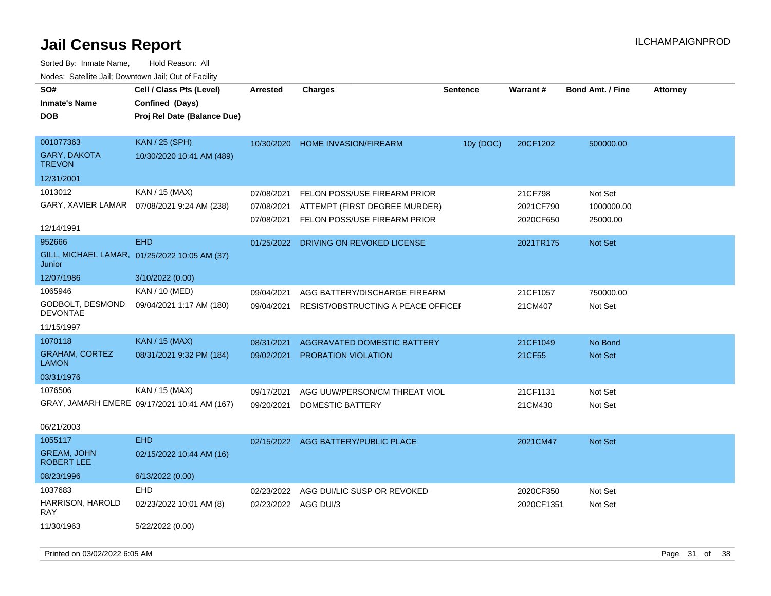| SO#                                     | Cell / Class Pts (Level)                      | <b>Arrested</b>      | <b>Charges</b>                      | Sentence  | Warrant#   | <b>Bond Amt. / Fine</b> | <b>Attorney</b> |
|-----------------------------------------|-----------------------------------------------|----------------------|-------------------------------------|-----------|------------|-------------------------|-----------------|
| <b>Inmate's Name</b>                    | Confined (Days)                               |                      |                                     |           |            |                         |                 |
| <b>DOB</b>                              | Proj Rel Date (Balance Due)                   |                      |                                     |           |            |                         |                 |
|                                         |                                               |                      |                                     |           |            |                         |                 |
| 001077363                               | <b>KAN / 25 (SPH)</b>                         | 10/30/2020           | <b>HOME INVASION/FIREARM</b>        | 10y (DOC) | 20CF1202   | 500000.00               |                 |
| GARY, DAKOTA<br><b>TREVON</b>           | 10/30/2020 10:41 AM (489)                     |                      |                                     |           |            |                         |                 |
| 12/31/2001                              |                                               |                      |                                     |           |            |                         |                 |
| 1013012                                 | KAN / 15 (MAX)                                | 07/08/2021           | FELON POSS/USE FIREARM PRIOR        |           | 21CF798    | Not Set                 |                 |
|                                         | GARY, XAVIER LAMAR  07/08/2021 9:24 AM (238)  | 07/08/2021           | ATTEMPT (FIRST DEGREE MURDER)       |           | 2021CF790  | 1000000.00              |                 |
|                                         |                                               | 07/08/2021           | FELON POSS/USE FIREARM PRIOR        |           | 2020CF650  | 25000.00                |                 |
| 12/14/1991                              |                                               |                      |                                     |           |            |                         |                 |
| 952666                                  | <b>EHD</b>                                    | 01/25/2022           | DRIVING ON REVOKED LICENSE          |           | 2021TR175  | <b>Not Set</b>          |                 |
| Junior                                  | GILL, MICHAEL LAMAR, 01/25/2022 10:05 AM (37) |                      |                                     |           |            |                         |                 |
| 12/07/1986                              | 3/10/2022 (0.00)                              |                      |                                     |           |            |                         |                 |
| 1065946                                 | KAN / 10 (MED)                                | 09/04/2021           | AGG BATTERY/DISCHARGE FIREARM       |           | 21CF1057   | 750000.00               |                 |
| GODBOLT, DESMOND<br><b>DEVONTAE</b>     | 09/04/2021 1:17 AM (180)                      | 09/04/2021           | RESIST/OBSTRUCTING A PEACE OFFICEF  |           | 21CM407    | Not Set                 |                 |
| 11/15/1997                              |                                               |                      |                                     |           |            |                         |                 |
| 1070118                                 | <b>KAN / 15 (MAX)</b>                         | 08/31/2021           | AGGRAVATED DOMESTIC BATTERY         |           | 21CF1049   | No Bond                 |                 |
| <b>GRAHAM, CORTEZ</b><br><b>LAMON</b>   | 08/31/2021 9:32 PM (184)                      | 09/02/2021           | <b>PROBATION VIOLATION</b>          |           | 21CF55     | <b>Not Set</b>          |                 |
| 03/31/1976                              |                                               |                      |                                     |           |            |                         |                 |
| 1076506                                 | KAN / 15 (MAX)                                | 09/17/2021           | AGG UUW/PERSON/CM THREAT VIOL       |           | 21CF1131   | Not Set                 |                 |
|                                         | GRAY, JAMARH EMERE 09/17/2021 10:41 AM (167)  | 09/20/2021           | DOMESTIC BATTERY                    |           | 21CM430    | Not Set                 |                 |
|                                         |                                               |                      |                                     |           |            |                         |                 |
| 06/21/2003                              |                                               |                      |                                     |           |            |                         |                 |
| 1055117                                 | <b>EHD</b>                                    |                      | 02/15/2022 AGG BATTERY/PUBLIC PLACE |           | 2021CM47   | <b>Not Set</b>          |                 |
| <b>GREAM, JOHN</b><br><b>ROBERT LEE</b> | 02/15/2022 10:44 AM (16)                      |                      |                                     |           |            |                         |                 |
| 08/23/1996                              | 6/13/2022 (0.00)                              |                      |                                     |           |            |                         |                 |
| 1037683                                 | <b>EHD</b>                                    | 02/23/2022           | AGG DUI/LIC SUSP OR REVOKED         |           | 2020CF350  | Not Set                 |                 |
| HARRISON, HAROLD<br>RAY                 | 02/23/2022 10:01 AM (8)                       | 02/23/2022 AGG DUI/3 |                                     |           | 2020CF1351 | Not Set                 |                 |
| 11/30/1963                              | 5/22/2022 (0.00)                              |                      |                                     |           |            |                         |                 |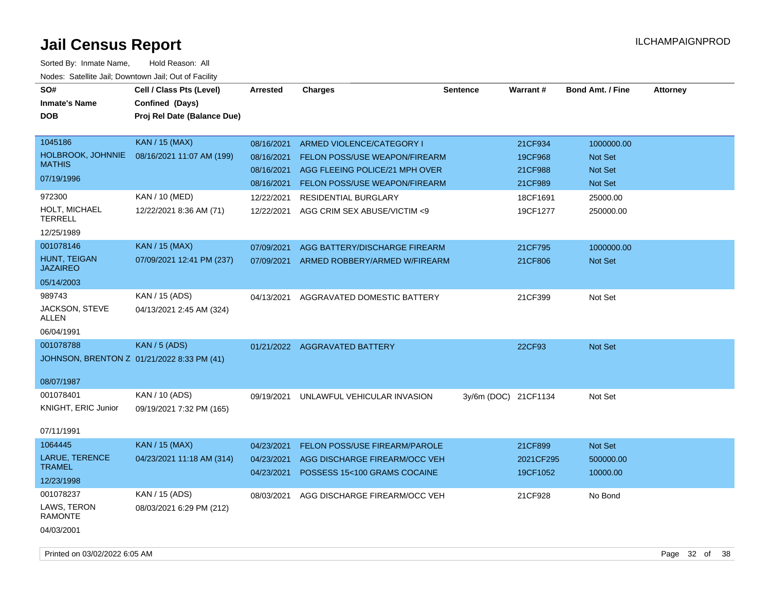| SO#<br><b>Inmate's Name</b><br><b>DOB</b>                             | Cell / Class Pts (Level)<br>Confined (Days)<br>Proj Rel Date (Balance Due) | <b>Arrested</b>                                                    | <b>Charges</b>                                                                                                                                                      | <b>Sentence</b>      | <b>Warrant#</b>                                      | <b>Bond Amt. / Fine</b>                                 | <b>Attorney</b> |
|-----------------------------------------------------------------------|----------------------------------------------------------------------------|--------------------------------------------------------------------|---------------------------------------------------------------------------------------------------------------------------------------------------------------------|----------------------|------------------------------------------------------|---------------------------------------------------------|-----------------|
| 1045186<br>HOLBROOK, JOHNNIE<br><b>MATHIS</b><br>07/19/1996<br>972300 | <b>KAN / 15 (MAX)</b><br>08/16/2021 11:07 AM (199)<br>KAN / 10 (MED)       | 08/16/2021<br>08/16/2021<br>08/16/2021<br>08/16/2021<br>12/22/2021 | ARMED VIOLENCE/CATEGORY I<br><b>FELON POSS/USE WEAPON/FIREARM</b><br>AGG FLEEING POLICE/21 MPH OVER<br>FELON POSS/USE WEAPON/FIREARM<br><b>RESIDENTIAL BURGLARY</b> |                      | 21CF934<br>19CF968<br>21CF988<br>21CF989<br>18CF1691 | 1000000.00<br>Not Set<br>Not Set<br>Not Set<br>25000.00 |                 |
| HOLT, MICHAEL<br>TERRELL<br>12/25/1989                                | 12/22/2021 8:36 AM (71)                                                    | 12/22/2021                                                         | AGG CRIM SEX ABUSE/VICTIM <9                                                                                                                                        |                      | 19CF1277                                             | 250000.00                                               |                 |
| 001078146<br>HUNT, TEIGAN<br><b>JAZAIREO</b><br>05/14/2003            | <b>KAN / 15 (MAX)</b><br>07/09/2021 12:41 PM (237)                         | 07/09/2021<br>07/09/2021                                           | AGG BATTERY/DISCHARGE FIREARM<br>ARMED ROBBERY/ARMED W/FIREARM                                                                                                      |                      | 21CF795<br>21CF806                                   | 1000000.00<br>Not Set                                   |                 |
| 989743<br>JACKSON, STEVE<br>ALLEN<br>06/04/1991                       | KAN / 15 (ADS)<br>04/13/2021 2:45 AM (324)                                 | 04/13/2021                                                         | AGGRAVATED DOMESTIC BATTERY                                                                                                                                         |                      | 21CF399                                              | Not Set                                                 |                 |
| 001078788<br>08/07/1987                                               | <b>KAN / 5 (ADS)</b><br>JOHNSON, BRENTON Z 01/21/2022 8:33 PM (41)         |                                                                    | 01/21/2022 AGGRAVATED BATTERY                                                                                                                                       |                      | 22CF93                                               | Not Set                                                 |                 |
| 001078401<br>KNIGHT, ERIC Junior<br>07/11/1991                        | KAN / 10 (ADS)<br>09/19/2021 7:32 PM (165)                                 | 09/19/2021                                                         | UNLAWFUL VEHICULAR INVASION                                                                                                                                         | 3y/6m (DOC) 21CF1134 |                                                      | Not Set                                                 |                 |
| 1064445<br>LARUE, TERENCE<br><b>TRAMEL</b><br>12/23/1998              | <b>KAN / 15 (MAX)</b><br>04/23/2021 11:18 AM (314)                         | 04/23/2021<br>04/23/2021<br>04/23/2021                             | <b>FELON POSS/USE FIREARM/PAROLE</b><br>AGG DISCHARGE FIREARM/OCC VEH<br>POSSESS 15<100 GRAMS COCAINE                                                               |                      | 21CF899<br>2021CF295<br>19CF1052                     | Not Set<br>500000.00<br>10000.00                        |                 |
| 001078237<br>LAWS, TERON<br><b>RAMONTE</b><br>04/03/2001              | KAN / 15 (ADS)<br>08/03/2021 6:29 PM (212)                                 | 08/03/2021                                                         | AGG DISCHARGE FIREARM/OCC VEH                                                                                                                                       |                      | 21CF928                                              | No Bond                                                 |                 |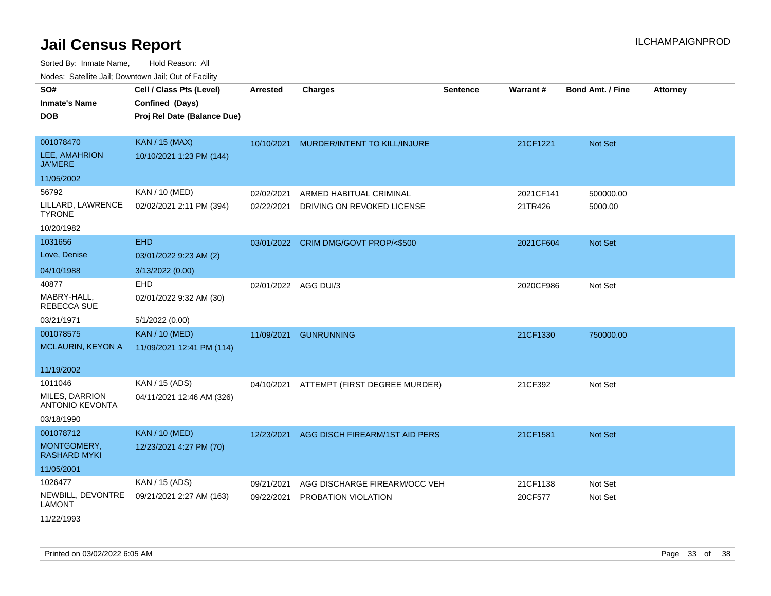| roacs. Catellite Jall, Downtown Jall, Out of Facility |                                                                            |                      |                                          |                 |           |                         |                 |
|-------------------------------------------------------|----------------------------------------------------------------------------|----------------------|------------------------------------------|-----------------|-----------|-------------------------|-----------------|
| SO#<br><b>Inmate's Name</b><br><b>DOB</b>             | Cell / Class Pts (Level)<br>Confined (Days)<br>Proj Rel Date (Balance Due) | <b>Arrested</b>      | <b>Charges</b>                           | <b>Sentence</b> | Warrant#  | <b>Bond Amt. / Fine</b> | <b>Attorney</b> |
| 001078470<br>LEE, AMAHRION<br><b>JA'MERE</b>          | <b>KAN / 15 (MAX)</b><br>10/10/2021 1:23 PM (144)                          |                      | 10/10/2021 MURDER/INTENT TO KILL/INJURE  |                 | 21CF1221  | Not Set                 |                 |
| 11/05/2002                                            |                                                                            |                      |                                          |                 |           |                         |                 |
| 56792                                                 | KAN / 10 (MED)                                                             | 02/02/2021           | ARMED HABITUAL CRIMINAL                  |                 | 2021CF141 | 500000.00               |                 |
| LILLARD, LAWRENCE<br><b>TYRONE</b>                    | 02/02/2021 2:11 PM (394)                                                   | 02/22/2021           | DRIVING ON REVOKED LICENSE               |                 | 21TR426   | 5000.00                 |                 |
| 10/20/1982                                            |                                                                            |                      |                                          |                 |           |                         |                 |
| 1031656                                               | <b>EHD</b>                                                                 |                      | 03/01/2022 CRIM DMG/GOVT PROP/<\$500     |                 | 2021CF604 | <b>Not Set</b>          |                 |
| Love, Denise                                          | 03/01/2022 9:23 AM (2)                                                     |                      |                                          |                 |           |                         |                 |
| 04/10/1988                                            | 3/13/2022 (0.00)                                                           |                      |                                          |                 |           |                         |                 |
| 40877<br>MABRY-HALL,<br><b>REBECCA SUE</b>            | EHD<br>02/01/2022 9:32 AM (30)                                             | 02/01/2022 AGG DUI/3 |                                          |                 | 2020CF986 | Not Set                 |                 |
| 03/21/1971                                            | 5/1/2022 (0.00)                                                            |                      |                                          |                 |           |                         |                 |
| 001078575                                             | <b>KAN / 10 (MED)</b>                                                      | 11/09/2021           | <b>GUNRUNNING</b>                        |                 | 21CF1330  | 750000.00               |                 |
| MCLAURIN, KEYON A                                     | 11/09/2021 12:41 PM (114)                                                  |                      |                                          |                 |           |                         |                 |
| 11/19/2002                                            |                                                                            |                      |                                          |                 |           |                         |                 |
| 1011046                                               | KAN / 15 (ADS)                                                             |                      | 04/10/2021 ATTEMPT (FIRST DEGREE MURDER) |                 | 21CF392   | Not Set                 |                 |
| MILES, DARRION<br><b>ANTONIO KEVONTA</b>              | 04/11/2021 12:46 AM (326)                                                  |                      |                                          |                 |           |                         |                 |
| 03/18/1990                                            |                                                                            |                      |                                          |                 |           |                         |                 |
| 001078712                                             | <b>KAN / 10 (MED)</b>                                                      | 12/23/2021           | AGG DISCH FIREARM/1ST AID PERS           |                 | 21CF1581  | <b>Not Set</b>          |                 |
| MONTGOMERY,<br><b>RASHARD MYKI</b>                    | 12/23/2021 4:27 PM (70)                                                    |                      |                                          |                 |           |                         |                 |
| 11/05/2001                                            |                                                                            |                      |                                          |                 |           |                         |                 |
| 1026477                                               | KAN / 15 (ADS)                                                             | 09/21/2021           | AGG DISCHARGE FIREARM/OCC VEH            |                 | 21CF1138  | Not Set                 |                 |
| NEWBILL, DEVONTRE<br><b>LAMONT</b>                    | 09/21/2021 2:27 AM (163)                                                   | 09/22/2021           | PROBATION VIOLATION                      |                 | 20CF577   | Not Set                 |                 |
| 11/22/1993                                            |                                                                            |                      |                                          |                 |           |                         |                 |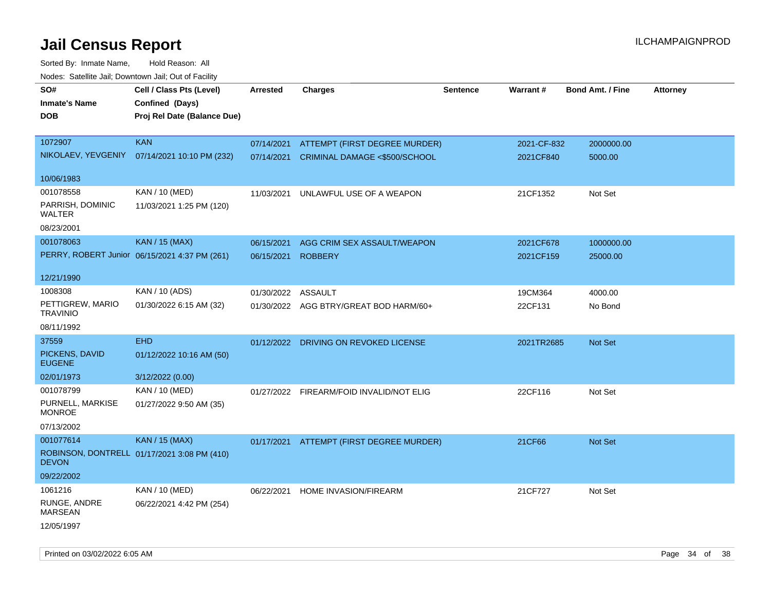| rougs. Calcinic Jan, Downtown Jan, Out of Facility |                                                                            |                 |                                          |          |             |                         |                 |
|----------------------------------------------------|----------------------------------------------------------------------------|-----------------|------------------------------------------|----------|-------------|-------------------------|-----------------|
| SO#<br><b>Inmate's Name</b><br><b>DOB</b>          | Cell / Class Pts (Level)<br>Confined (Days)<br>Proj Rel Date (Balance Due) | <b>Arrested</b> | <b>Charges</b>                           | Sentence | Warrant#    | <b>Bond Amt. / Fine</b> | <b>Attorney</b> |
| 1072907                                            | <b>KAN</b>                                                                 | 07/14/2021      | ATTEMPT (FIRST DEGREE MURDER)            |          | 2021-CF-832 | 2000000.00              |                 |
| NIKOLAEV, YEVGENIY                                 | 07/14/2021 10:10 PM (232)                                                  |                 | 07/14/2021 CRIMINAL DAMAGE <\$500/SCHOOL |          | 2021CF840   | 5000.00                 |                 |
| 10/06/1983                                         |                                                                            |                 |                                          |          |             |                         |                 |
| 001078558                                          | KAN / 10 (MED)                                                             | 11/03/2021      | UNLAWFUL USE OF A WEAPON                 |          | 21CF1352    | Not Set                 |                 |
| PARRISH, DOMINIC<br>WALTER                         | 11/03/2021 1:25 PM (120)                                                   |                 |                                          |          |             |                         |                 |
| 08/23/2001                                         |                                                                            |                 |                                          |          |             |                         |                 |
| 001078063                                          | <b>KAN / 15 (MAX)</b>                                                      | 06/15/2021      | AGG CRIM SEX ASSAULT/WEAPON              |          | 2021CF678   | 1000000.00              |                 |
|                                                    | PERRY, ROBERT Junior 06/15/2021 4:37 PM (261)                              | 06/15/2021      | <b>ROBBERY</b>                           |          | 2021CF159   | 25000.00                |                 |
| 12/21/1990                                         |                                                                            |                 |                                          |          |             |                         |                 |
| 1008308                                            | KAN / 10 (ADS)                                                             | 01/30/2022      | ASSAULT                                  |          | 19CM364     | 4000.00                 |                 |
| PETTIGREW, MARIO<br><b>TRAVINIO</b>                | 01/30/2022 6:15 AM (32)                                                    |                 | 01/30/2022 AGG BTRY/GREAT BOD HARM/60+   |          | 22CF131     | No Bond                 |                 |
| 08/11/1992                                         |                                                                            |                 |                                          |          |             |                         |                 |
| 37559                                              | <b>EHD</b>                                                                 |                 | 01/12/2022 DRIVING ON REVOKED LICENSE    |          | 2021TR2685  | <b>Not Set</b>          |                 |
| PICKENS, DAVID<br><b>EUGENE</b>                    | 01/12/2022 10:16 AM (50)                                                   |                 |                                          |          |             |                         |                 |
| 02/01/1973                                         | 3/12/2022 (0.00)                                                           |                 |                                          |          |             |                         |                 |
| 001078799                                          | KAN / 10 (MED)                                                             |                 | 01/27/2022 FIREARM/FOID INVALID/NOT ELIG |          | 22CF116     | Not Set                 |                 |
| PURNELL, MARKISE<br><b>MONROE</b>                  | 01/27/2022 9:50 AM (35)                                                    |                 |                                          |          |             |                         |                 |
| 07/13/2002                                         |                                                                            |                 |                                          |          |             |                         |                 |
| 001077614                                          | <b>KAN / 15 (MAX)</b>                                                      |                 | 01/17/2021 ATTEMPT (FIRST DEGREE MURDER) |          | 21CF66      | <b>Not Set</b>          |                 |
| <b>DEVON</b>                                       | ROBINSON, DONTRELL 01/17/2021 3:08 PM (410)                                |                 |                                          |          |             |                         |                 |
| 09/22/2002                                         |                                                                            |                 |                                          |          |             |                         |                 |
| 1061216                                            | KAN / 10 (MED)                                                             | 06/22/2021      | HOME INVASION/FIREARM                    |          | 21CF727     | Not Set                 |                 |
| RUNGE, ANDRE<br>MARSEAN                            | 06/22/2021 4:42 PM (254)                                                   |                 |                                          |          |             |                         |                 |
| 12/05/1997                                         |                                                                            |                 |                                          |          |             |                         |                 |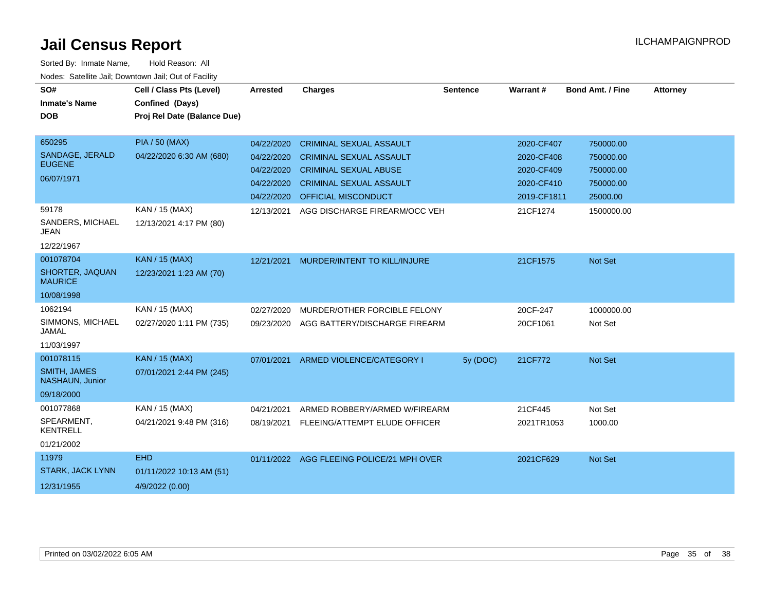| SO#<br><b>Inmate's Name</b>            | Cell / Class Pts (Level)<br>Confined (Days) | <b>Arrested</b> | <b>Charges</b>                            | <b>Sentence</b> | Warrant#    | <b>Bond Amt. / Fine</b> | <b>Attorney</b> |
|----------------------------------------|---------------------------------------------|-----------------|-------------------------------------------|-----------------|-------------|-------------------------|-----------------|
| <b>DOB</b>                             | Proj Rel Date (Balance Due)                 |                 |                                           |                 |             |                         |                 |
| 650295                                 | <b>PIA / 50 (MAX)</b>                       | 04/22/2020      | <b>CRIMINAL SEXUAL ASSAULT</b>            |                 | 2020-CF407  | 750000.00               |                 |
| SANDAGE, JERALD                        | 04/22/2020 6:30 AM (680)                    | 04/22/2020      | <b>CRIMINAL SEXUAL ASSAULT</b>            |                 | 2020-CF408  | 750000.00               |                 |
| <b>EUGENE</b>                          |                                             | 04/22/2020      | <b>CRIMINAL SEXUAL ABUSE</b>              |                 | 2020-CF409  | 750000.00               |                 |
| 06/07/1971                             |                                             | 04/22/2020      | <b>CRIMINAL SEXUAL ASSAULT</b>            |                 | 2020-CF410  | 750000.00               |                 |
|                                        |                                             | 04/22/2020      | <b>OFFICIAL MISCONDUCT</b>                |                 | 2019-CF1811 | 25000.00                |                 |
| 59178                                  | KAN / 15 (MAX)                              | 12/13/2021      | AGG DISCHARGE FIREARM/OCC VEH             |                 | 21CF1274    | 1500000.00              |                 |
| SANDERS, MICHAEL<br><b>JEAN</b>        | 12/13/2021 4:17 PM (80)                     |                 |                                           |                 |             |                         |                 |
| 12/22/1967                             |                                             |                 |                                           |                 |             |                         |                 |
| 001078704                              | KAN / 15 (MAX)                              | 12/21/2021      | MURDER/INTENT TO KILL/INJURE              |                 | 21CF1575    | Not Set                 |                 |
| SHORTER, JAQUAN<br><b>MAURICE</b>      | 12/23/2021 1:23 AM (70)                     |                 |                                           |                 |             |                         |                 |
| 10/08/1998                             |                                             |                 |                                           |                 |             |                         |                 |
| 1062194                                | KAN / 15 (MAX)                              | 02/27/2020      | MURDER/OTHER FORCIBLE FELONY              |                 | 20CF-247    | 1000000.00              |                 |
| SIMMONS, MICHAEL<br><b>JAMAL</b>       | 02/27/2020 1:11 PM (735)                    | 09/23/2020      | AGG BATTERY/DISCHARGE FIREARM             |                 | 20CF1061    | Not Set                 |                 |
| 11/03/1997                             |                                             |                 |                                           |                 |             |                         |                 |
| 001078115                              | KAN / 15 (MAX)                              | 07/01/2021      | ARMED VIOLENCE/CATEGORY I                 | 5y (DOC)        | 21CF772     | Not Set                 |                 |
| <b>SMITH, JAMES</b><br>NASHAUN, Junior | 07/01/2021 2:44 PM (245)                    |                 |                                           |                 |             |                         |                 |
| 09/18/2000                             |                                             |                 |                                           |                 |             |                         |                 |
| 001077868                              | KAN / 15 (MAX)                              | 04/21/2021      | ARMED ROBBERY/ARMED W/FIREARM             |                 | 21CF445     | Not Set                 |                 |
| SPEARMENT,<br><b>KENTRELL</b>          | 04/21/2021 9:48 PM (316)                    | 08/19/2021      | FLEEING/ATTEMPT ELUDE OFFICER             |                 | 2021TR1053  | 1000.00                 |                 |
| 01/21/2002                             |                                             |                 |                                           |                 |             |                         |                 |
| 11979                                  | <b>EHD</b>                                  |                 | 01/11/2022 AGG FLEEING POLICE/21 MPH OVER |                 | 2021CF629   | Not Set                 |                 |
| <b>STARK, JACK LYNN</b>                | 01/11/2022 10:13 AM (51)                    |                 |                                           |                 |             |                         |                 |
| 12/31/1955                             | 4/9/2022 (0.00)                             |                 |                                           |                 |             |                         |                 |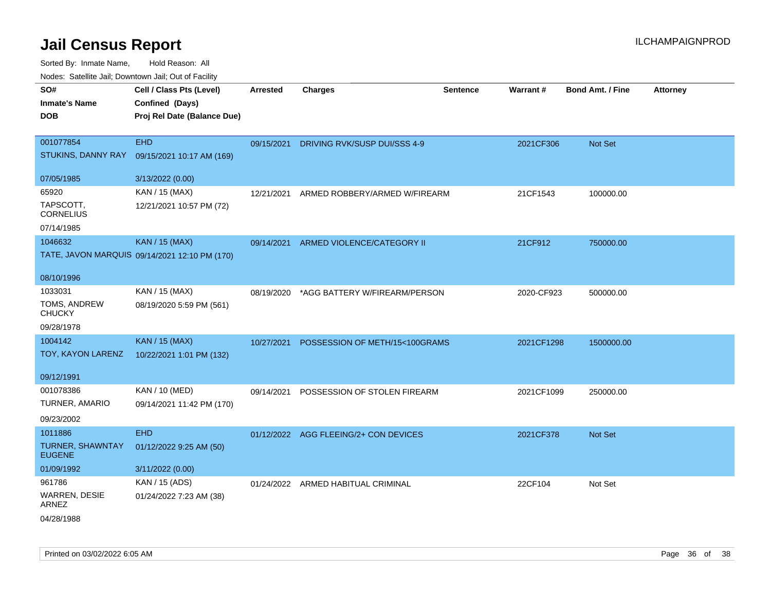| roacs. Catellite Jall, Downtown Jall, Out of Facility |                                               |                 |                                |                 |            |                         |                 |
|-------------------------------------------------------|-----------------------------------------------|-----------------|--------------------------------|-----------------|------------|-------------------------|-----------------|
| SO#                                                   | Cell / Class Pts (Level)                      | <b>Arrested</b> | <b>Charges</b>                 | <b>Sentence</b> | Warrant#   | <b>Bond Amt. / Fine</b> | <b>Attorney</b> |
| <b>Inmate's Name</b>                                  | Confined (Days)                               |                 |                                |                 |            |                         |                 |
| <b>DOB</b>                                            | Proj Rel Date (Balance Due)                   |                 |                                |                 |            |                         |                 |
|                                                       |                                               |                 |                                |                 |            |                         |                 |
| 001077854                                             | <b>EHD</b>                                    | 09/15/2021      | DRIVING RVK/SUSP DUI/SSS 4-9   |                 | 2021CF306  | Not Set                 |                 |
| STUKINS, DANNY RAY                                    | 09/15/2021 10:17 AM (169)                     |                 |                                |                 |            |                         |                 |
| 07/05/1985                                            | 3/13/2022 (0.00)                              |                 |                                |                 |            |                         |                 |
| 65920                                                 | KAN / 15 (MAX)                                | 12/21/2021      | ARMED ROBBERY/ARMED W/FIREARM  |                 | 21CF1543   | 100000.00               |                 |
| TAPSCOTT,<br><b>CORNELIUS</b>                         | 12/21/2021 10:57 PM (72)                      |                 |                                |                 |            |                         |                 |
| 07/14/1985                                            |                                               |                 |                                |                 |            |                         |                 |
| 1046632                                               | <b>KAN / 15 (MAX)</b>                         | 09/14/2021      | ARMED VIOLENCE/CATEGORY II     |                 | 21CF912    | 750000.00               |                 |
|                                                       | TATE, JAVON MARQUIS 09/14/2021 12:10 PM (170) |                 |                                |                 |            |                         |                 |
|                                                       |                                               |                 |                                |                 |            |                         |                 |
| 08/10/1996                                            |                                               |                 |                                |                 |            |                         |                 |
| 1033031                                               | KAN / 15 (MAX)                                | 08/19/2020      | *AGG BATTERY W/FIREARM/PERSON  |                 | 2020-CF923 | 500000.00               |                 |
| TOMS, ANDREW<br><b>CHUCKY</b>                         | 08/19/2020 5:59 PM (561)                      |                 |                                |                 |            |                         |                 |
| 09/28/1978                                            |                                               |                 |                                |                 |            |                         |                 |
| 1004142                                               | <b>KAN / 15 (MAX)</b>                         | 10/27/2021      | POSSESSION OF METH/15<100GRAMS |                 | 2021CF1298 | 1500000.00              |                 |
| TOY, KAYON LARENZ                                     | 10/22/2021 1:01 PM (132)                      |                 |                                |                 |            |                         |                 |
|                                                       |                                               |                 |                                |                 |            |                         |                 |
| 09/12/1991                                            |                                               |                 |                                |                 |            |                         |                 |
| 001078386                                             | KAN / 10 (MED)                                | 09/14/2021      | POSSESSION OF STOLEN FIREARM   |                 | 2021CF1099 | 250000.00               |                 |
| TURNER, AMARIO                                        | 09/14/2021 11:42 PM (170)                     |                 |                                |                 |            |                         |                 |
| 09/23/2002                                            |                                               |                 |                                |                 |            |                         |                 |
| 1011886                                               | <b>EHD</b>                                    | 01/12/2022      | AGG FLEEING/2+ CON DEVICES     |                 | 2021CF378  | <b>Not Set</b>          |                 |
| <b>TURNER, SHAWNTAY</b><br><b>EUGENE</b>              | 01/12/2022 9:25 AM (50)                       |                 |                                |                 |            |                         |                 |
| 01/09/1992                                            | 3/11/2022 (0.00)                              |                 |                                |                 |            |                         |                 |
| 961786                                                | KAN / 15 (ADS)                                | 01/24/2022      | ARMED HABITUAL CRIMINAL        |                 | 22CF104    | Not Set                 |                 |
| <b>WARREN, DESIE</b><br>ARNEZ                         | 01/24/2022 7:23 AM (38)                       |                 |                                |                 |            |                         |                 |
| 04/28/1988                                            |                                               |                 |                                |                 |            |                         |                 |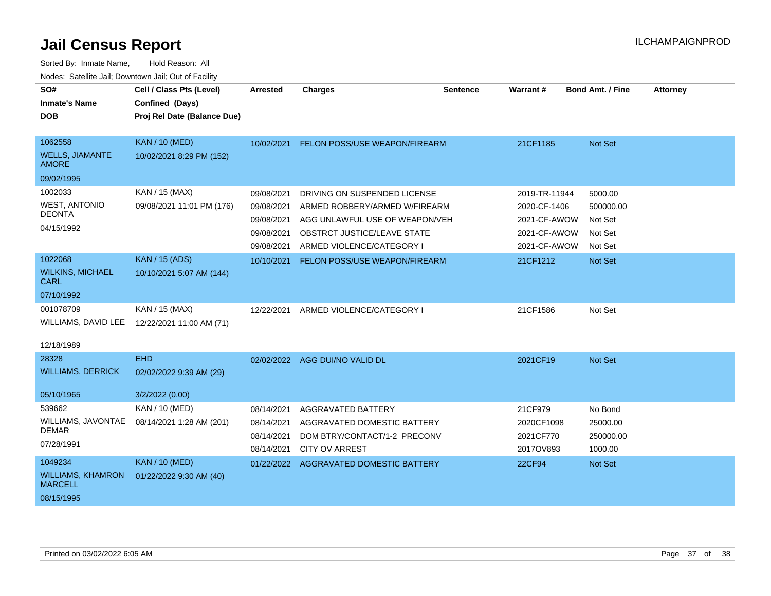| SO#                                        | Cell / Class Pts (Level)    | <b>Arrested</b>                     | <b>Charges</b>                 | <b>Sentence</b> | Warrant#      | <b>Bond Amt. / Fine</b> | <b>Attorney</b> |
|--------------------------------------------|-----------------------------|-------------------------------------|--------------------------------|-----------------|---------------|-------------------------|-----------------|
| <b>Inmate's Name</b>                       | Confined (Days)             |                                     |                                |                 |               |                         |                 |
| <b>DOB</b>                                 | Proj Rel Date (Balance Due) |                                     |                                |                 |               |                         |                 |
|                                            |                             |                                     |                                |                 |               |                         |                 |
| 1062558                                    | <b>KAN / 10 (MED)</b>       | 10/02/2021                          | FELON POSS/USE WEAPON/FIREARM  |                 | 21CF1185      | Not Set                 |                 |
| <b>WELLS, JIAMANTE</b><br><b>AMORE</b>     | 10/02/2021 8:29 PM (152)    |                                     |                                |                 |               |                         |                 |
| 09/02/1995                                 |                             |                                     |                                |                 |               |                         |                 |
| 1002033                                    | KAN / 15 (MAX)              | 09/08/2021                          | DRIVING ON SUSPENDED LICENSE   |                 | 2019-TR-11944 | 5000.00                 |                 |
| <b>WEST, ANTONIO</b>                       | 09/08/2021 11:01 PM (176)   | 09/08/2021                          | ARMED ROBBERY/ARMED W/FIREARM  |                 | 2020-CF-1406  | 500000.00               |                 |
| <b>DEONTA</b>                              |                             | 09/08/2021                          | AGG UNLAWFUL USE OF WEAPON/VEH |                 | 2021-CF-AWOW  | Not Set                 |                 |
| 04/15/1992                                 |                             | 09/08/2021                          | OBSTRCT JUSTICE/LEAVE STATE    |                 | 2021-CF-AWOW  | Not Set                 |                 |
|                                            |                             | 09/08/2021                          | ARMED VIOLENCE/CATEGORY I      |                 | 2021-CF-AWOW  | Not Set                 |                 |
| 1022068                                    | <b>KAN / 15 (ADS)</b>       | 10/10/2021                          | FELON POSS/USE WEAPON/FIREARM  |                 | 21CF1212      | Not Set                 |                 |
| <b>WILKINS, MICHAEL</b><br><b>CARL</b>     | 10/10/2021 5:07 AM (144)    |                                     |                                |                 |               |                         |                 |
| 07/10/1992                                 |                             |                                     |                                |                 |               |                         |                 |
| 001078709                                  | KAN / 15 (MAX)              | 12/22/2021                          | ARMED VIOLENCE/CATEGORY I      |                 | 21CF1586      | Not Set                 |                 |
| WILLIAMS, DAVID LEE                        | 12/22/2021 11:00 AM (71)    |                                     |                                |                 |               |                         |                 |
| 12/18/1989                                 |                             |                                     |                                |                 |               |                         |                 |
| 28328                                      | <b>EHD</b>                  |                                     | 02/02/2022 AGG DUI/NO VALID DL |                 | 2021CF19      | Not Set                 |                 |
| <b>WILLIAMS, DERRICK</b>                   | 02/02/2022 9:39 AM (29)     |                                     |                                |                 |               |                         |                 |
| 05/10/1965                                 | 3/2/2022 (0.00)             |                                     |                                |                 |               |                         |                 |
| 539662                                     | KAN / 10 (MED)              | 08/14/2021                          | AGGRAVATED BATTERY             |                 | 21CF979       | No Bond                 |                 |
| WILLIAMS, JAVONTAE                         | 08/14/2021 1:28 AM (201)    | 08/14/2021                          | AGGRAVATED DOMESTIC BATTERY    |                 | 2020CF1098    | 25000.00                |                 |
| <b>DEMAR</b>                               |                             | 08/14/2021                          | DOM BTRY/CONTACT/1-2 PRECONV   |                 | 2021CF770     | 250000.00               |                 |
| 07/28/1991                                 |                             | 08/14/2021<br><b>CITY OV ARREST</b> |                                |                 | 2017OV893     | 1000.00                 |                 |
| 1049234                                    | <b>KAN / 10 (MED)</b>       | 01/22/2022                          | AGGRAVATED DOMESTIC BATTERY    |                 | <b>22CF94</b> | Not Set                 |                 |
| <b>WILLIAMS, KHAMRON</b><br><b>MARCELL</b> | 01/22/2022 9:30 AM (40)     |                                     |                                |                 |               |                         |                 |
| 08/15/1995                                 |                             |                                     |                                |                 |               |                         |                 |